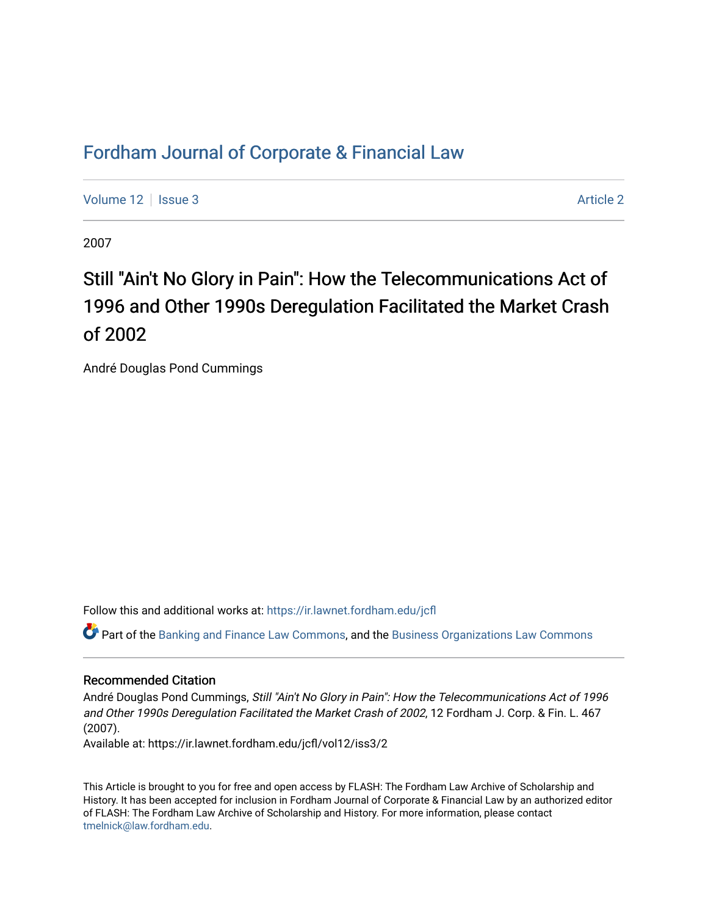# [Fordham Journal of Corporate & Financial Law](https://ir.lawnet.fordham.edu/jcfl)

[Volume 12](https://ir.lawnet.fordham.edu/jcfl/vol12) | [Issue 3](https://ir.lawnet.fordham.edu/jcfl/vol12/iss3) [Article 2](https://ir.lawnet.fordham.edu/jcfl/vol12/iss3/2) | Article 2 Article 2 | Article 2 | Article 2 | Article 2 | Article 2 | Article 2

2007

# Still "Ain't No Glory in Pain": How the Telecommunications Act of 1996 and Other 1990s Deregulation Facilitated the Market Crash of 2002

André Douglas Pond Cummings

Follow this and additional works at: [https://ir.lawnet.fordham.edu/jcfl](https://ir.lawnet.fordham.edu/jcfl?utm_source=ir.lawnet.fordham.edu%2Fjcfl%2Fvol12%2Fiss3%2F2&utm_medium=PDF&utm_campaign=PDFCoverPages) 

Part of the [Banking and Finance Law Commons,](http://network.bepress.com/hgg/discipline/833?utm_source=ir.lawnet.fordham.edu%2Fjcfl%2Fvol12%2Fiss3%2F2&utm_medium=PDF&utm_campaign=PDFCoverPages) and the [Business Organizations Law Commons](http://network.bepress.com/hgg/discipline/900?utm_source=ir.lawnet.fordham.edu%2Fjcfl%2Fvol12%2Fiss3%2F2&utm_medium=PDF&utm_campaign=PDFCoverPages) 

## Recommended Citation

André Douglas Pond Cummings, Still "Ain't No Glory in Pain": How the Telecommunications Act of 1996 and Other 1990s Deregulation Facilitated the Market Crash of 2002, 12 Fordham J. Corp. & Fin. L. 467 (2007).

Available at: https://ir.lawnet.fordham.edu/jcfl/vol12/iss3/2

This Article is brought to you for free and open access by FLASH: The Fordham Law Archive of Scholarship and History. It has been accepted for inclusion in Fordham Journal of Corporate & Financial Law by an authorized editor of FLASH: The Fordham Law Archive of Scholarship and History. For more information, please contact [tmelnick@law.fordham.edu](mailto:tmelnick@law.fordham.edu).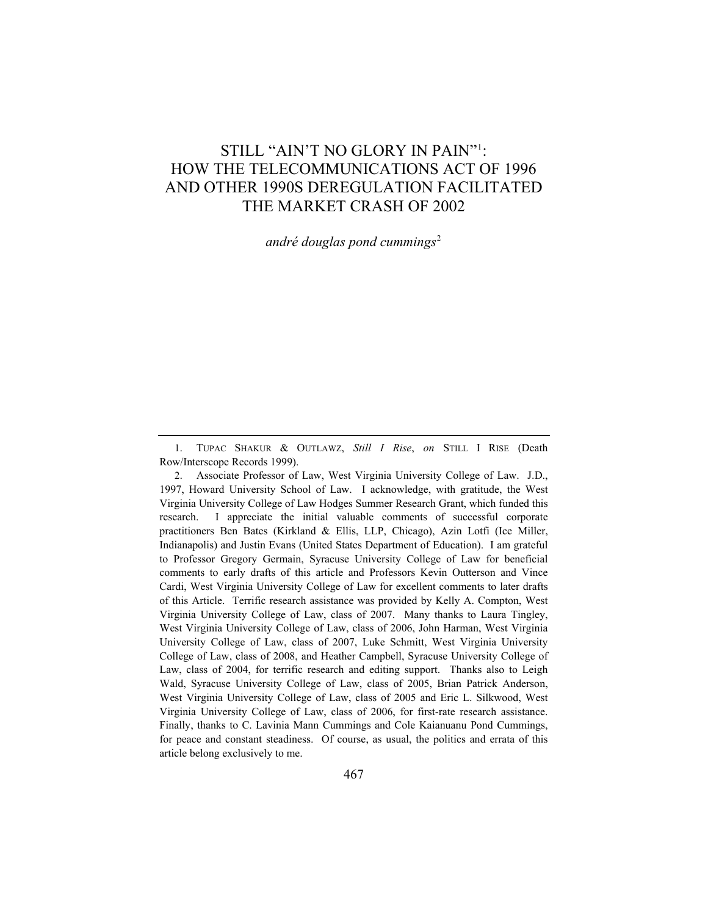# STILL "AIN'T NO GLORY IN PAIN"1: HOW THE TELECOMMUNICATIONS ACT OF 1996 AND OTHER 1990S DEREGULATION FACILITATED THE MARKET CRASH OF 2002

*andré douglas pond cummings<sup>2</sup>* 

1. TUPAC SHAKUR & OUTLAWZ, *Still I Rise*, *on* STILL I RISE (Death Row/Interscope Records 1999).

2. Associate Professor of Law, West Virginia University College of Law. J.D., 1997, Howard University School of Law. I acknowledge, with gratitude, the West Virginia University College of Law Hodges Summer Research Grant, which funded this research. I appreciate the initial valuable comments of successful corporate practitioners Ben Bates (Kirkland & Ellis, LLP, Chicago), Azin Lotfi (Ice Miller, Indianapolis) and Justin Evans (United States Department of Education). I am grateful to Professor Gregory Germain, Syracuse University College of Law for beneficial comments to early drafts of this article and Professors Kevin Outterson and Vince Cardi, West Virginia University College of Law for excellent comments to later drafts of this Article. Terrific research assistance was provided by Kelly A. Compton, West Virginia University College of Law, class of 2007. Many thanks to Laura Tingley, West Virginia University College of Law, class of 2006, John Harman, West Virginia University College of Law, class of 2007, Luke Schmitt, West Virginia University College of Law, class of 2008, and Heather Campbell, Syracuse University College of Law, class of 2004, for terrific research and editing support. Thanks also to Leigh Wald, Syracuse University College of Law, class of 2005, Brian Patrick Anderson, West Virginia University College of Law, class of 2005 and Eric L. Silkwood, West Virginia University College of Law, class of 2006, for first-rate research assistance. Finally, thanks to C. Lavinia Mann Cummings and Cole Kaianuanu Pond Cummings, for peace and constant steadiness. Of course, as usual, the politics and errata of this article belong exclusively to me.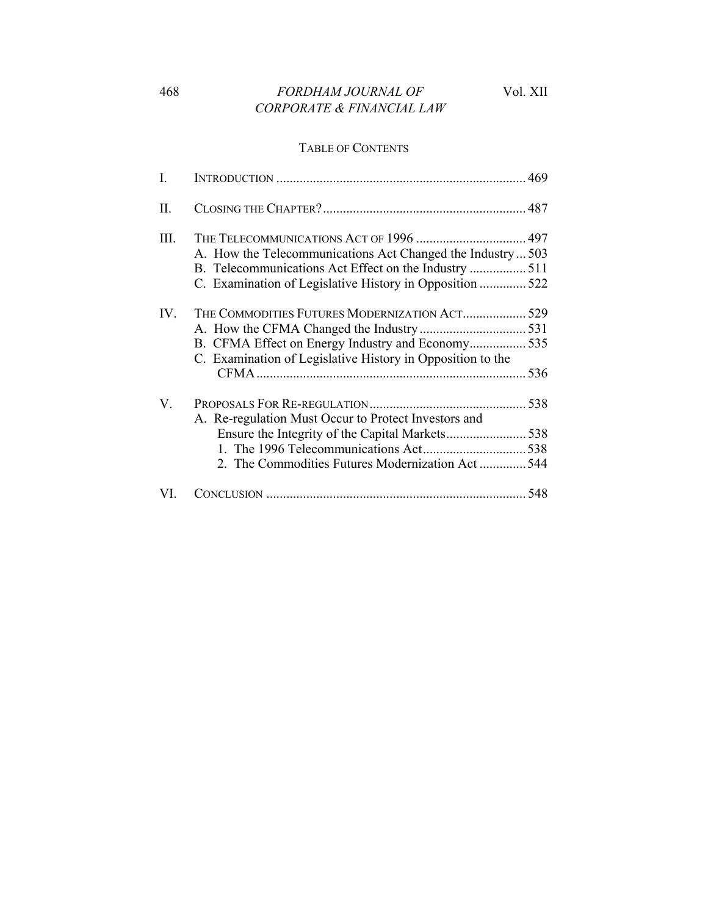## TABLE OF CONTENTS

| $\rm{I}$ . |                                                             |     |
|------------|-------------------------------------------------------------|-----|
| П.         |                                                             |     |
| Ш.         |                                                             |     |
|            | A. How the Telecommunications Act Changed the Industry  503 |     |
|            |                                                             |     |
|            | C. Examination of Legislative History in Opposition 522     |     |
| IV.        | THE COMMODITIES FUTURES MODERNIZATION ACT 529               |     |
|            |                                                             |     |
|            |                                                             |     |
|            | C. Examination of Legislative History in Opposition to the  |     |
|            |                                                             | 536 |
| V.         |                                                             |     |
|            | A. Re-regulation Must Occur to Protect Investors and        |     |
|            |                                                             |     |
|            |                                                             |     |
|            | 2. The Commodities Futures Modernization Act544             |     |
| VI.        |                                                             |     |
|            | B. CFMA Effect on Energy Industry and Economy 535           |     |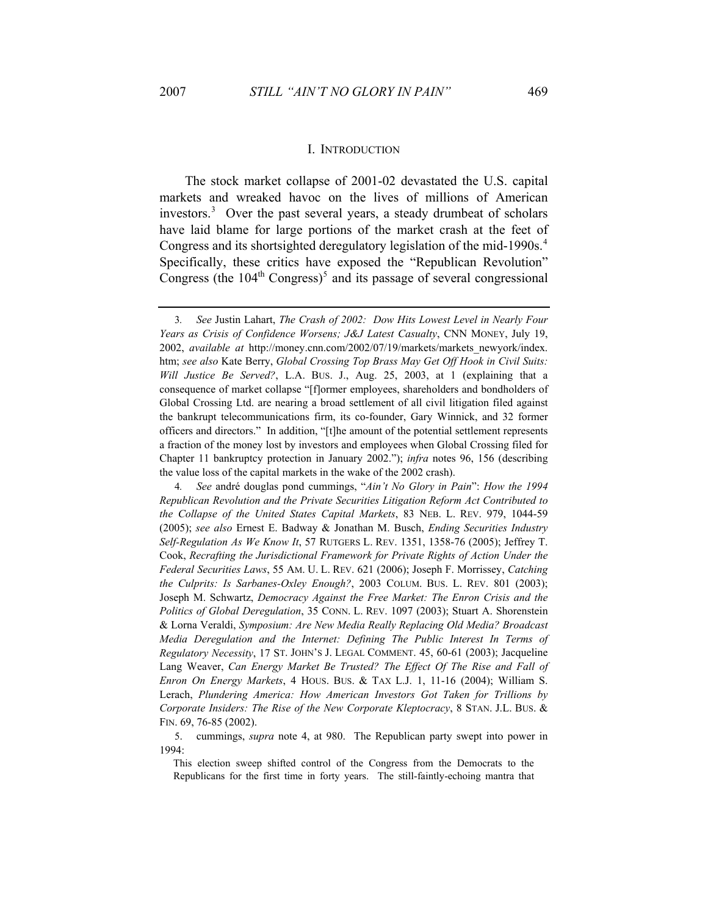#### I. INTRODUCTION

The stock market collapse of 2001-02 devastated the U.S. capital markets and wreaked havoc on the lives of millions of American investors.<sup>3</sup> Over the past several years, a steady drumbeat of scholars have laid blame for large portions of the market crash at the feet of Congress and its shortsighted deregulatory legislation of the mid-1990s.<sup>4</sup> Specifically, these critics have exposed the "Republican Revolution" Congress (the  $104<sup>th</sup>$  Congress)<sup>5</sup> and its passage of several congressional

<sup>3</sup>*. See* Justin Lahart, *The Crash of 2002: Dow Hits Lowest Level in Nearly Four Years as Crisis of Confidence Worsens; J&J Latest Casualty*, CNN MONEY, July 19, 2002, *available at* http://money.cnn.com/2002/07/19/markets/markets\_newyork/index. htm; *see also* Kate Berry, *Global Crossing Top Brass May Get Off Hook in Civil Suits: Will Justice Be Served?*, L.A. BUS. J., Aug. 25, 2003, at 1 (explaining that a consequence of market collapse "[f]ormer employees, shareholders and bondholders of Global Crossing Ltd. are nearing a broad settlement of all civil litigation filed against the bankrupt telecommunications firm, its co-founder, Gary Winnick, and 32 former officers and directors." In addition, "[t]he amount of the potential settlement represents a fraction of the money lost by investors and employees when Global Crossing filed for Chapter 11 bankruptcy protection in January 2002."); *infra* notes 96, 156 (describing the value loss of the capital markets in the wake of the 2002 crash).

<sup>4</sup>*. See* andré douglas pond cummings, "*Ain't No Glory in Pain*": *How the 1994 Republican Revolution and the Private Securities Litigation Reform Act Contributed to the Collapse of the United States Capital Markets*, 83 NEB. L. REV. 979, 1044-59 (2005); *see also* Ernest E. Badway & Jonathan M. Busch, *Ending Securities Industry Self-Regulation As We Know It*, 57 RUTGERS L. REV. 1351, 1358-76 (2005); Jeffrey T. Cook, *Recrafting the Jurisdictional Framework for Private Rights of Action Under the Federal Securities Laws*, 55 AM. U. L. REV. 621 (2006); Joseph F. Morrissey, *Catching the Culprits: Is Sarbanes-Oxley Enough?*, 2003 COLUM. BUS. L. REV. 801 (2003); Joseph M. Schwartz, *Democracy Against the Free Market: The Enron Crisis and the Politics of Global Deregulation*, 35 CONN. L. REV. 1097 (2003); Stuart A. Shorenstein & Lorna Veraldi, *Symposium: Are New Media Really Replacing Old Media? Broadcast Media Deregulation and the Internet: Defining The Public Interest In Terms of Regulatory Necessity*, 17 ST. JOHN'S J. LEGAL COMMENT. 45, 60-61 (2003); Jacqueline Lang Weaver, *Can Energy Market Be Trusted? The Effect Of The Rise and Fall of Enron On Energy Markets*, 4 HOUS. BUS. & TAX L.J. 1, 11-16 (2004); William S. Lerach, *Plundering America: How American Investors Got Taken for Trillions by Corporate Insiders: The Rise of the New Corporate Kleptocracy*, 8 STAN. J.L. BUS. & FIN. 69, 76-85 (2002).

<sup>5.</sup> cummings, *supra* note 4, at 980. The Republican party swept into power in 1994:

This election sweep shifted control of the Congress from the Democrats to the Republicans for the first time in forty years. The still-faintly-echoing mantra that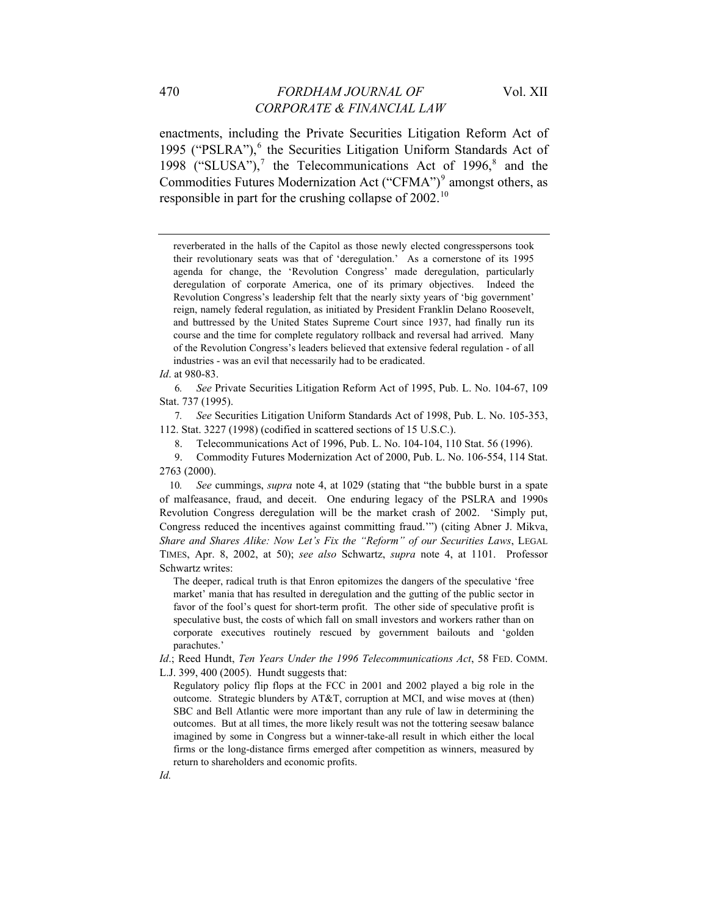enactments, including the Private Securities Litigation Reform Act of 1995 ("PSLRA"),<sup>6</sup> the Securities Litigation Uniform Standards Act of 1998 ("SLUSA"),<sup>7</sup> the Telecommunications Act of 1996, $^8$  and the Commodities Futures Modernization Act ("CFMA")<sup>9</sup> amongst others, as responsible in part for the crushing collapse of 2002.<sup>10</sup>

reverberated in the halls of the Capitol as those newly elected congresspersons took their revolutionary seats was that of 'deregulation.' As a cornerstone of its 1995 agenda for change, the 'Revolution Congress' made deregulation, particularly deregulation of corporate America, one of its primary objectives. Indeed the Revolution Congress's leadership felt that the nearly sixty years of 'big government' reign, namely federal regulation, as initiated by President Franklin Delano Roosevelt, and buttressed by the United States Supreme Court since 1937, had finally run its course and the time for complete regulatory rollback and reversal had arrived. Many of the Revolution Congress's leaders believed that extensive federal regulation - of all industries - was an evil that necessarily had to be eradicated.

*Id*. at 980-83.

6*. See* Private Securities Litigation Reform Act of 1995, Pub. L. No. 104-67, 109 Stat. 737 (1995).

7*. See* Securities Litigation Uniform Standards Act of 1998, Pub. L. No. 105-353, 112. Stat. 3227 (1998) (codified in scattered sections of 15 U.S.C.).

8. Telecommunications Act of 1996, Pub. L. No. 104-104, 110 Stat. 56 (1996).

9. Commodity Futures Modernization Act of 2000, Pub. L. No. 106-554, 114 Stat. 2763 (2000).

10*. See* cummings, *supra* note 4, at 1029 (stating that "the bubble burst in a spate of malfeasance, fraud, and deceit. One enduring legacy of the PSLRA and 1990s Revolution Congress deregulation will be the market crash of 2002. 'Simply put, Congress reduced the incentives against committing fraud.'") (citing Abner J. Mikva, *Share and Shares Alike: Now Let's Fix the "Reform" of our Securities Laws*, LEGAL TIMES, Apr. 8, 2002, at 50); *see also* Schwartz, *supra* note 4, at 1101. Professor Schwartz writes:

The deeper, radical truth is that Enron epitomizes the dangers of the speculative 'free market' mania that has resulted in deregulation and the gutting of the public sector in favor of the fool's quest for short-term profit. The other side of speculative profit is speculative bust, the costs of which fall on small investors and workers rather than on corporate executives routinely rescued by government bailouts and 'golden parachutes.'

*Id*.; Reed Hundt, *Ten Years Under the 1996 Telecommunications Act*, 58 FED. COMM. L.J. 399, 400 (2005). Hundt suggests that:

Regulatory policy flip flops at the FCC in 2001 and 2002 played a big role in the outcome. Strategic blunders by AT&T, corruption at MCI, and wise moves at (then) SBC and Bell Atlantic were more important than any rule of law in determining the outcomes. But at all times, the more likely result was not the tottering seesaw balance imagined by some in Congress but a winner-take-all result in which either the local firms or the long-distance firms emerged after competition as winners, measured by return to shareholders and economic profits.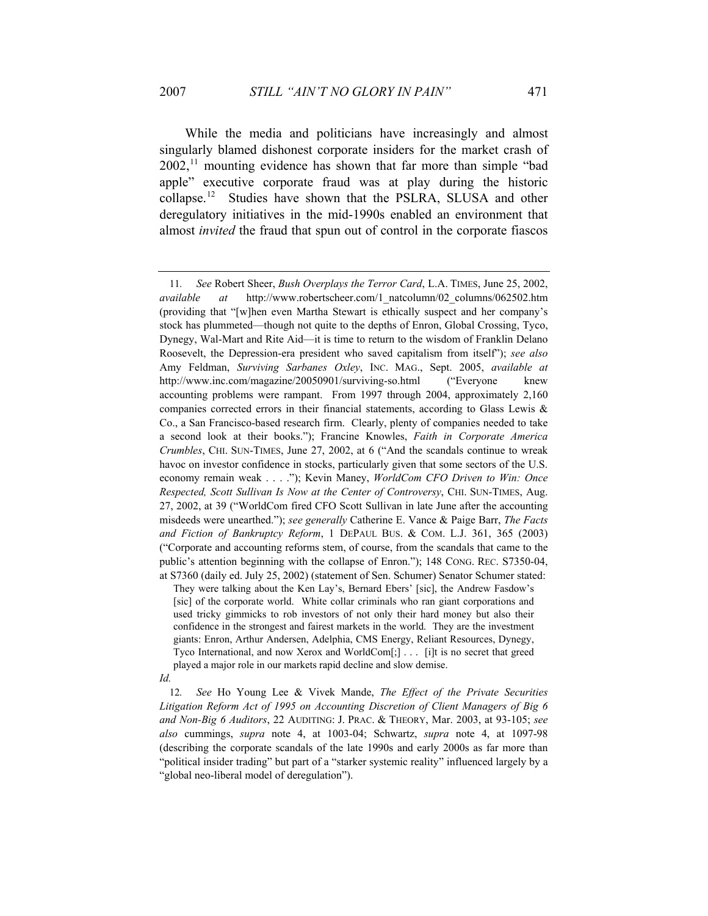While the media and politicians have increasingly and almost singularly blamed dishonest corporate insiders for the market crash of  $2002$ ,<sup>11</sup> mounting evidence has shown that far more than simple "bad" apple" executive corporate fraud was at play during the historic collapse.12 Studies have shown that the PSLRA, SLUSA and other deregulatory initiatives in the mid-1990s enabled an environment that almost *invited* the fraud that spun out of control in the corporate fiascos

They were talking about the Ken Lay's, Bernard Ebers' [sic], the Andrew Fasdow's [sic] of the corporate world. White collar criminals who ran giant corporations and used tricky gimmicks to rob investors of not only their hard money but also their confidence in the strongest and fairest markets in the world. They are the investment giants: Enron, Arthur Andersen, Adelphia, CMS Energy, Reliant Resources, Dynegy, Tyco International, and now Xerox and WorldCom[;] . . . [i]t is no secret that greed played a major role in our markets rapid decline and slow demise.

*Id.*

12*. See* Ho Young Lee & Vivek Mande, *The Effect of the Private Securities Litigation Reform Act of 1995 on Accounting Discretion of Client Managers of Big 6 and Non-Big 6 Auditors*, 22 AUDITING: J. PRAC. & THEORY, Mar. 2003, at 93-105; *see also* cummings, *supra* note 4, at 1003-04; Schwartz, *supra* note 4, at 1097-98 (describing the corporate scandals of the late 1990s and early 2000s as far more than "political insider trading" but part of a "starker systemic reality" influenced largely by a "global neo-liberal model of deregulation").

<sup>11</sup>*. See* Robert Sheer, *Bush Overplays the Terror Card*, L.A. TIMES, June 25, 2002, *available at* http://www.robertscheer.com/1\_natcolumn/02\_columns/062502.htm (providing that "[w]hen even Martha Stewart is ethically suspect and her company's stock has plummeted—though not quite to the depths of Enron, Global Crossing, Tyco, Dynegy, Wal-Mart and Rite Aid—it is time to return to the wisdom of Franklin Delano Roosevelt, the Depression-era president who saved capitalism from itself"); *see also* Amy Feldman, *Surviving Sarbanes Oxley*, INC. MAG., Sept. 2005, *available at* http://www.inc.com/magazine/20050901/surviving-so.html ("Everyone knew accounting problems were rampant. From 1997 through 2004, approximately 2,160 companies corrected errors in their financial statements, according to Glass Lewis & Co., a San Francisco-based research firm. Clearly, plenty of companies needed to take a second look at their books."); Francine Knowles, *Faith in Corporate America Crumbles*, CHI. SUN-TIMES, June 27, 2002, at 6 ("And the scandals continue to wreak havoc on investor confidence in stocks, particularly given that some sectors of the U.S. economy remain weak . . . ."); Kevin Maney, *WorldCom CFO Driven to Win: Once Respected, Scott Sullivan Is Now at the Center of Controversy*, CHI. SUN-TIMES, Aug. 27, 2002, at 39 ("WorldCom fired CFO Scott Sullivan in late June after the accounting misdeeds were unearthed."); *see generally* Catherine E. Vance & Paige Barr, *The Facts and Fiction of Bankruptcy Reform*, 1 DEPAUL BUS. & COM. L.J. 361, 365 (2003) ("Corporate and accounting reforms stem, of course, from the scandals that came to the public's attention beginning with the collapse of Enron."); 148 CONG. REC. S7350-04, at S7360 (daily ed. July 25, 2002) (statement of Sen. Schumer) Senator Schumer stated: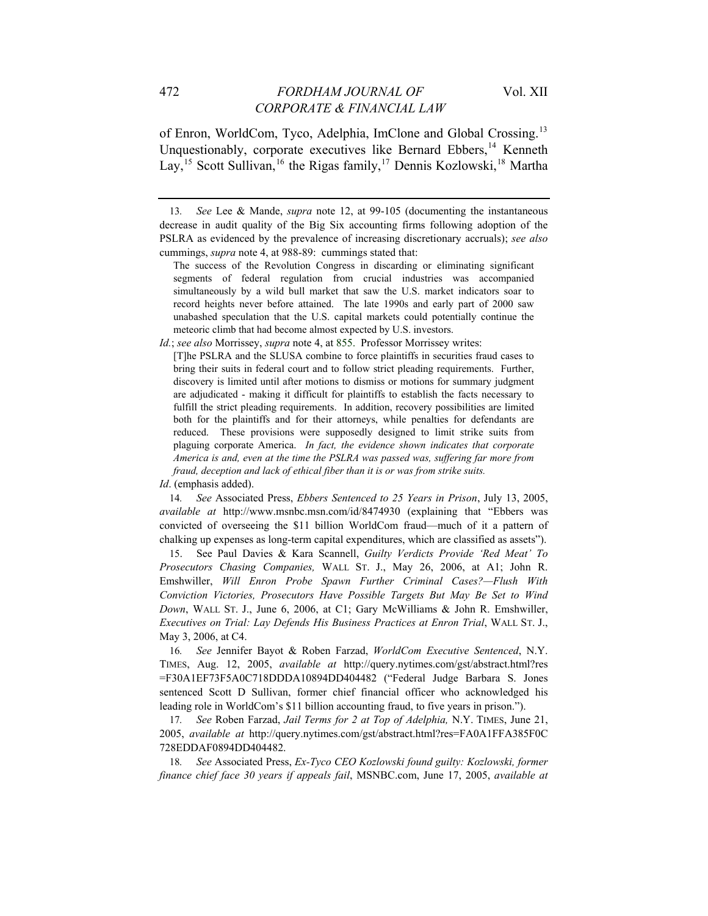of Enron, WorldCom, Tyco, Adelphia, ImClone and Global Crossing.13 Unquestionably, corporate executives like Bernard Ebbers,<sup>14</sup> Kenneth Lay,<sup>15</sup> Scott Sullivan,<sup>16</sup> the Rigas family,<sup>17</sup> Dennis Kozlowski,<sup>18</sup> Martha

14*. See* Associated Press, *Ebbers Sentenced to 25 Years in Prison*, July 13, 2005, *available at* http://www.msnbc.msn.com/id/8474930 (explaining that "Ebbers was convicted of overseeing the \$11 billion WorldCom fraud—much of it a pattern of chalking up expenses as long-term capital expenditures, which are classified as assets").

15. See Paul Davies & Kara Scannell, *Guilty Verdicts Provide 'Red Meat' To Prosecutors Chasing Companies,* WALL ST. J., May 26, 2006, at A1; John R. Emshwiller, *Will Enron Probe Spawn Further Criminal Cases?—Flush With Conviction Victories, Prosecutors Have Possible Targets But May Be Set to Wind Down*, WALL ST. J., June 6, 2006, at C1; Gary McWilliams & John R. Emshwiller, *Executives on Trial: Lay Defends His Business Practices at Enron Trial*, WALL ST. J., May 3, 2006, at C4.

16*. See* Jennifer Bayot & Roben Farzad, *WorldCom Executive Sentenced*, N.Y. TIMES, Aug. 12, 2005, *available at* <http://query.nytimes.com/gst/abstract.html?res> =F30A1EF73F5A0C718DDDA10894DD404482 ("Federal Judge Barbara S. Jones sentenced Scott D Sullivan, former chief financial officer who acknowledged his leading role in WorldCom's \$11 billion accounting fraud, to five years in prison.").

17*. See* Roben Farzad, *Jail Terms for 2 at Top of Adelphia,* N.Y. TIMES, June 21, 2005, *available at* <http://query.nytimes.com/gst/abstract.html?res=FA0A1FFA385F0C> 728EDDAF0894DD404482.

18*. See* Associated Press, *Ex-Tyco CEO Kozlowski found guilty: Kozlowski, former finance chief face 30 years if appeals fail*, MSNBC.com, June 17, 2005, *available at* 

<sup>13</sup>*. See* Lee & Mande, *supra* note 12, at 99-105 (documenting the instantaneous decrease in audit quality of the Big Six accounting firms following adoption of the PSLRA as evidenced by the prevalence of increasing discretionary accruals); *see also* cummings, *supra* note 4, at 988-89: cummings stated that:

The success of the Revolution Congress in discarding or eliminating significant segments of federal regulation from crucial industries was accompanied simultaneously by a wild bull market that saw the U.S. market indicators soar to record heights never before attained. The late 1990s and early part of 2000 saw unabashed speculation that the U.S. capital markets could potentially continue the meteoric climb that had become almost expected by U.S. investors.

*Id.*; *see also* Morrissey, *supra* note 4, at 855. Professor Morrissey writes:

<sup>[</sup>T]he PSLRA and the SLUSA combine to force plaintiffs in securities fraud cases to bring their suits in federal court and to follow strict pleading requirements. Further, discovery is limited until after motions to dismiss or motions for summary judgment are adjudicated - making it difficult for plaintiffs to establish the facts necessary to fulfill the strict pleading requirements. In addition, recovery possibilities are limited both for the plaintiffs and for their attorneys, while penalties for defendants are reduced. These provisions were supposedly designed to limit strike suits from plaguing corporate America. *In fact, the evidence shown indicates that corporate America is and, even at the time the PSLRA was passed was, suffering far more from fraud, deception and lack of ethical fiber than it is or was from strike suits.*

*Id*. (emphasis added).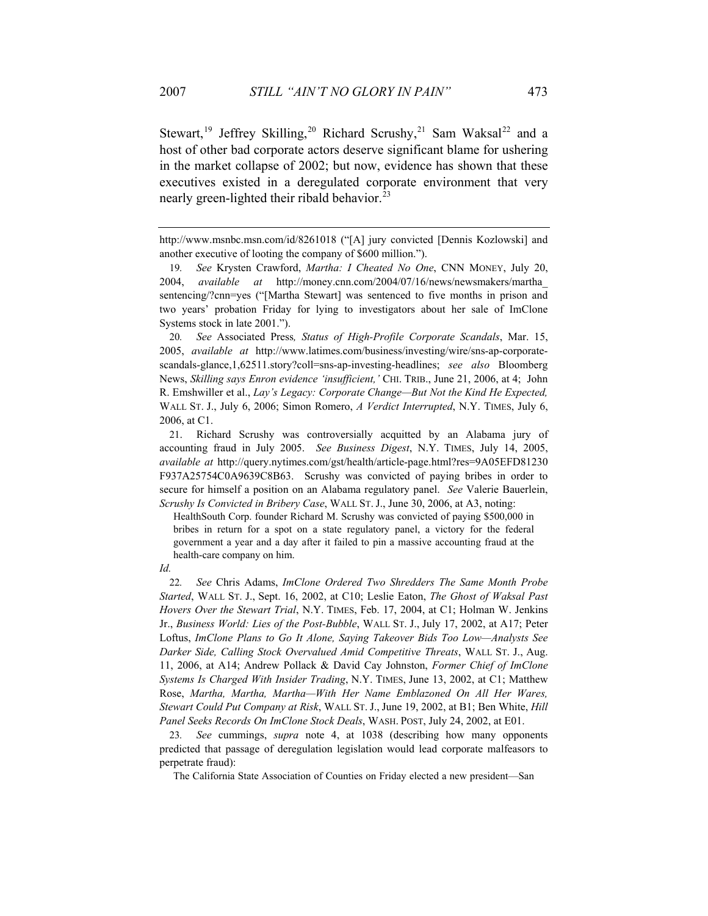Stewart,<sup>19</sup> Jeffrey Skilling,<sup>20</sup> Richard Scrushy,<sup>21</sup> Sam Waksal<sup>22</sup> and a host of other bad corporate actors deserve significant blame for ushering in the market collapse of 2002; but now, evidence has shown that these executives existed in a deregulated corporate environment that very nearly green-lighted their ribald behavior.<sup>23</sup>

20*. See* Associated Press*, Status of High-Profile Corporate Scandals*, Mar. 15, 2005, *available at* http://www.latimes.com/business/investing/wire/sns-ap-corporatescandals-glance,1,62511.story?coll=sns-ap-investing-headlines; *see also* Bloomberg News, *Skilling says Enron evidence 'insufficient,'* CHI. TRIB., June 21, 2006, at 4; John R. Emshwiller et al., *Lay's Legacy: Corporate Change—But Not the Kind He Expected,* WALL ST. J., July 6, 2006; Simon Romero, *A Verdict Interrupted*, N.Y. TIMES, July 6, 2006, at C1.

21. Richard Scrushy was controversially acquitted by an Alabama jury of accounting fraud in July 2005. *See Business Digest*, N.Y. TIMES, July 14, 2005, *available at* http://query.nytimes.com/gst/health/article-page.html?res=9A05EFD81230 F937A25754C0A9639C8B63. Scrushy was convicted of paying bribes in order to secure for himself a position on an Alabama regulatory panel. *See* Valerie Bauerlein, *Scrushy Is Convicted in Bribery Case*, WALL ST. J., June 30, 2006, at A3, noting:

HealthSouth Corp. founder Richard M. Scrushy was convicted of paying \$500,000 in bribes in return for a spot on a state regulatory panel, a victory for the federal government a year and a day after it failed to pin a massive accounting fraud at the health-care company on him.

*Id.*

22*. See* Chris Adams, *ImClone Ordered Two Shredders The Same Month Probe Started*, WALL ST. J., Sept. 16, 2002, at C10; Leslie Eaton, *The Ghost of Waksal Past Hovers Over the Stewart Trial*, N.Y. TIMES, Feb. 17, 2004, at C1; Holman W. Jenkins Jr., *Business World: Lies of the Post-Bubble*, WALL ST. J., July 17, 2002, at A17; Peter Loftus, *ImClone Plans to Go It Alone, Saying Takeover Bids Too Low—Analysts See Darker Side, Calling Stock Overvalued Amid Competitive Threats*, WALL ST. J., Aug. 11, 2006, at A14; Andrew Pollack & David Cay Johnston, *Former Chief of ImClone Systems Is Charged With Insider Trading*, N.Y. TIMES, June 13, 2002, at C1; Matthew Rose, *Martha, Martha, Martha—With Her Name Emblazoned On All Her Wares, Stewart Could Put Company at Risk*, WALL ST. J., June 19, 2002, at B1; Ben White, *Hill Panel Seeks Records On ImClone Stock Deals*, WASH. POST, July 24, 2002, at E01.

23*. See* cummings, *supra* note 4, at 1038 (describing how many opponents predicted that passage of deregulation legislation would lead corporate malfeasors to perpetrate fraud):

The California State Association of Counties on Friday elected a new president—San

http://www.msnbc.msn.com/id/8261018 ("[A] jury convicted [Dennis Kozlowski] and another executive of looting the company of \$600 million.").

<sup>19</sup>*. See* Krysten Crawford, *Martha: I Cheated No One*, CNN MONEY, July 20, 2004, *available at* http://money.cnn.com/2004/07/16/news/newsmakers/martha\_ sentencing/?cnn=yes ("[Martha Stewart] was sentenced to five months in prison and two years' probation Friday for lying to investigators about her sale of ImClone Systems stock in late 2001.").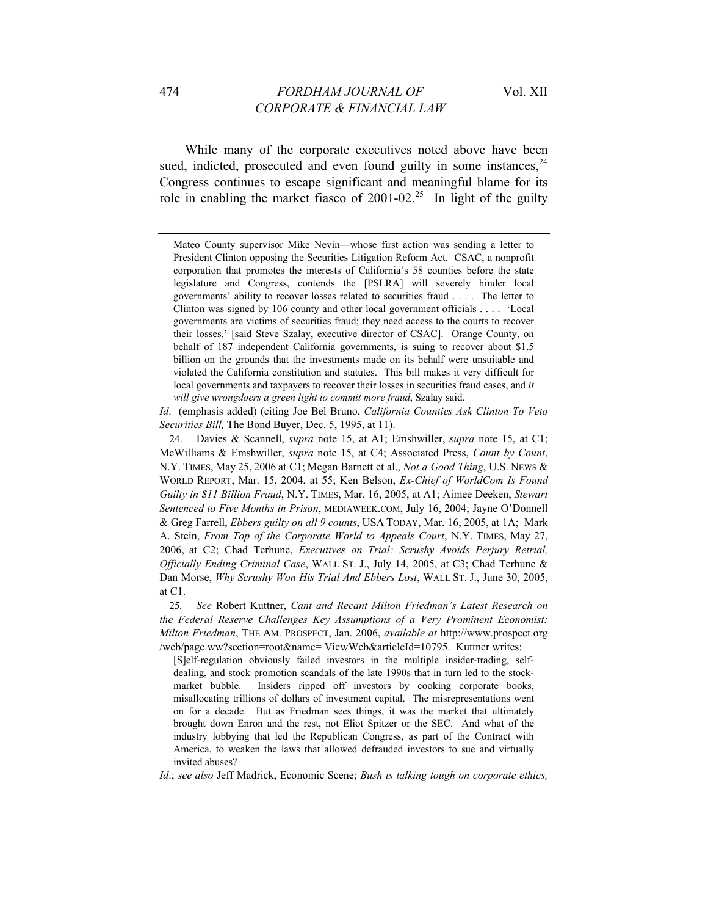While many of the corporate executives noted above have been sued, indicted, prosecuted and even found guilty in some instances,  $24$ Congress continues to escape significant and meaningful blame for its role in enabling the market fiasco of  $2001-02.<sup>25</sup>$  In light of the guilty

*Id*. (emphasis added) (citing Joe Bel Bruno, *California Counties Ask Clinton To Veto Securities Bill,* The Bond Buyer, Dec. 5, 1995, at 11).

24. Davies & Scannell, *supra* note 15, at A1; Emshwiller, *supra* note 15, at C1; McWilliams & Emshwiller, *supra* note 15, at C4; Associated Press, *Count by Count*, N.Y. TIMES, May 25, 2006 at C1; Megan Barnett et al., *Not a Good Thing*, U.S. NEWS & WORLD REPORT, Mar. 15, 2004, at 55; Ken Belson, *Ex-Chief of WorldCom Is Found Guilty in \$11 Billion Fraud*, N.Y. TIMES, Mar. 16, 2005, at A1; Aimee Deeken, *Stewart Sentenced to Five Months in Prison*, MEDIAWEEK.COM, July 16, 2004; Jayne O'Donnell & Greg Farrell, *Ebbers guilty on all 9 counts*, USA TODAY, Mar. 16, 2005, at 1A; Mark A. Stein, *From Top of the Corporate World to Appeals Court*, N.Y. TIMES, May 27, 2006, at C2; Chad Terhune, *Executives on Trial: Scrushy Avoids Perjury Retrial, Officially Ending Criminal Case*, WALL ST. J., July 14, 2005, at C3; Chad Terhune & Dan Morse, *Why Scrushy Won His Trial And Ebbers Lost*, WALL ST. J., June 30, 2005, at C1.

25*. See* Robert Kuttner, *Cant and Recant Milton Friedman's Latest Research on the Federal Reserve Challenges Key Assumptions of a Very Prominent Economist: Milton Friedman*, THE AM. PROSPECT, Jan. 2006, *available at* [http://www.prospect.org](http://www.prospect.org/) /web/page.ww?section=root&name= ViewWeb&articleId=10795. Kuttner writes:

[S]elf-regulation obviously failed investors in the multiple insider-trading, selfdealing, and stock promotion scandals of the late 1990s that in turn led to the stockmarket bubble. Insiders ripped off investors by cooking corporate books, misallocating trillions of dollars of investment capital. The misrepresentations went on for a decade. But as Friedman sees things, it was the market that ultimately brought down Enron and the rest, not Eliot Spitzer or the SEC. And what of the industry lobbying that led the Republican Congress, as part of the Contract with America, to weaken the laws that allowed defrauded investors to sue and virtually invited abuses?

*Id*.; *see also* Jeff Madrick, Economic Scene; *Bush is talking tough on corporate ethics,* 

Mateo County supervisor Mike Nevin—whose first action was sending a letter to President Clinton opposing the Securities Litigation Reform Act. CSAC, a nonprofit corporation that promotes the interests of California's 58 counties before the state legislature and Congress, contends the [PSLRA] will severely hinder local governments' ability to recover losses related to securities fraud . . . . The letter to Clinton was signed by 106 county and other local government officials . . . . 'Local governments are victims of securities fraud; they need access to the courts to recover their losses,' [said Steve Szalay, executive director of CSAC]. Orange County, on behalf of 187 independent California governments, is suing to recover about \$1.5 billion on the grounds that the investments made on its behalf were unsuitable and violated the California constitution and statutes. This bill makes it very difficult for local governments and taxpayers to recover their losses in securities fraud cases, and *it will give wrongdoers a green light to commit more fraud*, Szalay said.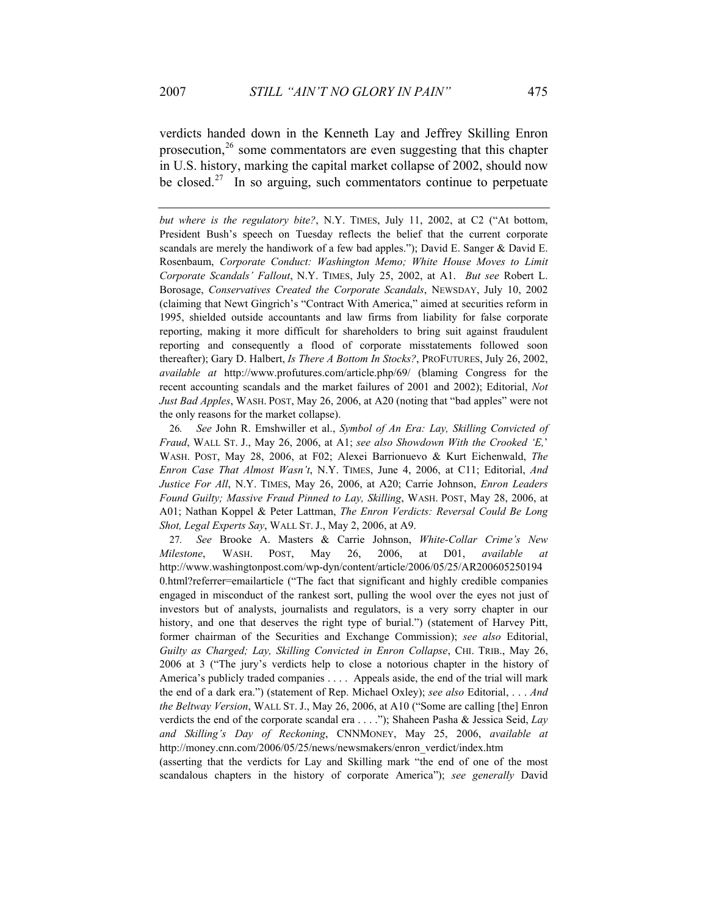verdicts handed down in the Kenneth Lay and Jeffrey Skilling Enron prosecution, $26$  some commentators are even suggesting that this chapter in U.S. history, marking the capital market collapse of 2002, should now be closed.<sup>27</sup> In so arguing, such commentators continue to perpetuate

*but where is the regulatory bite?*, N.Y. TIMES, July 11, 2002, at C2 ("At bottom, President Bush's speech on Tuesday reflects the belief that the current corporate scandals are merely the handiwork of a few bad apples."); David E. Sanger & David E. Rosenbaum, *Corporate Conduct: Washington Memo; White House Moves to Limit Corporate Scandals' Fallout*, N.Y. TIMES, July 25, 2002, at A1. *But see* Robert L. Borosage, *Conservatives Created the Corporate Scandals*, NEWSDAY, July 10, 2002 (claiming that Newt Gingrich's "Contract With America," aimed at securities reform in 1995, shielded outside accountants and law firms from liability for false corporate reporting, making it more difficult for shareholders to bring suit against fraudulent reporting and consequently a flood of corporate misstatements followed soon thereafter); Gary D. Halbert, *Is There A Bottom In Stocks?*, PROFUTURES, July 26, 2002, *available at* http://www.profutures.com/article.php/69/ (blaming Congress for the recent accounting scandals and the market failures of 2001 and 2002); Editorial, *Not Just Bad Apples*, WASH. POST, May 26, 2006, at A20 (noting that "bad apples" were not the only reasons for the market collapse).

26*. See* John R. Emshwiller et al., *Symbol of An Era: Lay, Skilling Convicted of Fraud*, WALL ST. J., May 26, 2006, at A1; *see also Showdown With the Crooked 'E,*' WASH. POST, May 28, 2006, at F02; Alexei Barrionuevo & Kurt Eichenwald, *The Enron Case That Almost Wasn't*, N.Y. TIMES, June 4, 2006, at C11; Editorial, *And Justice For All*, N.Y. TIMES, May 26, 2006, at A20; Carrie Johnson, *Enron Leaders Found Guilty; Massive Fraud Pinned to Lay, Skilling*, WASH. POST, May 28, 2006, at A01; Nathan Koppel & Peter Lattman, *The Enron Verdicts: Reversal Could Be Long Shot, Legal Experts Say*, WALL ST. J., May 2, 2006, at A9.

27*. See* Brooke A. Masters & Carrie Johnson, *White-Collar Crime's New Milestone*, WASH. POST, May 26, 2006, at D01, *available at* http://www.washingtonpost.com/wp-dyn/content/article/2006/05/25/AR200605250194 0.html?referrer=emailarticle ("The fact that significant and highly credible companies engaged in misconduct of the rankest sort, pulling the wool over the eyes not just of investors but of analysts, journalists and regulators, is a very sorry chapter in our history, and one that deserves the right type of burial.") (statement of Harvey Pitt, former chairman of the Securities and Exchange Commission); *see also* Editorial, *Guilty as Charged; Lay, Skilling Convicted in Enron Collapse*, CHI. TRIB., May 26, 2006 at 3 ("The jury's verdicts help to close a notorious chapter in the history of America's publicly traded companies . . . . Appeals aside, the end of the trial will mark the end of a dark era.") (statement of Rep. Michael Oxley); *see also* Editorial, . . . *And the Beltway Version*, WALL ST. J., May 26, 2006, at A10 ("Some are calling [the] Enron verdicts the end of the corporate scandal era . . . ."); Shaheen Pasha & Jessica Seid, *Lay and Skilling's Day of Reckoning*, CNNMONEY, May 25, 2006, *available at* http://money.cnn.com/2006/05/25/news/newsmakers/enron\_verdict/index.htm

(asserting that the verdicts for Lay and Skilling mark "the end of one of the most scandalous chapters in the history of corporate America"); *see generally* David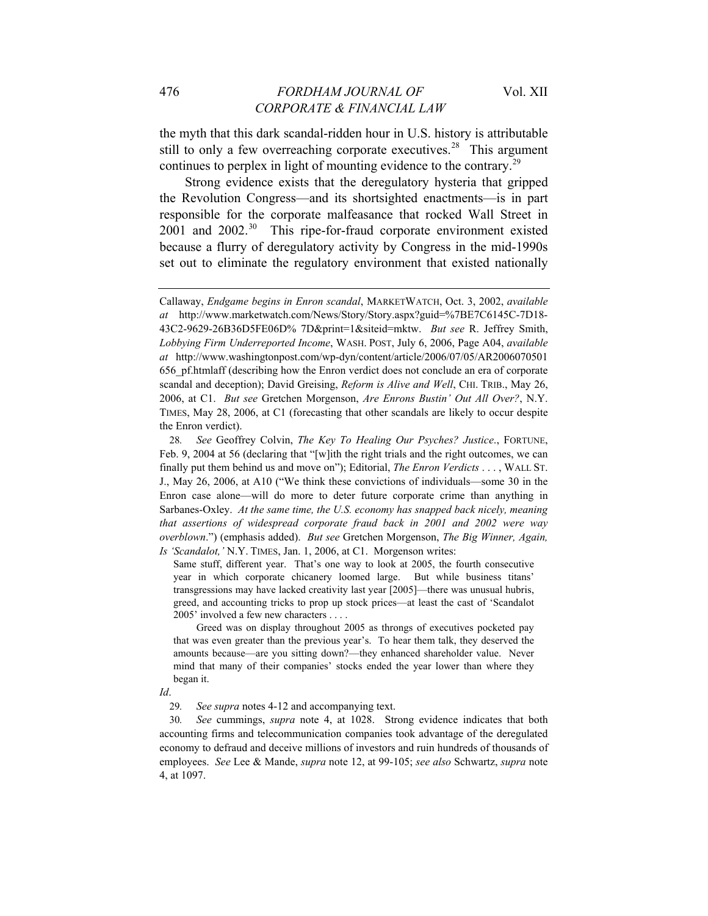the myth that this dark scandal-ridden hour in U.S. history is attributable still to only a few overreaching corporate executives.<sup>28</sup> This argument continues to perplex in light of mounting evidence to the contrary.<sup>29</sup>

Strong evidence exists that the deregulatory hysteria that gripped the Revolution Congress—and its shortsighted enactments—is in part responsible for the corporate malfeasance that rocked Wall Street in 2001 and 2002.<sup>30</sup> This ripe-for-fraud corporate environment existed because a flurry of deregulatory activity by Congress in the mid-1990s set out to eliminate the regulatory environment that existed nationally

Same stuff, different year. That's one way to look at 2005, the fourth consecutive year in which corporate chicanery loomed large. But while business titans' transgressions may have lacked creativity last year [2005]—there was unusual hubris, greed, and accounting tricks to prop up stock prices—at least the cast of 'Scandalot 2005' involved a few new characters . . . .

 Greed was on display throughout 2005 as throngs of executives pocketed pay that was even greater than the previous year's. To hear them talk, they deserved the amounts because—are you sitting down?—they enhanced shareholder value. Never mind that many of their companies' stocks ended the year lower than where they began it.

*Id*.

29*. See supra* notes 4-12 and accompanying text.

30*. See* cummings, *supra* note 4, at 1028. Strong evidence indicates that both accounting firms and telecommunication companies took advantage of the deregulated economy to defraud and deceive millions of investors and ruin hundreds of thousands of employees. *See* Lee & Mande, *supra* note 12, at 99-105; *see also* Schwartz, *supra* note 4, at 1097.

Callaway, *Endgame begins in Enron scandal*, MARKETWATCH, Oct. 3, 2002, *available at* http://www.marketwatch.com/News/Story/Story.aspx?guid=%7BE7C6145C-7D18- 43C2-9629-26B36D5FE06D% 7D&print=1&siteid=mktw. *But see* R. Jeffrey Smith, *Lobbying Firm Underreported Income*, WASH. POST, July 6, 2006, Page A04, *available at* <http://www.washingtonpost.com/wp-dyn/content/article/2006/07/05/AR2006070501> 656\_pf.htmlaff (describing how the Enron verdict does not conclude an era of corporate scandal and deception); David Greising, *Reform is Alive and Well*, CHI. TRIB., May 26, 2006, at C1. *But see* Gretchen Morgenson, *Are Enrons Bustin' Out All Over?*, N.Y. TIMES, May 28, 2006, at C1 (forecasting that other scandals are likely to occur despite the Enron verdict).

<sup>28</sup>*. See* Geoffrey Colvin, *The Key To Healing Our Psyches? Justice*., FORTUNE, Feb. 9, 2004 at 56 (declaring that "[w]ith the right trials and the right outcomes, we can finally put them behind us and move on"); Editorial, *The Enron Verdicts* . . . , WALL ST. J., May 26, 2006, at A10 ("We think these convictions of individuals—some 30 in the Enron case alone—will do more to deter future corporate crime than anything in Sarbanes-Oxley. *At the same time, the U.S. economy has snapped back nicely, meaning that assertions of widespread corporate fraud back in 2001 and 2002 were way overblown*.") (emphasis added). *But see* Gretchen Morgenson, *The Big Winner, Again, Is 'Scandalot,'* N.Y. TIMES, Jan. 1, 2006, at C1. Morgenson writes: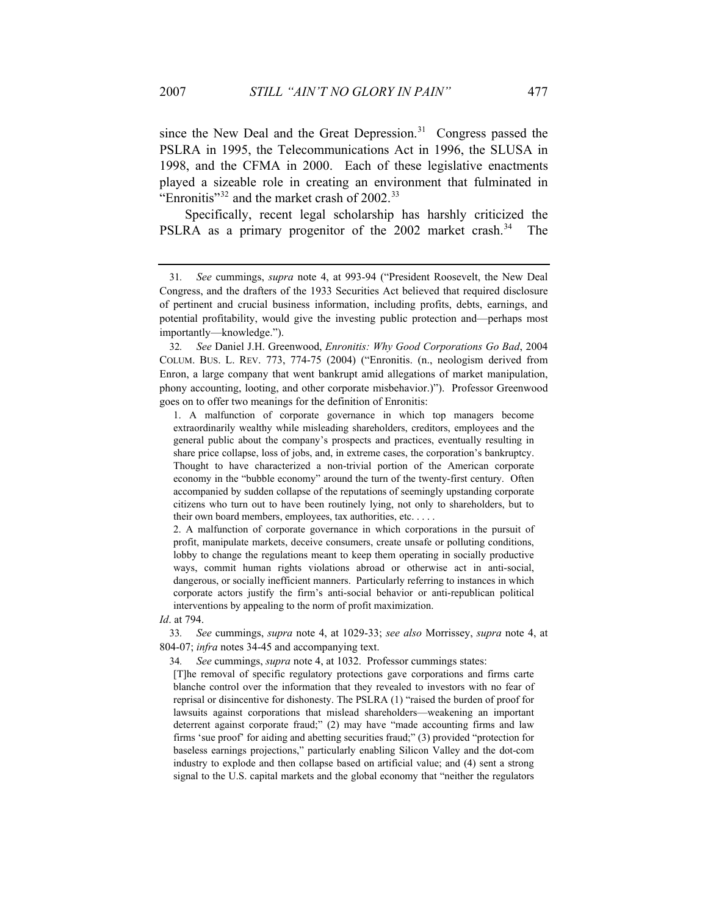since the New Deal and the Great Depression.<sup>31</sup> Congress passed the PSLRA in 1995, the Telecommunications Act in 1996, the SLUSA in 1998, and the CFMA in 2000. Each of these legislative enactments played a sizeable role in creating an environment that fulminated in "Enronitis"<sup>32</sup> and the market crash of  $2002$ <sup>33</sup>

Specifically, recent legal scholarship has harshly criticized the PSLRA as a primary progenitor of the 2002 market crash.<sup>34</sup> The

32*. See* Daniel J.H. Greenwood, *Enronitis: Why Good Corporations Go Bad*, 2004 COLUM. BUS. L. REV. 773, 774-75 (2004) ("Enronitis. (n., neologism derived from Enron, a large company that went bankrupt amid allegations of market manipulation, phony accounting, looting, and other corporate misbehavior.)"). Professor Greenwood goes on to offer two meanings for the definition of Enronitis:

1. A malfunction of corporate governance in which top managers become extraordinarily wealthy while misleading shareholders, creditors, employees and the general public about the company's prospects and practices, eventually resulting in share price collapse, loss of jobs, and, in extreme cases, the corporation's bankruptcy. Thought to have characterized a non-trivial portion of the American corporate economy in the "bubble economy" around the turn of the twenty-first century. Often accompanied by sudden collapse of the reputations of seemingly upstanding corporate citizens who turn out to have been routinely lying, not only to shareholders, but to their own board members, employees, tax authorities, etc. . . . .

2. A malfunction of corporate governance in which corporations in the pursuit of profit, manipulate markets, deceive consumers, create unsafe or polluting conditions, lobby to change the regulations meant to keep them operating in socially productive ways, commit human rights violations abroad or otherwise act in anti-social, dangerous, or socially inefficient manners. Particularly referring to instances in which corporate actors justify the firm's anti-social behavior or anti-republican political interventions by appealing to the norm of profit maximization.

*Id*. at 794.

33*. See* cummings, *supra* note 4, at 1029-33; *see also* Morrissey, *supra* note 4, at 804-07; *infra* notes 34-45 and accompanying text.

34*. See* cummings, *supra* note 4, at 1032. Professor cummings states:

[T]he removal of specific regulatory protections gave corporations and firms carte blanche control over the information that they revealed to investors with no fear of reprisal or disincentive for dishonesty. The PSLRA (1) "raised the burden of proof for lawsuits against corporations that mislead shareholders—weakening an important deterrent against corporate fraud;" (2) may have "made accounting firms and law firms 'sue proof' for aiding and abetting securities fraud;" (3) provided "protection for baseless earnings projections," particularly enabling Silicon Valley and the dot-com industry to explode and then collapse based on artificial value; and (4) sent a strong signal to the U.S. capital markets and the global economy that "neither the regulators

<sup>31</sup>*. See* cummings, *supra* note 4, at 993-94 ("President Roosevelt, the New Deal Congress, and the drafters of the 1933 Securities Act believed that required disclosure of pertinent and crucial business information, including profits, debts, earnings, and potential profitability, would give the investing public protection and—perhaps most importantly—knowledge.").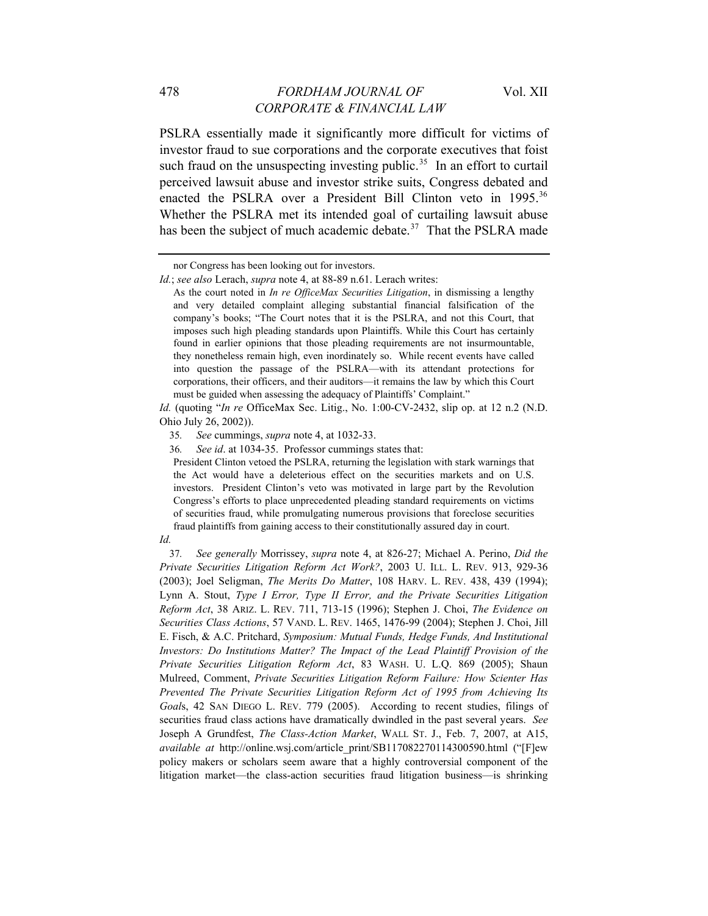PSLRA essentially made it significantly more difficult for victims of investor fraud to sue corporations and the corporate executives that foist such fraud on the unsuspecting investing public.<sup>35</sup> In an effort to curtail perceived lawsuit abuse and investor strike suits, Congress debated and enacted the PSLRA over a President Bill Clinton veto in 1995.<sup>36</sup> Whether the PSLRA met its intended goal of curtailing lawsuit abuse has been the subject of much academic debate. $37$  That the PSLRA made

*Id.* (quoting "*In re* OfficeMax Sec. Litig., No. 1:00-CV-2432, slip op. at 12 n.2 (N.D. Ohio July 26, 2002)).

President Clinton vetoed the PSLRA, returning the legislation with stark warnings that the Act would have a deleterious effect on the securities markets and on U.S. investors. President Clinton's veto was motivated in large part by the Revolution Congress's efforts to place unprecedented pleading standard requirements on victims of securities fraud, while promulgating numerous provisions that foreclose securities fraud plaintiffs from gaining access to their constitutionally assured day in court.

nor Congress has been looking out for investors.

*Id.*; *see also* Lerach, *supra* note 4, at 88-89 n.61. Lerach writes:

As the court noted in *In re OfficeMax Securities Litigation*, in dismissing a lengthy and very detailed complaint alleging substantial financial falsification of the company's books; "The Court notes that it is the PSLRA, and not this Court, that imposes such high pleading standards upon Plaintiffs. While this Court has certainly found in earlier opinions that those pleading requirements are not insurmountable, they nonetheless remain high, even inordinately so. While recent events have called into question the passage of the PSLRA—with its attendant protections for corporations, their officers, and their auditors—it remains the law by which this Court must be guided when assessing the adequacy of Plaintiffs' Complaint."

<sup>35</sup>*. See* cummings, *supra* note 4, at 1032-33.

<sup>36</sup>*. See id*. at 1034-35. Professor cummings states that:

*Id.*

<sup>37</sup>*. See generally* Morrissey, *supra* note 4, at 826-27; Michael A. Perino, *Did the Private Securities Litigation Reform Act Work?*, 2003 U. ILL. L. REV. 913, 929-36 (2003); Joel Seligman, *The Merits Do Matter*, 108 HARV. L. REV. 438, 439 (1994); Lynn A. Stout, *Type I Error, Type II Error, and the Private Securities Litigation Reform Act*, 38 ARIZ. L. REV. 711, 713-15 (1996); Stephen J. Choi, *The Evidence on Securities Class Actions*, 57 VAND. L. REV. 1465, 1476-99 (2004); Stephen J. Choi, Jill E. Fisch, & A.C. Pritchard, *Symposium: Mutual Funds, Hedge Funds, And Institutional Investors: Do Institutions Matter? The Impact of the Lead Plaintiff Provision of the Private Securities Litigation Reform Act*, 83 WASH. U. L.Q. 869 (2005); Shaun Mulreed, Comment, *Private Securities Litigation Reform Failure: How Scienter Has Prevented The Private Securities Litigation Reform Act of 1995 from Achieving Its Goal*s, 42 SAN DIEGO L. REV. 779 (2005). According to recent studies, filings of securities fraud class actions have dramatically dwindled in the past several years. *See* Joseph A Grundfest, *The Class-Action Market*, WALL ST. J., Feb. 7, 2007, at A15, *available at* http://online.wsj.com/article\_print/SB117082270114300590.html ("[F]ew policy makers or scholars seem aware that a highly controversial component of the litigation market—the class-action securities fraud litigation business—is shrinking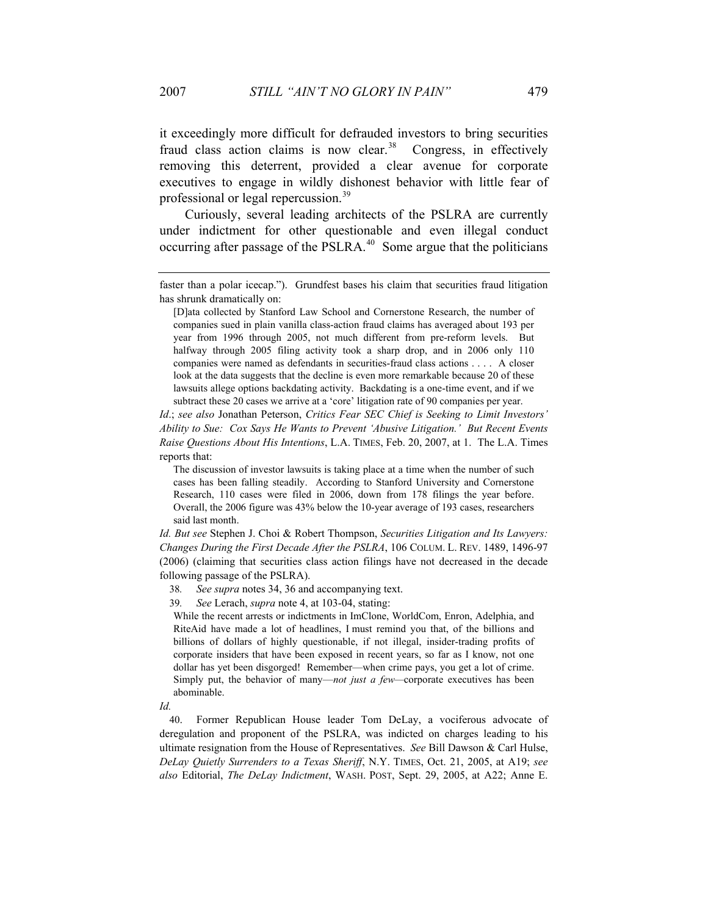it exceedingly more difficult for defrauded investors to bring securities fraud class action claims is now clear.<sup>38</sup> Congress, in effectively removing this deterrent, provided a clear avenue for corporate executives to engage in wildly dishonest behavior with little fear of professional or legal repercussion.<sup>39</sup>

Curiously, several leading architects of the PSLRA are currently under indictment for other questionable and even illegal conduct occurring after passage of the PSLRA. $40$  Some argue that the politicians

*Id*.; *see also* Jonathan Peterson, *Critics Fear SEC Chief is Seeking to Limit Investors' Ability to Sue: Cox Says He Wants to Prevent 'Abusive Litigation.' But Recent Events Raise Questions About His Intentions*, L.A. TIMES, Feb. 20, 2007, at 1. The L.A. Times reports that:

38*. See supra* notes 34, 36 and accompanying text.

39*. See* Lerach, *supra* note 4, at 103-04, stating:

While the recent arrests or indictments in ImClone, WorldCom, Enron, Adelphia, and RiteAid have made a lot of headlines, I must remind you that, of the billions and billions of dollars of highly questionable, if not illegal, insider-trading profits of corporate insiders that have been exposed in recent years, so far as I know, not one dollar has yet been disgorged! Remember—when crime pays, you get a lot of crime. Simply put, the behavior of many—*not just a few—*corporate executives has been abominable.

*Id.*

40. Former Republican House leader Tom DeLay, a vociferous advocate of deregulation and proponent of the PSLRA, was indicted on charges leading to his ultimate resignation from the House of Representatives. *See* Bill Dawson & Carl Hulse, *DeLay Quietly Surrenders to a Texas Sheriff*, N.Y. TIMES, Oct. 21, 2005, at A19; *see also* Editorial, *The DeLay Indictment*, WASH. POST, Sept. 29, 2005, at A22; Anne E.

faster than a polar icecap."). Grundfest bases his claim that securities fraud litigation has shrunk dramatically on:

<sup>[</sup>D]ata collected by Stanford Law School and Cornerstone Research, the number of companies sued in plain vanilla class-action fraud claims has averaged about 193 per year from 1996 through 2005, not much different from pre-reform levels. But halfway through 2005 filing activity took a sharp drop, and in 2006 only 110 companies were named as defendants in securities-fraud class actions . . . . A closer look at the data suggests that the decline is even more remarkable because 20 of these lawsuits allege options backdating activity. Backdating is a one-time event, and if we subtract these 20 cases we arrive at a 'core' litigation rate of 90 companies per year.

The discussion of investor lawsuits is taking place at a time when the number of such cases has been falling steadily. According to Stanford University and Cornerstone Research, 110 cases were filed in 2006, down from 178 filings the year before. Overall, the 2006 figure was 43% below the 10-year average of 193 cases, researchers said last month.

*Id. But see* Stephen J. Choi & Robert Thompson, *Securities Litigation and Its Lawyers: Changes During the First Decade After the PSLRA*, 106 COLUM. L. REV. 1489, 1496-97 (2006) (claiming that securities class action filings have not decreased in the decade following passage of the PSLRA).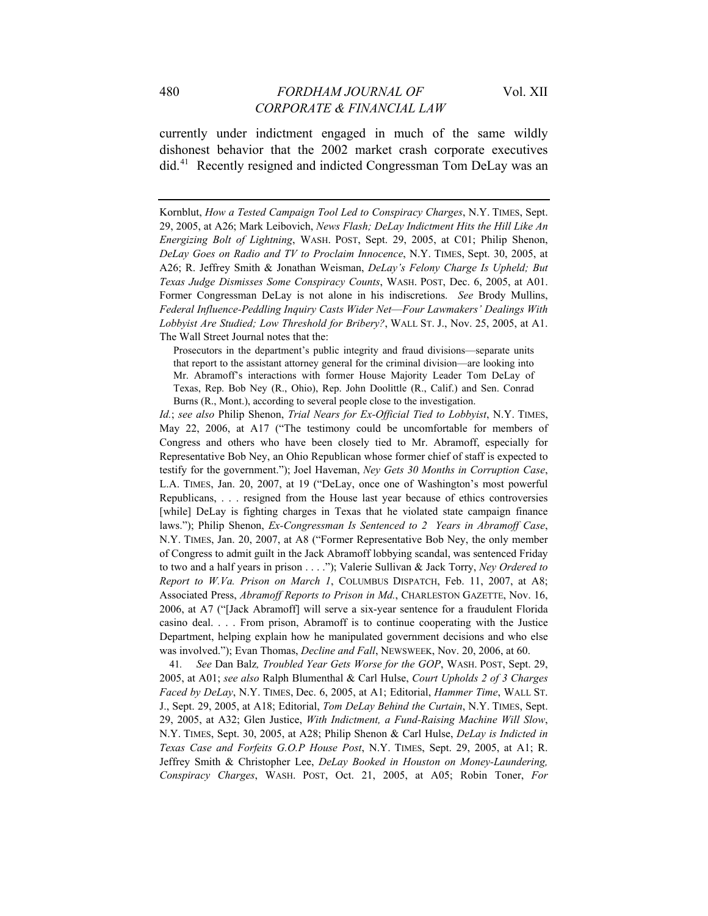currently under indictment engaged in much of the same wildly dishonest behavior that the 2002 market crash corporate executives did.41 Recently resigned and indicted Congressman Tom DeLay was an

Prosecutors in the department's public integrity and fraud divisions—separate units that report to the assistant attorney general for the criminal division—are looking into Mr. Abramoff's interactions with former House Majority Leader Tom DeLay of Texas, Rep. Bob Ney (R., Ohio), Rep. John Doolittle (R., Calif.) and Sen. Conrad Burns (R., Mont.), according to several people close to the investigation.

*Id.*; *see also* Philip Shenon, *Trial Nears for Ex-Official Tied to Lobbyist*, N.Y. TIMES, May 22, 2006, at A17 ("The testimony could be uncomfortable for members of Congress and others who have been closely tied to Mr. Abramoff, especially for Representative Bob Ney, an Ohio Republican whose former chief of staff is expected to testify for the government."); Joel Haveman, *Ney Gets 30 Months in Corruption Case*, L.A. TIMES, Jan. 20, 2007, at 19 ("DeLay, once one of Washington's most powerful Republicans, . . . resigned from the House last year because of ethics controversies [while] DeLay is fighting charges in Texas that he violated state campaign finance laws."); Philip Shenon, *Ex-Congressman Is Sentenced to 2 Years in Abramoff Case*, N.Y. TIMES, Jan. 20, 2007, at A8 ("Former Representative Bob Ney, the only member of Congress to admit guilt in the Jack Abramoff lobbying scandal, was sentenced Friday to two and a half years in prison . . . ."); Valerie Sullivan & Jack Torry, *Ney Ordered to Report to W.Va. Prison on March 1*, COLUMBUS DISPATCH, Feb. 11, 2007, at A8; Associated Press, *Abramoff Reports to Prison in Md.*, CHARLESTON GAZETTE, Nov. 16, 2006, at A7 ("[Jack Abramoff] will serve a six-year sentence for a fraudulent Florida casino deal. . . . From prison, Abramoff is to continue cooperating with the Justice Department, helping explain how he manipulated government decisions and who else was involved."); Evan Thomas, *Decline and Fall*, NEWSWEEK, Nov. 20, 2006, at 60.

41*. See* Dan Balz*, Troubled Year Gets Worse for the GOP*, WASH. POST, Sept. 29, 2005, at A01; *see also* Ralph Blumenthal & Carl Hulse, *Court Upholds 2 of 3 Charges Faced by DeLay*, N.Y. TIMES, Dec. 6, 2005, at A1; Editorial, *Hammer Time*, WALL ST. J., Sept. 29, 2005, at A18; Editorial, *Tom DeLay Behind the Curtain*, N.Y. TIMES, Sept. 29, 2005, at A32; Glen Justice, *With Indictment, a Fund-Raising Machine Will Slow*, N.Y. TIMES, Sept. 30, 2005, at A28; Philip Shenon & Carl Hulse, *DeLay is Indicted in Texas Case and Forfeits G.O.P House Post*, N.Y. TIMES, Sept. 29, 2005, at A1; R. Jeffrey Smith & Christopher Lee, *DeLay Booked in Houston on Money-Laundering, Conspiracy Charges*, WASH. POST, Oct. 21, 2005, at A05; Robin Toner, *For* 

Kornblut, *How a Tested Campaign Tool Led to Conspiracy Charges*, N.Y. TIMES, Sept. 29, 2005, at A26; Mark Leibovich, *News Flash; DeLay Indictment Hits the Hill Like An Energizing Bolt of Lightning*, WASH. POST, Sept. 29, 2005, at C01; Philip Shenon, *DeLay Goes on Radio and TV to Proclaim Innocence*, N.Y. TIMES, Sept. 30, 2005, at A26; R. Jeffrey Smith & Jonathan Weisman, *DeLay's Felony Charge Is Upheld; But Texas Judge Dismisses Some Conspiracy Counts*, WASH. POST, Dec. 6, 2005, at A01. Former Congressman DeLay is not alone in his indiscretions. *See* Brody Mullins, *Federal Influence-Peddling Inquiry Casts Wider Net*—*Four Lawmakers' Dealings With Lobbyist Are Studied; Low Threshold for Bribery?*, WALL ST. J., Nov. 25, 2005, at A1. The Wall Street Journal notes that the: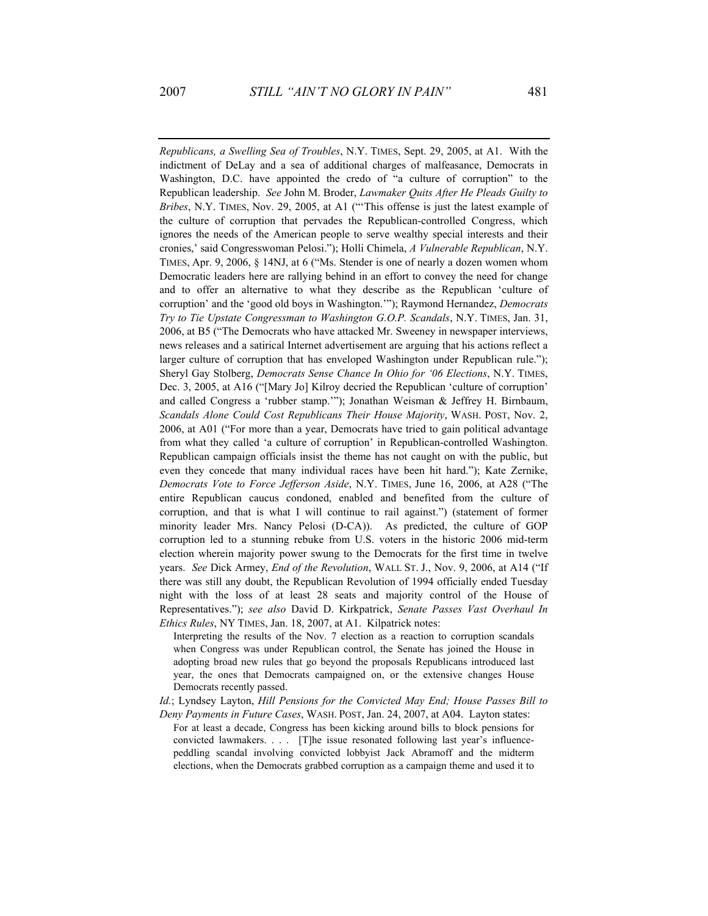*Republicans, a Swelling Sea of Troubles*, N.Y. TIMES, Sept. 29, 2005, at A1. With the indictment of DeLay and a sea of additional charges of malfeasance, Democrats in Washington, D.C. have appointed the credo of "a culture of corruption" to the Republican leadership. *See* John M. Broder, *Lawmaker Quits After He Pleads Guilty to Bribes*, N.Y. TIMES, Nov. 29, 2005, at A1 ("'This offense is just the latest example of the culture of corruption that pervades the Republican-controlled Congress, which ignores the needs of the American people to serve wealthy special interests and their cronies,' said Congresswoman Pelosi."); Holli Chimela, *A Vulnerable Republican*, N.Y. TIMES, Apr. 9, 2006, § 14NJ, at 6 ("Ms. Stender is one of nearly a dozen women whom Democratic leaders here are rallying behind in an effort to convey the need for change and to offer an alternative to what they describe as the Republican 'culture of corruption' and the 'good old boys in Washington.'"); Raymond Hernandez, *Democrats Try to Tie Upstate Congressman to Washington G.O.P. Scandals*, N.Y. TIMES, Jan. 31, 2006, at B5 ("The Democrats who have attacked Mr. Sweeney in newspaper interviews, news releases and a satirical Internet advertisement are arguing that his actions reflect a larger culture of corruption that has enveloped Washington under Republican rule."); Sheryl Gay Stolberg, *Democrats Sense Chance In Ohio for '06 Elections*, N.Y. TIMES, Dec. 3, 2005, at A16 ("[Mary Jo] Kilroy decried the Republican 'culture of corruption' and called Congress a 'rubber stamp.'"); Jonathan Weisman & Jeffrey H. Birnbaum, *Scandals Alone Could Cost Republicans Their House Majority*, WASH. POST, Nov. 2, 2006, at A01 ("For more than a year, Democrats have tried to gain political advantage from what they called 'a culture of corruption' in Republican-controlled Washington. Republican campaign officials insist the theme has not caught on with the public, but even they concede that many individual races have been hit hard."); Kate Zernike, *Democrats Vote to Force Jefferson Aside*, N.Y. TIMES, June 16, 2006, at A28 ("The entire Republican caucus condoned, enabled and benefited from the culture of corruption, and that is what I will continue to rail against.") (statement of former minority leader Mrs. Nancy Pelosi (D-CA)). As predicted, the culture of GOP corruption led to a stunning rebuke from U.S. voters in the historic 2006 mid-term election wherein majority power swung to the Democrats for the first time in twelve years. *See* Dick Armey, *End of the Revolution*, WALL ST. J., Nov. 9, 2006, at A14 ("If there was still any doubt, the Republican Revolution of 1994 officially ended Tuesday night with the loss of at least 28 seats and majority control of the House of Representatives."); *see also* David D. Kirkpatrick, *Senate Passes Vast Overhaul In Ethics Rules*, NY TIMES, Jan. 18, 2007, at A1. Kilpatrick notes:

Interpreting the results of the Nov. 7 election as a reaction to corruption scandals when Congress was under Republican control, the Senate has joined the House in adopting broad new rules that go beyond the proposals Republicans introduced last year, the ones that Democrats campaigned on, or the extensive changes House Democrats recently passed.

*Id.*; Lyndsey Layton, *Hill Pensions for the Convicted May End; House Passes Bill to* 

*Deny Payments in Future Cases*, WASH. POST, Jan. 24, 2007, at A04. Layton states: For at least a decade, Congress has been kicking around bills to block pensions for convicted lawmakers. . . . [T]he issue resonated following last year's influencepeddling scandal involving convicted lobbyist Jack Abramoff and the midterm elections, when the Democrats grabbed corruption as a campaign theme and used it to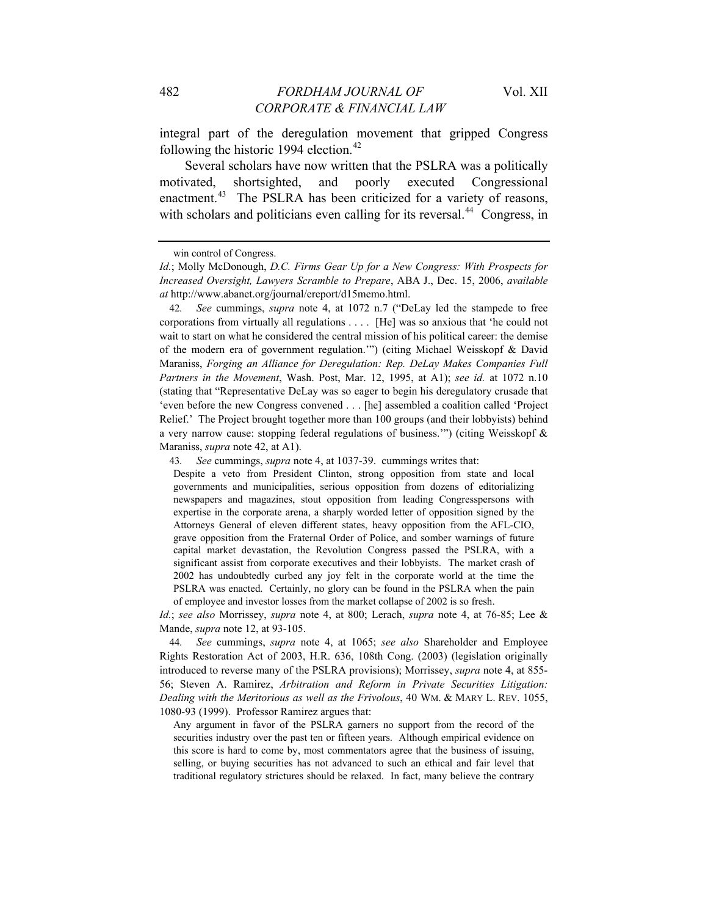integral part of the deregulation movement that gripped Congress following the historic 1994 election. $42$ 

Several scholars have now written that the PSLRA was a politically motivated, shortsighted, and poorly executed Congressional enactment.<sup>43</sup> The PSLRA has been criticized for a variety of reasons, with scholars and politicians even calling for its reversal.<sup>44</sup> Congress, in

42*. See* cummings, *supra* note 4, at 1072 n.7 ("DeLay led the stampede to free corporations from virtually all regulations . . . . [He] was so anxious that 'he could not wait to start on what he considered the central mission of his political career: the demise of the modern era of government regulation.'") (citing Michael Weisskopf & David Maraniss, *Forging an Alliance for Deregulation: Rep. DeLay Makes Companies Full Partners in the Movement*, Wash. Post, Mar. 12, 1995, at A1); *see id.* at 1072 n.10 (stating that "Representative DeLay was so eager to begin his deregulatory crusade that 'even before the new Congress convened . . . [he] assembled a coalition called 'Project Relief.' The Project brought together more than 100 groups (and their lobbyists) behind a very narrow cause: stopping federal regulations of business.'") (citing Weisskopf & Maraniss, *supra* note 42, at A1).

43*. See* cummings, *supra* note 4, at 1037-39. cummings writes that:

Despite a veto from President Clinton, strong opposition from state and local governments and municipalities, serious opposition from dozens of editorializing newspapers and magazines, stout opposition from leading Congresspersons with expertise in the corporate arena, a sharply worded letter of opposition signed by the Attorneys General of eleven different states, heavy opposition from the AFL-CIO, grave opposition from the Fraternal Order of Police, and somber warnings of future capital market devastation, the Revolution Congress passed the PSLRA, with a significant assist from corporate executives and their lobbyists. The market crash of 2002 has undoubtedly curbed any joy felt in the corporate world at the time the PSLRA was enacted. Certainly, no glory can be found in the PSLRA when the pain of employee and investor losses from the market collapse of 2002 is so fresh.

*Id.*; *see also* Morrissey, *supra* note 4, at 800; Lerach, *supra* note 4, at 76-85; Lee & Mande, *supra* note 12, at 93-105.

44*. See* cummings, *supra* note 4, at 1065; *see also* Shareholder and Employee Rights Restoration Act of 2003, H.R. 636, 108th Cong. (2003) (legislation originally introduced to reverse many of the PSLRA provisions); Morrissey, *supra* note 4, at 855- 56; Steven A. Ramirez, *Arbitration and Reform in Private Securities Litigation: Dealing with the Meritorious as well as the Frivolous*, 40 WM. & MARY L. REV. 1055, 1080-93 (1999). Professor Ramirez argues that:

Any argument in favor of the PSLRA garners no support from the record of the securities industry over the past ten or fifteen years. Although empirical evidence on this score is hard to come by, most commentators agree that the business of issuing, selling, or buying securities has not advanced to such an ethical and fair level that traditional regulatory strictures should be relaxed. In fact, many believe the contrary

win control of Congress.

*Id.*; Molly McDonough, *D.C. Firms Gear Up for a New Congress: With Prospects for Increased Oversight, Lawyers Scramble to Prepare*, ABA J., Dec. 15, 2006, *available at* http://www.abanet.org/journal/ereport/d15memo.html.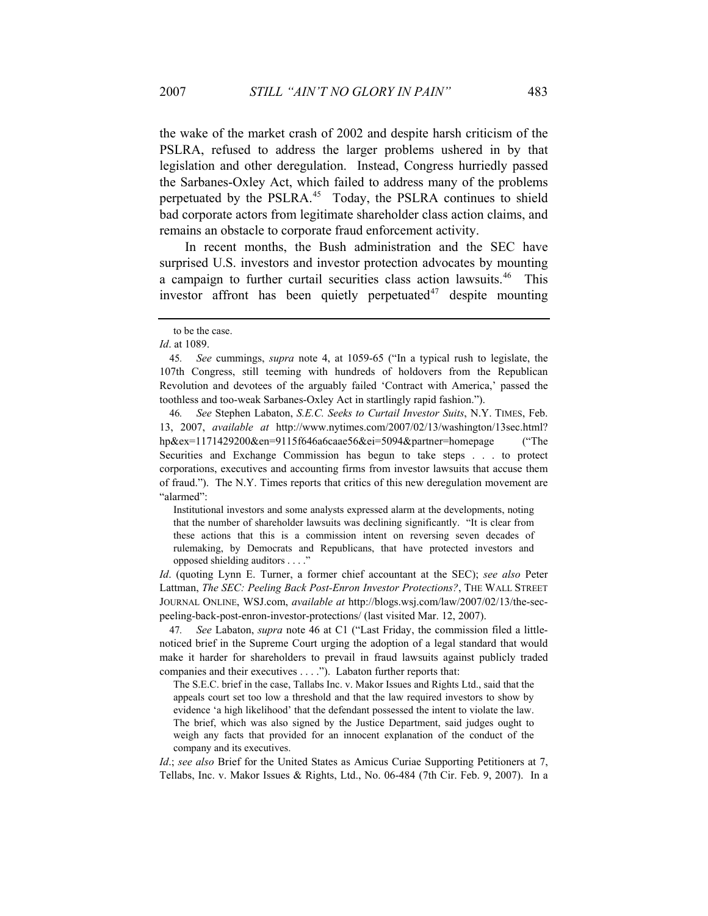the wake of the market crash of 2002 and despite harsh criticism of the PSLRA, refused to address the larger problems ushered in by that legislation and other deregulation. Instead, Congress hurriedly passed the Sarbanes-Oxley Act, which failed to address many of the problems perpetuated by the PSLRA.<sup>45</sup> Today, the PSLRA continues to shield bad corporate actors from legitimate shareholder class action claims, and remains an obstacle to corporate fraud enforcement activity.

In recent months, the Bush administration and the SEC have surprised U.S. investors and investor protection advocates by mounting a campaign to further curtail securities class action lawsuits.<sup>46</sup> This investor affront has been quietly perpetuated $47$  despite mounting

46*. See* Stephen Labaton, *S.E.C. Seeks to Curtail Investor Suits*, N.Y. TIMES, Feb. 13, 2007, *available at* [http://www.nytimes.com/2007/02/13/washington/13sec.html?](http://www.nytimes.com/2007/02/13/washington/13sec.html) hp&ex=1171429200&en=9115f646a6caae56&ei=5094&partner=homepage ("The Securities and Exchange Commission has begun to take steps . . . to protect corporations, executives and accounting firms from investor lawsuits that accuse them of fraud."). The N.Y. Times reports that critics of this new deregulation movement are "alarmed":

Institutional investors and some analysts expressed alarm at the developments, noting that the number of shareholder lawsuits was declining significantly. "It is clear from these actions that this is a commission intent on reversing seven decades of rulemaking, by Democrats and Republicans, that have protected investors and opposed shielding auditors . . . ."

*Id*. (quoting Lynn E. Turner, a former chief accountant at the SEC); *see also* Peter Lattman, *The SEC: Peeling Back Post-Enron Investor Protections?*, THE WALL STREET JOURNAL ONLINE, WSJ.com, *available at* http://blogs.wsj.com/law/2007/02/13/the-secpeeling-back-post-enron-investor-protections/ (last visited Mar. 12, 2007).

47*. See* Labaton, *supra* note 46 at C1 ("Last Friday, the commission filed a littlenoticed brief in the Supreme Court urging the adoption of a legal standard that would make it harder for shareholders to prevail in fraud lawsuits against publicly traded companies and their executives . . . ."). Labaton further reports that:

The S.E.C. brief in the case, Tallabs Inc. v. Makor Issues and Rights Ltd., said that the appeals court set too low a threshold and that the law required investors to show by evidence 'a high likelihood' that the defendant possessed the intent to violate the law. The brief, which was also signed by the Justice Department, said judges ought to weigh any facts that provided for an innocent explanation of the conduct of the company and its executives.

*Id*.; *see also* Brief for the United States as Amicus Curiae Supporting Petitioners at 7, Tellabs, Inc. v. Makor Issues & Rights, Ltd., No. 06-484 (7th Cir. Feb. 9, 2007). In a

to be the case.

*Id*. at 1089.

<sup>45</sup>*. See* cummings, *supra* note 4, at 1059-65 ("In a typical rush to legislate, the 107th Congress, still teeming with hundreds of holdovers from the Republican Revolution and devotees of the arguably failed 'Contract with America,' passed the toothless and too-weak Sarbanes-Oxley Act in startlingly rapid fashion.").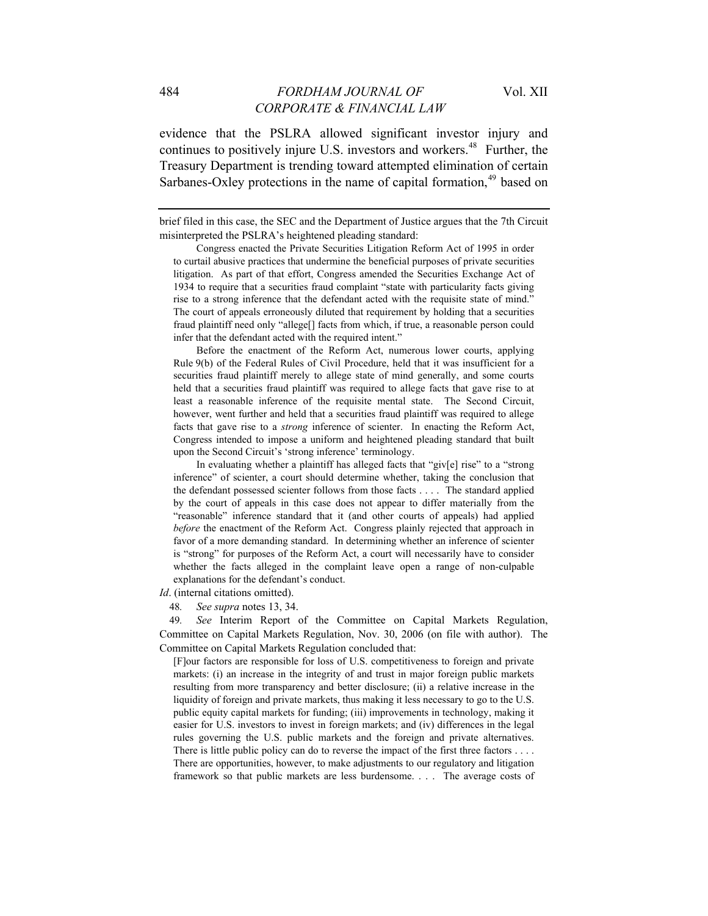evidence that the PSLRA allowed significant investor injury and continues to positively injure U.S. investors and workers.<sup>48</sup> Further, the Treasury Department is trending toward attempted elimination of certain Sarbanes-Oxley protections in the name of capital formation,  $49$  based on

brief filed in this case, the SEC and the Department of Justice argues that the 7th Circuit misinterpreted the PSLRA's heightened pleading standard:

 Congress enacted the Private Securities Litigation Reform Act of 1995 in order to curtail abusive practices that undermine the beneficial purposes of private securities litigation. As part of that effort, Congress amended the Securities Exchange Act of 1934 to require that a securities fraud complaint "state with particularity facts giving rise to a strong inference that the defendant acted with the requisite state of mind." The court of appeals erroneously diluted that requirement by holding that a securities fraud plaintiff need only "allege[] facts from which, if true, a reasonable person could infer that the defendant acted with the required intent."

 Before the enactment of the Reform Act, numerous lower courts, applying Rule 9(b) of the Federal Rules of Civil Procedure, held that it was insufficient for a securities fraud plaintiff merely to allege state of mind generally, and some courts held that a securities fraud plaintiff was required to allege facts that gave rise to at least a reasonable inference of the requisite mental state. The Second Circuit, however, went further and held that a securities fraud plaintiff was required to allege facts that gave rise to a *strong* inference of scienter. In enacting the Reform Act, Congress intended to impose a uniform and heightened pleading standard that built upon the Second Circuit's 'strong inference' terminology.

 In evaluating whether a plaintiff has alleged facts that "giv[e] rise" to a "strong inference" of scienter, a court should determine whether, taking the conclusion that the defendant possessed scienter follows from those facts . . . . The standard applied by the court of appeals in this case does not appear to differ materially from the "reasonable" inference standard that it (and other courts of appeals) had applied *before* the enactment of the Reform Act. Congress plainly rejected that approach in favor of a more demanding standard. In determining whether an inference of scienter is "strong" for purposes of the Reform Act, a court will necessarily have to consider whether the facts alleged in the complaint leave open a range of non-culpable explanations for the defendant's conduct.

*Id*. (internal citations omitted).

48*. See supra* notes 13, 34.

49*. See* Interim Report of the Committee on Capital Markets Regulation, Committee on Capital Markets Regulation, Nov. 30, 2006 (on file with author). The Committee on Capital Markets Regulation concluded that:

[F]our factors are responsible for loss of U.S. competitiveness to foreign and private markets: (i) an increase in the integrity of and trust in major foreign public markets resulting from more transparency and better disclosure; (ii) a relative increase in the liquidity of foreign and private markets, thus making it less necessary to go to the U.S. public equity capital markets for funding; (iii) improvements in technology, making it easier for U.S. investors to invest in foreign markets; and (iv) differences in the legal rules governing the U.S. public markets and the foreign and private alternatives. There is little public policy can do to reverse the impact of the first three factors . . . . There are opportunities, however, to make adjustments to our regulatory and litigation framework so that public markets are less burdensome. . . . The average costs of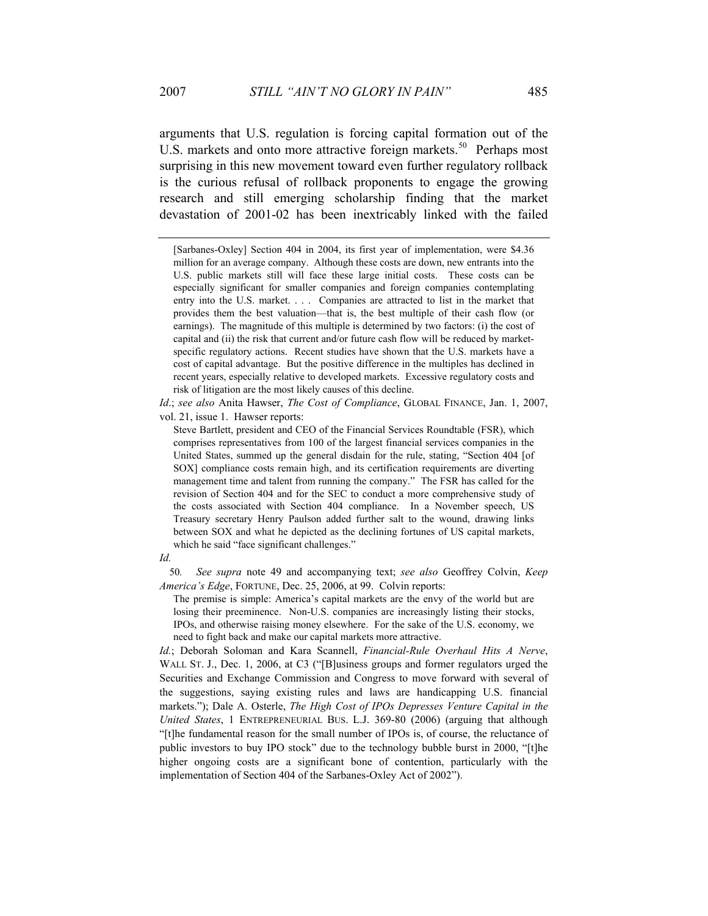arguments that U.S. regulation is forcing capital formation out of the U.S. markets and onto more attractive foreign markets.<sup>50</sup> Perhaps most surprising in this new movement toward even further regulatory rollback is the curious refusal of rollback proponents to engage the growing research and still emerging scholarship finding that the market devastation of 2001-02 has been inextricably linked with the failed

[Sarbanes-Oxley] Section 404 in 2004, its first year of implementation, were \$4.36 million for an average company. Although these costs are down, new entrants into the U.S. public markets still will face these large initial costs. These costs can be especially significant for smaller companies and foreign companies contemplating entry into the U.S. market. . . . Companies are attracted to list in the market that provides them the best valuation—that is, the best multiple of their cash flow (or earnings). The magnitude of this multiple is determined by two factors: (i) the cost of capital and (ii) the risk that current and/or future cash flow will be reduced by marketspecific regulatory actions. Recent studies have shown that the U.S. markets have a cost of capital advantage. But the positive difference in the multiples has declined in recent years, especially relative to developed markets. Excessive regulatory costs and risk of litigation are the most likely causes of this decline.

*Id*.; *see also* Anita Hawser, *The Cost of Compliance*, GLOBAL FINANCE, Jan. 1, 2007, vol. 21, issue 1. Hawser reports:

Steve Bartlett, president and CEO of the Financial Services Roundtable (FSR), which comprises representatives from 100 of the largest financial services companies in the United States, summed up the general disdain for the rule, stating, "Section 404 [of SOX] compliance costs remain high, and its certification requirements are diverting management time and talent from running the company." The FSR has called for the revision of Section 404 and for the SEC to conduct a more comprehensive study of the costs associated with Section 404 compliance. In a November speech, US Treasury secretary Henry Paulson added further salt to the wound, drawing links between SOX and what he depicted as the declining fortunes of US capital markets, which he said "face significant challenges."

#### *Id.*

50*. See supra* note 49 and accompanying text; *see also* Geoffrey Colvin, *Keep America's Edge*, FORTUNE, Dec. 25, 2006, at 99. Colvin reports:

The premise is simple: America's capital markets are the envy of the world but are losing their preeminence. Non-U.S. companies are increasingly listing their stocks, IPOs, and otherwise raising money elsewhere. For the sake of the U.S. economy, we need to fight back and make our capital markets more attractive.

*Id.*; Deborah Soloman and Kara Scannell, *Financial-Rule Overhaul Hits A Nerve*, WALL ST. J., Dec. 1, 2006, at C3 ("[B]usiness groups and former regulators urged the Securities and Exchange Commission and Congress to move forward with several of the suggestions, saying existing rules and laws are handicapping U.S. financial markets."); Dale A. Osterle, *The High Cost of IPOs Depresses Venture Capital in the United States*, 1 ENTREPRENEURIAL BUS. L.J. 369-80 (2006) (arguing that although "[t]he fundamental reason for the small number of IPOs is, of course, the reluctance of public investors to buy IPO stock" due to the technology bubble burst in 2000, "[t]he higher ongoing costs are a significant bone of contention, particularly with the implementation of Section 404 of the Sarbanes-Oxley Act of 2002").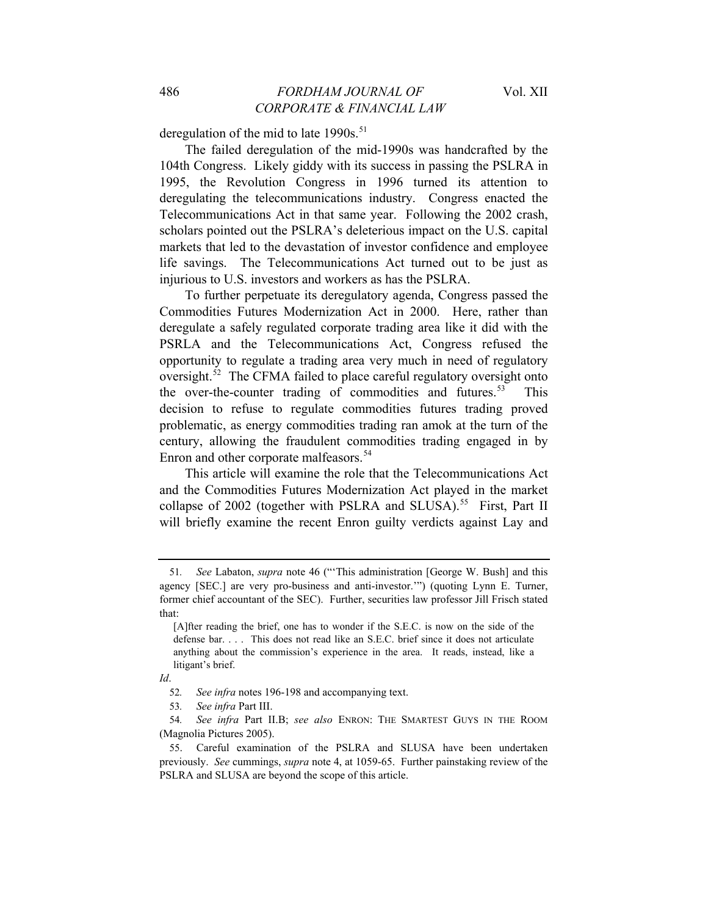deregulation of the mid to late  $1990s$ .<sup>51</sup>

The failed deregulation of the mid-1990s was handcrafted by the 104th Congress. Likely giddy with its success in passing the PSLRA in 1995, the Revolution Congress in 1996 turned its attention to deregulating the telecommunications industry. Congress enacted the Telecommunications Act in that same year. Following the 2002 crash, scholars pointed out the PSLRA's deleterious impact on the U.S. capital markets that led to the devastation of investor confidence and employee life savings. The Telecommunications Act turned out to be just as injurious to U.S. investors and workers as has the PSLRA.

To further perpetuate its deregulatory agenda, Congress passed the Commodities Futures Modernization Act in 2000. Here, rather than deregulate a safely regulated corporate trading area like it did with the PSRLA and the Telecommunications Act, Congress refused the opportunity to regulate a trading area very much in need of regulatory oversight. $52$  The CFMA failed to place careful regulatory oversight onto the over-the-counter trading of commodities and futures.<sup>53</sup> This decision to refuse to regulate commodities futures trading proved problematic, as energy commodities trading ran amok at the turn of the century, allowing the fraudulent commodities trading engaged in by Enron and other corporate malfeasors.<sup>54</sup>

This article will examine the role that the Telecommunications Act and the Commodities Futures Modernization Act played in the market collapse of 2002 (together with PSLRA and SLUSA).<sup>55</sup> First, Part II will briefly examine the recent Enron guilty verdicts against Lay and

<sup>51</sup>*. See* Labaton, *supra* note 46 ("'This administration [George W. Bush] and this agency [SEC.] are very pro-business and anti-investor.'") (quoting Lynn E. Turner, former chief accountant of the SEC). Further, securities law professor Jill Frisch stated that:

<sup>[</sup>A]fter reading the brief, one has to wonder if the S.E.C. is now on the side of the defense bar. . . . This does not read like an S.E.C. brief since it does not articulate anything about the commission's experience in the area. It reads, instead, like a litigant's brief.

*Id*.

<sup>52</sup>*. See infra* notes 196-198 and accompanying text.

<sup>53</sup>*. See infra* Part III.

<sup>54</sup>*. See infra* Part II.B; *see also* ENRON: THE SMARTEST GUYS IN THE ROOM (Magnolia Pictures 2005).

<sup>55.</sup> Careful examination of the PSLRA and SLUSA have been undertaken previously. *See* cummings, *supra* note 4, at 1059-65. Further painstaking review of the PSLRA and SLUSA are beyond the scope of this article.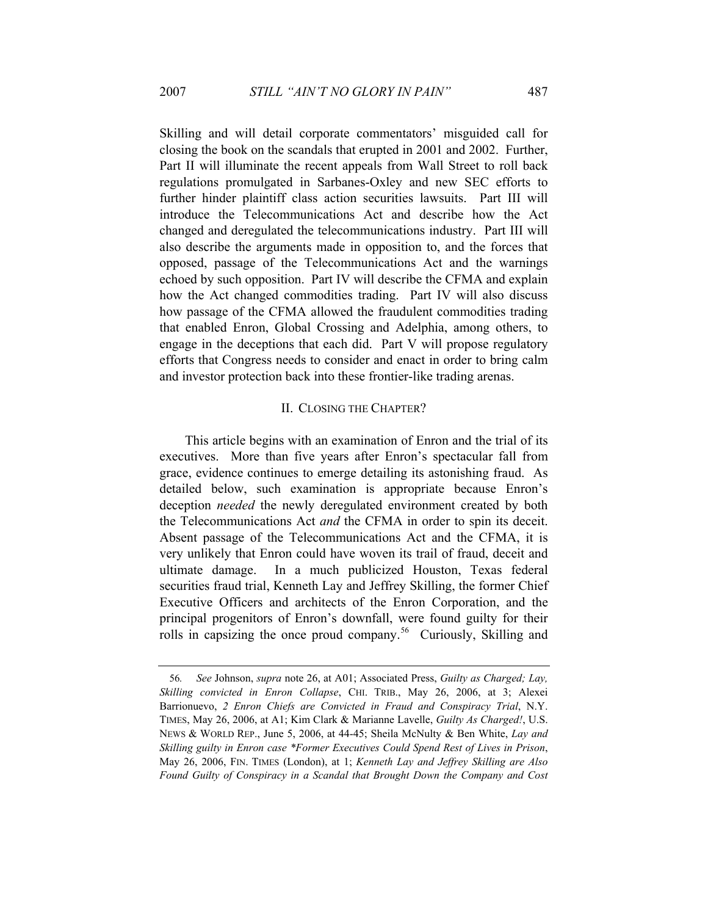Skilling and will detail corporate commentators' misguided call for closing the book on the scandals that erupted in 2001 and 2002. Further, Part II will illuminate the recent appeals from Wall Street to roll back regulations promulgated in Sarbanes-Oxley and new SEC efforts to further hinder plaintiff class action securities lawsuits. Part III will introduce the Telecommunications Act and describe how the Act changed and deregulated the telecommunications industry. Part III will also describe the arguments made in opposition to, and the forces that opposed, passage of the Telecommunications Act and the warnings echoed by such opposition. Part IV will describe the CFMA and explain how the Act changed commodities trading. Part IV will also discuss how passage of the CFMA allowed the fraudulent commodities trading that enabled Enron, Global Crossing and Adelphia, among others, to engage in the deceptions that each did. Part V will propose regulatory efforts that Congress needs to consider and enact in order to bring calm and investor protection back into these frontier-like trading arenas.

#### II. CLOSING THE CHAPTER?

This article begins with an examination of Enron and the trial of its executives. More than five years after Enron's spectacular fall from grace, evidence continues to emerge detailing its astonishing fraud. As detailed below, such examination is appropriate because Enron's deception *needed* the newly deregulated environment created by both the Telecommunications Act *and* the CFMA in order to spin its deceit. Absent passage of the Telecommunications Act and the CFMA, it is very unlikely that Enron could have woven its trail of fraud, deceit and ultimate damage. In a much publicized Houston, Texas federal securities fraud trial, Kenneth Lay and Jeffrey Skilling, the former Chief Executive Officers and architects of the Enron Corporation, and the principal progenitors of Enron's downfall, were found guilty for their rolls in capsizing the once proud company.<sup>56</sup> Curiously, Skilling and

<sup>56</sup>*. See* Johnson, *supra* note 26, at A01; Associated Press, *Guilty as Charged; Lay, Skilling convicted in Enron Collapse*, CHI. TRIB., May 26, 2006, at 3; Alexei Barrionuevo, *2 Enron Chiefs are Convicted in Fraud and Conspiracy Trial*, N.Y. TIMES, May 26, 2006, at A1; Kim Clark & Marianne Lavelle, *Guilty As Charged!*, U.S. NEWS & WORLD REP., June 5, 2006, at 44-45; Sheila McNulty & Ben White, *Lay and Skilling guilty in Enron case \*Former Executives Could Spend Rest of Lives in Prison*, May 26, 2006, FIN. TIMES (London), at 1; *Kenneth Lay and Jeffrey Skilling are Also Found Guilty of Conspiracy in a Scandal that Brought Down the Company and Cost*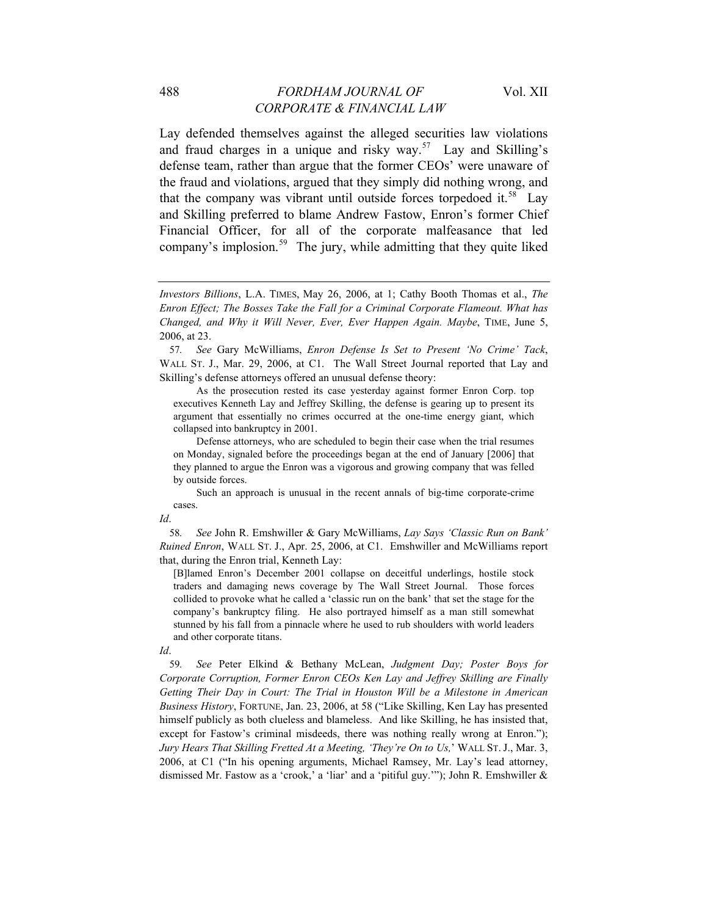Lay defended themselves against the alleged securities law violations and fraud charges in a unique and risky way.<sup>57</sup> Lay and Skilling's defense team, rather than argue that the former CEOs' were unaware of the fraud and violations, argued that they simply did nothing wrong, and that the company was vibrant until outside forces torpedoed it.<sup>58</sup> Lay and Skilling preferred to blame Andrew Fastow, Enron's former Chief Financial Officer, for all of the corporate malfeasance that led company's implosion.<sup>59</sup> The jury, while admitting that they quite liked

 As the prosecution rested its case yesterday against former Enron Corp. top executives Kenneth Lay and Jeffrey Skilling, the defense is gearing up to present its argument that essentially no crimes occurred at the one-time energy giant, which collapsed into bankruptcy in 2001.

 Such an approach is unusual in the recent annals of big-time corporate-crime cases.

*Id*.

[B]lamed Enron's December 2001 collapse on deceitful underlings, hostile stock traders and damaging news coverage by The Wall Street Journal. Those forces collided to provoke what he called a 'classic run on the bank' that set the stage for the company's bankruptcy filing. He also portrayed himself as a man still somewhat stunned by his fall from a pinnacle where he used to rub shoulders with world leaders and other corporate titans.

59*. See* Peter Elkind & Bethany McLean, *Judgment Day; Poster Boys for Corporate Corruption, Former Enron CEOs Ken Lay and Jeffrey Skilling are Finally Getting Their Day in Court: The Trial in Houston Will be a Milestone in American Business History*, FORTUNE, Jan. 23, 2006, at 58 ("Like Skilling, Ken Lay has presented himself publicly as both clueless and blameless. And like Skilling, he has insisted that, except for Fastow's criminal misdeeds, there was nothing really wrong at Enron."); *Jury Hears That Skilling Fretted At a Meeting, 'They're On to Us,*' WALL ST. J., Mar. 3, 2006, at C1 ("In his opening arguments, Michael Ramsey, Mr. Lay's lead attorney, dismissed Mr. Fastow as a 'crook,' a 'liar' and a 'pitiful guy.'"); John R. Emshwiller &

*Investors Billions*, L.A. TIMES, May 26, 2006, at 1; Cathy Booth Thomas et al., *The Enron Effect; The Bosses Take the Fall for a Criminal Corporate Flameout. What has Changed, and Why it Will Never, Ever, Ever Happen Again. Maybe*, TIME, June 5, 2006, at 23.

<sup>57</sup>*. See* Gary McWilliams, *Enron Defense Is Set to Present 'No Crime' Tack*, WALL ST. J., Mar. 29, 2006, at C1. The Wall Street Journal reported that Lay and Skilling's defense attorneys offered an unusual defense theory:

Defense attorneys, who are scheduled to begin their case when the trial resumes on Monday, signaled before the proceedings began at the end of January [2006] that they planned to argue the Enron was a vigorous and growing company that was felled by outside forces.

<sup>58</sup>*. See* John R. Emshwiller & Gary McWilliams, *Lay Says 'Classic Run on Bank' Ruined Enron*, WALL ST. J., Apr. 25, 2006, at C1. Emshwiller and McWilliams report that, during the Enron trial, Kenneth Lay:

*Id*.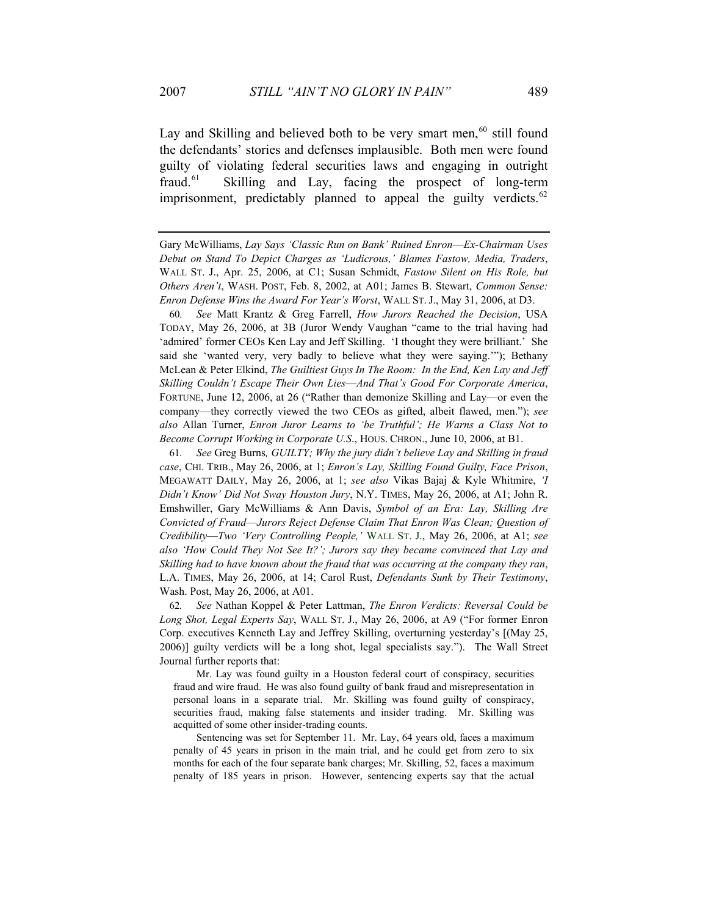Lay and Skilling and believed both to be very smart men, $60$  still found the defendants' stories and defenses implausible. Both men were found guilty of violating federal securities laws and engaging in outright fraud.61 Skilling and Lay, facing the prospect of long-term imprisonment, predictably planned to appeal the guilty verdicts.<sup>62</sup>

Gary McWilliams, *Lay Says 'Classic Run on Bank' Ruined Enron*—*Ex-Chairman Uses Debut on Stand To Depict Charges as 'Ludicrous,' Blames Fastow, Media, Traders*, WALL ST. J., Apr. 25, 2006, at C1; Susan Schmidt, *Fastow Silent on His Role, but Others Aren't*, WASH. POST, Feb. 8, 2002, at A01; James B. Stewart, *Common Sense: Enron Defense Wins the Award For Year's Worst*, WALL ST. J., May 31, 2006, at D3.

60*. See* Matt Krantz & Greg Farrell, *How Jurors Reached the Decision*, USA TODAY, May 26, 2006, at 3B (Juror Wendy Vaughan "came to the trial having had 'admired' former CEOs Ken Lay and Jeff Skilling. 'I thought they were brilliant.' She said she 'wanted very, very badly to believe what they were saying.'"); Bethany McLean & Peter Elkind, *The Guiltiest Guys In The Room: In the End, Ken Lay and Jeff Skilling Couldn't Escape Their Own Lies*—*And That's Good For Corporate America*, FORTUNE, June 12, 2006, at 26 ("Rather than demonize Skilling and Lay—or even the company—they correctly viewed the two CEOs as gifted, albeit flawed, men."); *see also* Allan Turner, *Enron Juror Learns to 'be Truthful'; He Warns a Class Not to Become Corrupt Working in Corporate U.S*., HOUS. CHRON., June 10, 2006, at B1.

61*. See* Greg Burns*, GUILTY; Why the jury didn't believe Lay and Skilling in fraud case*, CHI. TRIB., May 26, 2006, at 1; *Enron's Lay, Skilling Found Guilty, Face Prison*, MEGAWATT DAILY, May 26, 2006, at 1; *see also* Vikas Bajaj & Kyle Whitmire, *'I Didn't Know' Did Not Sway Houston Jury*, N.Y. TIMES, May 26, 2006, at A1; John R. Emshwiller, Gary McWilliams & Ann Davis, *Symbol of an Era: Lay, Skilling Are Convicted of Fraud*—*Jurors Reject Defense Claim That Enron Was Clean; Question of Credibility*—*Two 'Very Controlling People,'* WALL ST. J., May 26, 2006, at A1; *see also 'How Could They Not See It?'; Jurors say they became convinced that Lay and Skilling had to have known about the fraud that was occurring at the company they ran*, L.A. TIMES, May 26, 2006, at 14; Carol Rust, *Defendants Sunk by Their Testimony*, Wash. Post, May 26, 2006, at A01.

62*. See* Nathan Koppel & Peter Lattman, *The Enron Verdicts: Reversal Could be Long Shot, Legal Experts Say*, WALL ST. J., May 26, 2006, at A9 ("For former Enron Corp. executives Kenneth Lay and Jeffrey Skilling, overturning yesterday's [(May 25, 2006)] guilty verdicts will be a long shot, legal specialists say."). The Wall Street Journal further reports that:

 Mr. Lay was found guilty in a Houston federal court of conspiracy, securities fraud and wire fraud. He was also found guilty of bank fraud and misrepresentation in personal loans in a separate trial. Mr. Skilling was found guilty of conspiracy, securities fraud, making false statements and insider trading. Mr. Skilling was acquitted of some other insider-trading counts.

 Sentencing was set for September 11. Mr. Lay, 64 years old, faces a maximum penalty of 45 years in prison in the main trial, and he could get from zero to six months for each of the four separate bank charges; Mr. Skilling, 52, faces a maximum penalty of 185 years in prison. However, sentencing experts say that the actual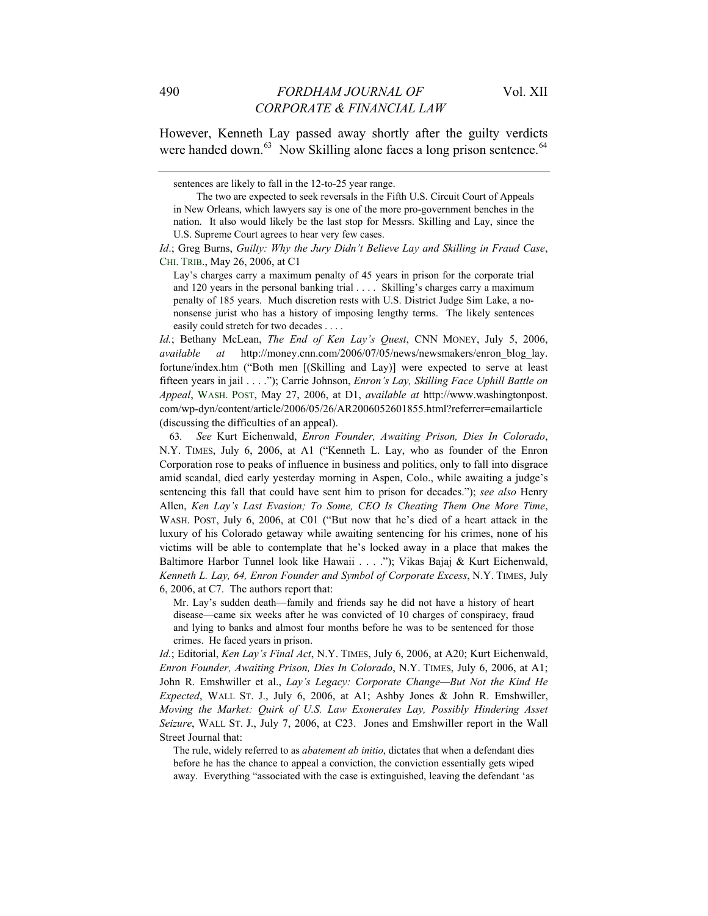However, Kenneth Lay passed away shortly after the guilty verdicts were handed down.<sup>63</sup> Now Skilling alone faces a long prison sentence.<sup>64</sup>

*Id.*; Bethany McLean, *The End of Ken Lay's Quest*, CNN MONEY, July 5, 2006, *available at* [http://money.cnn.com/2006/07/05/news/newsmakers/enron\\_blog\\_lay.](http://money.cnn.com/2006/07/05/news/newsmakers/enron_blog_lay) fortune/index.htm ("Both men [(Skilling and Lay)] were expected to serve at least fifteen years in jail . . . ."); Carrie Johnson, *Enron's Lay, Skilling Face Uphill Battle on Appeal*, WASH. POST, May 27, 2006, at D1, *available at* [http://www.washingtonpost.](http://www.washingtonpost/) com/wp-dyn/content/article/2006/05/26/AR2006052601855.html?referrer=emailarticle (discussing the difficulties of an appeal).

63*. See* Kurt Eichenwald, *Enron Founder, Awaiting Prison, Dies In Colorado*, N.Y. TIMES, July 6, 2006, at A1 ("Kenneth L. Lay, who as founder of the Enron Corporation rose to peaks of influence in business and politics, only to fall into disgrace amid scandal, died early yesterday morning in Aspen, Colo., while awaiting a judge's sentencing this fall that could have sent him to prison for decades."); *see also* Henry Allen, *Ken Lay's Last Evasion; To Some, CEO Is Cheating Them One More Time*, WASH. POST, July 6, 2006, at C01 ("But now that he's died of a heart attack in the luxury of his Colorado getaway while awaiting sentencing for his crimes, none of his victims will be able to contemplate that he's locked away in a place that makes the Baltimore Harbor Tunnel look like Hawaii . . . ."); Vikas Bajaj & Kurt Eichenwald, *Kenneth L. Lay, 64, Enron Founder and Symbol of Corporate Excess*, N.Y. TIMES, July 6, 2006, at C7. The authors report that:

Mr. Lay's sudden death—family and friends say he did not have a history of heart disease—came six weeks after he was convicted of 10 charges of conspiracy, fraud and lying to banks and almost four months before he was to be sentenced for those crimes. He faced years in prison.

*Id.*; Editorial, *Ken Lay's Final Act*, N.Y. TIMES, July 6, 2006, at A20; Kurt Eichenwald, *Enron Founder, Awaiting Prison, Dies In Colorado*, N.Y. TIMES, July 6, 2006, at A1; John R. Emshwiller et al., *Lay's Legacy: Corporate Change—But Not the Kind He Expected*, WALL ST. J., July 6, 2006, at A1; Ashby Jones & John R. Emshwiller, *Moving the Market: Quirk of U.S. Law Exonerates Lay, Possibly Hindering Asset Seizure*, WALL ST. J., July 7, 2006, at C23. Jones and Emshwiller report in the Wall Street Journal that:

The rule, widely referred to as *abatement ab initio*, dictates that when a defendant dies before he has the chance to appeal a conviction, the conviction essentially gets wiped away. Everything "associated with the case is extinguished, leaving the defendant 'as

sentences are likely to fall in the 12-to-25 year range.

The two are expected to seek reversals in the Fifth U.S. Circuit Court of Appeals in New Orleans, which lawyers say is one of the more pro-government benches in the nation. It also would likely be the last stop for Messrs. Skilling and Lay, since the U.S. Supreme Court agrees to hear very few cases.

*Id*.; Greg Burns, *Guilty: Why the Jury Didn't Believe Lay and Skilling in Fraud Case*, CHI. TRIB., May 26, 2006, at C1

Lay's charges carry a maximum penalty of 45 years in prison for the corporate trial and 120 years in the personal banking trial . . . . Skilling's charges carry a maximum penalty of 185 years. Much discretion rests with U.S. District Judge Sim Lake, a nononsense jurist who has a history of imposing lengthy terms. The likely sentences easily could stretch for two decades . . . .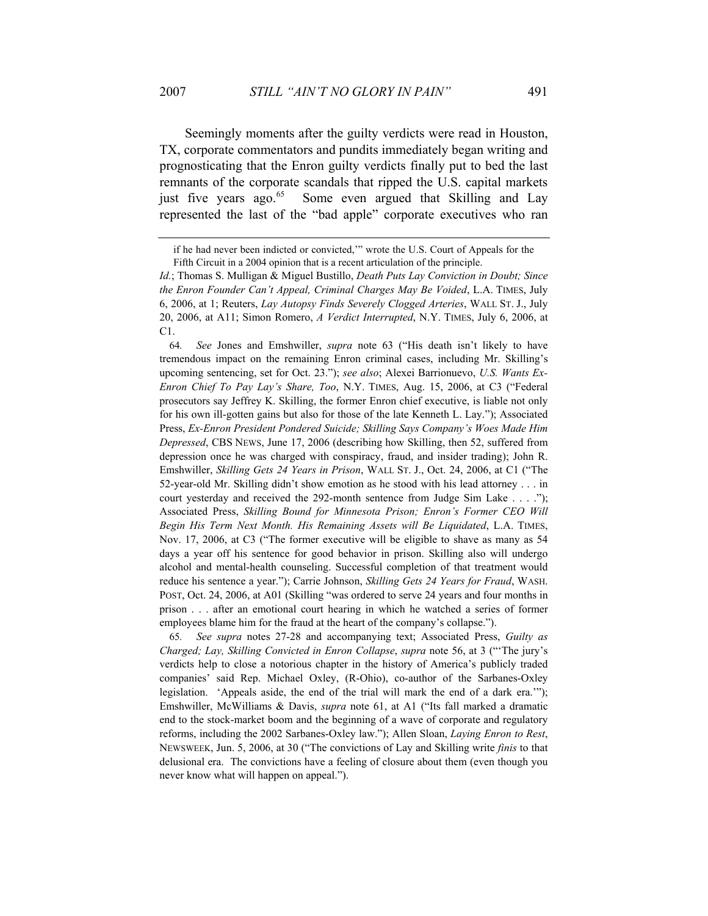Seemingly moments after the guilty verdicts were read in Houston, TX, corporate commentators and pundits immediately began writing and prognosticating that the Enron guilty verdicts finally put to bed the last remnants of the corporate scandals that ripped the U.S. capital markets just five years ago.<sup>65</sup> Some even argued that Skilling and Lay represented the last of the "bad apple" corporate executives who ran

64*. See* Jones and Emshwiller, *supra* note 63 ("His death isn't likely to have tremendous impact on the remaining Enron criminal cases, including Mr. Skilling's upcoming sentencing, set for Oct. 23."); *see also*; Alexei Barrionuevo, *U.S. Wants Ex-Enron Chief To Pay Lay's Share, Too*, N.Y. TIMES, Aug. 15, 2006, at C3 ("Federal prosecutors say Jeffrey K. Skilling, the former Enron chief executive, is liable not only for his own ill-gotten gains but also for those of the late Kenneth L. Lay."); Associated Press, *Ex-Enron President Pondered Suicide; Skilling Says Company's Woes Made Him Depressed*, CBS NEWS, June 17, 2006 (describing how Skilling, then 52, suffered from depression once he was charged with conspiracy, fraud, and insider trading); John R. Emshwiller, *Skilling Gets 24 Years in Prison*, WALL ST. J., Oct. 24, 2006, at C1 ("The 52-year-old Mr. Skilling didn't show emotion as he stood with his lead attorney . . . in court yesterday and received the 292-month sentence from Judge Sim Lake . . . ."); Associated Press, *Skilling Bound for Minnesota Prison; Enron's Former CEO Will Begin His Term Next Month. His Remaining Assets will Be Liquidated*, L.A. TIMES, Nov. 17, 2006, at C3 ("The former executive will be eligible to shave as many as 54 days a year off his sentence for good behavior in prison. Skilling also will undergo alcohol and mental-health counseling. Successful completion of that treatment would reduce his sentence a year."); Carrie Johnson, *Skilling Gets 24 Years for Fraud*, WASH. POST, Oct. 24, 2006, at A01 (Skilling "was ordered to serve 24 years and four months in prison . . . after an emotional court hearing in which he watched a series of former employees blame him for the fraud at the heart of the company's collapse.").

65*. See supra* notes 27-28 and accompanying text; Associated Press, *Guilty as Charged; Lay, Skilling Convicted in Enron Collapse*, *supra* note 56, at 3 ("'The jury's verdicts help to close a notorious chapter in the history of America's publicly traded companies' said Rep. Michael Oxley, (R-Ohio), co-author of the Sarbanes-Oxley legislation. 'Appeals aside, the end of the trial will mark the end of a dark era.'"); Emshwiller, McWilliams & Davis, *supra* note 61, at A1 ("Its fall marked a dramatic end to the stock-market boom and the beginning of a wave of corporate and regulatory reforms, including the 2002 Sarbanes-Oxley law."); Allen Sloan, *Laying Enron to Rest*, NEWSWEEK, Jun. 5, 2006, at 30 ("The convictions of Lay and Skilling write *finis* to that delusional era. The convictions have a feeling of closure about them (even though you never know what will happen on appeal.").

if he had never been indicted or convicted,'" wrote the U.S. Court of Appeals for the Fifth Circuit in a 2004 opinion that is a recent articulation of the principle.

*Id.*; Thomas S. Mulligan & Miguel Bustillo, *Death Puts Lay Conviction in Doubt; Since the Enron Founder Can't Appeal, Criminal Charges May Be Voided*, L.A. TIMES, July 6, 2006, at 1; Reuters, *Lay Autopsy Finds Severely Clogged Arteries*, WALL ST. J., July 20, 2006, at A11; Simon Romero, *A Verdict Interrupted*, N.Y. TIMES, July 6, 2006, at C1.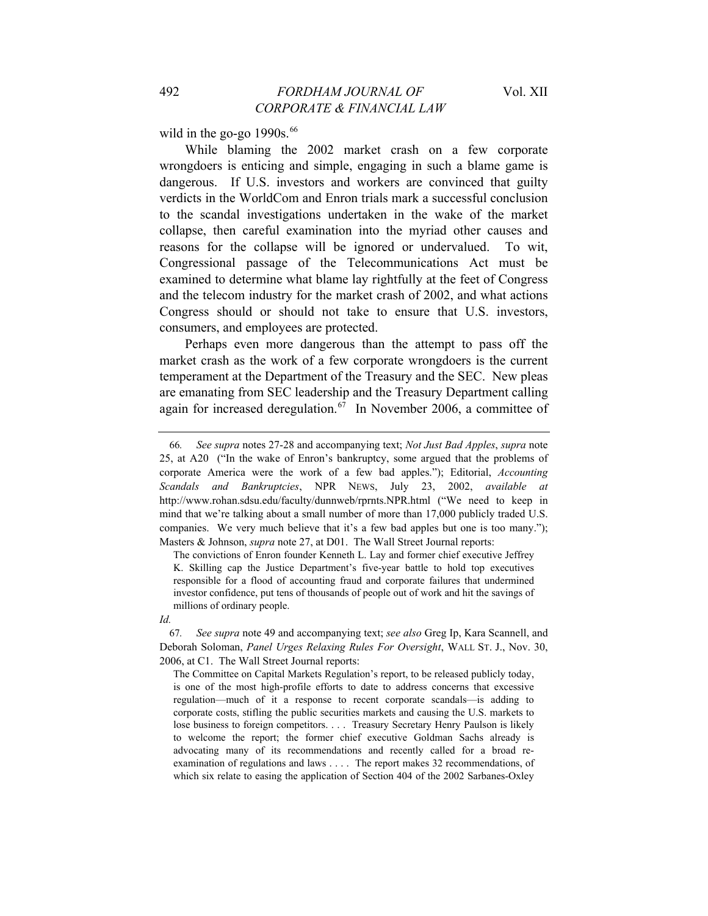wild in the go-go  $1990s.<sup>66</sup>$ 

While blaming the 2002 market crash on a few corporate wrongdoers is enticing and simple, engaging in such a blame game is dangerous. If U.S. investors and workers are convinced that guilty verdicts in the WorldCom and Enron trials mark a successful conclusion to the scandal investigations undertaken in the wake of the market collapse, then careful examination into the myriad other causes and reasons for the collapse will be ignored or undervalued. To wit, Congressional passage of the Telecommunications Act must be examined to determine what blame lay rightfully at the feet of Congress and the telecom industry for the market crash of 2002, and what actions Congress should or should not take to ensure that U.S. investors, consumers, and employees are protected.

Perhaps even more dangerous than the attempt to pass off the market crash as the work of a few corporate wrongdoers is the current temperament at the Department of the Treasury and the SEC. New pleas are emanating from SEC leadership and the Treasury Department calling again for increased deregulation.<sup>67</sup> In November 2006, a committee of

The convictions of Enron founder Kenneth L. Lay and former chief executive Jeffrey K. Skilling cap the Justice Department's five-year battle to hold top executives responsible for a flood of accounting fraud and corporate failures that undermined investor confidence, put tens of thousands of people out of work and hit the savings of millions of ordinary people.

67*. See supra* note 49 and accompanying text; *see also* Greg Ip, Kara Scannell, and Deborah Soloman, *Panel Urges Relaxing Rules For Oversight*, WALL ST. J., Nov. 30, 2006, at C1. The Wall Street Journal reports:

The Committee on Capital Markets Regulation's report, to be released publicly today, is one of the most high-profile efforts to date to address concerns that excessive regulation—much of it a response to recent corporate scandals—is adding to corporate costs, stifling the public securities markets and causing the U.S. markets to lose business to foreign competitors. . . . Treasury Secretary Henry Paulson is likely to welcome the report; the former chief executive Goldman Sachs already is advocating many of its recommendations and recently called for a broad reexamination of regulations and laws . . . . The report makes 32 recommendations, of which six relate to easing the application of Section 404 of the 2002 Sarbanes-Oxley

<sup>66</sup>*. See supra* notes 27-28 and accompanying text; *Not Just Bad Apples*, *supra* note 25, at A20 ("In the wake of Enron's bankruptcy, some argued that the problems of corporate America were the work of a few bad apples."); Editorial, *Accounting Scandals and Bankruptcies*, NPR NEWS, July 23, 2002, *available at* http://www.rohan.sdsu.edu/faculty/dunnweb/rprnts.NPR.html ("We need to keep in mind that we're talking about a small number of more than 17,000 publicly traded U.S. companies. We very much believe that it's a few bad apples but one is too many."); Masters & Johnson, *supra* note 27, at D01. The Wall Street Journal reports:

*Id.*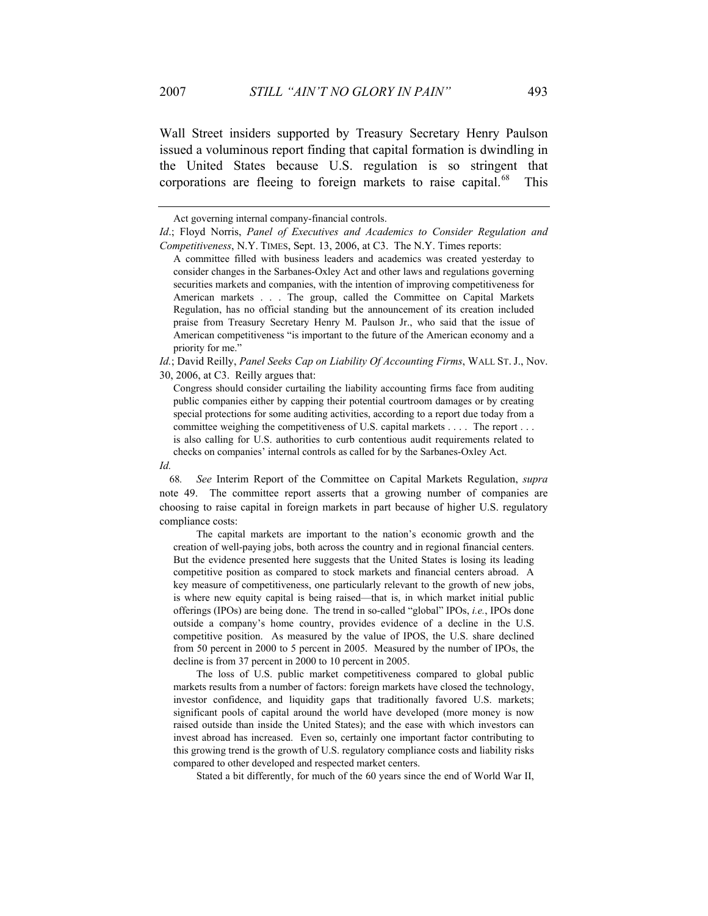Wall Street insiders supported by Treasury Secretary Henry Paulson issued a voluminous report finding that capital formation is dwindling in the United States because U.S. regulation is so stringent that corporations are fleeing to foreign markets to raise capital.<sup>68</sup> This

*Id.*; David Reilly, *Panel Seeks Cap on Liability Of Accounting Firms*, WALL ST. J., Nov. 30, 2006, at C3. Reilly argues that:

Congress should consider curtailing the liability accounting firms face from auditing public companies either by capping their potential courtroom damages or by creating special protections for some auditing activities, according to a report due today from a committee weighing the competitiveness of U.S. capital markets . . . . The report . . . is also calling for U.S. authorities to curb contentious audit requirements related to checks on companies' internal controls as called for by the Sarbanes-Oxley Act.

*Id.*

68*. See* Interim Report of the Committee on Capital Markets Regulation, *supra* note 49. The committee report asserts that a growing number of companies are choosing to raise capital in foreign markets in part because of higher U.S. regulatory compliance costs:

 The capital markets are important to the nation's economic growth and the creation of well-paying jobs, both across the country and in regional financial centers. But the evidence presented here suggests that the United States is losing its leading competitive position as compared to stock markets and financial centers abroad. A key measure of competitiveness, one particularly relevant to the growth of new jobs, is where new equity capital is being raised—that is, in which market initial public offerings (IPOs) are being done. The trend in so-called "global" IPOs, *i.e.*, IPOs done outside a company's home country, provides evidence of a decline in the U.S. competitive position. As measured by the value of IPOS, the U.S. share declined from 50 percent in 2000 to 5 percent in 2005. Measured by the number of IPOs, the decline is from 37 percent in 2000 to 10 percent in 2005.

 The loss of U.S. public market competitiveness compared to global public markets results from a number of factors: foreign markets have closed the technology, investor confidence, and liquidity gaps that traditionally favored U.S. markets; significant pools of capital around the world have developed (more money is now raised outside than inside the United States); and the ease with which investors can invest abroad has increased. Even so, certainly one important factor contributing to this growing trend is the growth of U.S. regulatory compliance costs and liability risks compared to other developed and respected market centers.

Stated a bit differently, for much of the 60 years since the end of World War II,

Act governing internal company-financial controls.

*Id.*; Floyd Norris, *Panel of Executives and Academics to Consider Regulation and Competitiveness*, N.Y. TIMES, Sept. 13, 2006, at C3. The N.Y. Times reports:

A committee filled with business leaders and academics was created yesterday to consider changes in the Sarbanes-Oxley Act and other laws and regulations governing securities markets and companies, with the intention of improving competitiveness for American markets . . . The group, called the Committee on Capital Markets Regulation, has no official standing but the announcement of its creation included praise from Treasury Secretary Henry M. Paulson Jr., who said that the issue of American competitiveness "is important to the future of the American economy and a priority for me."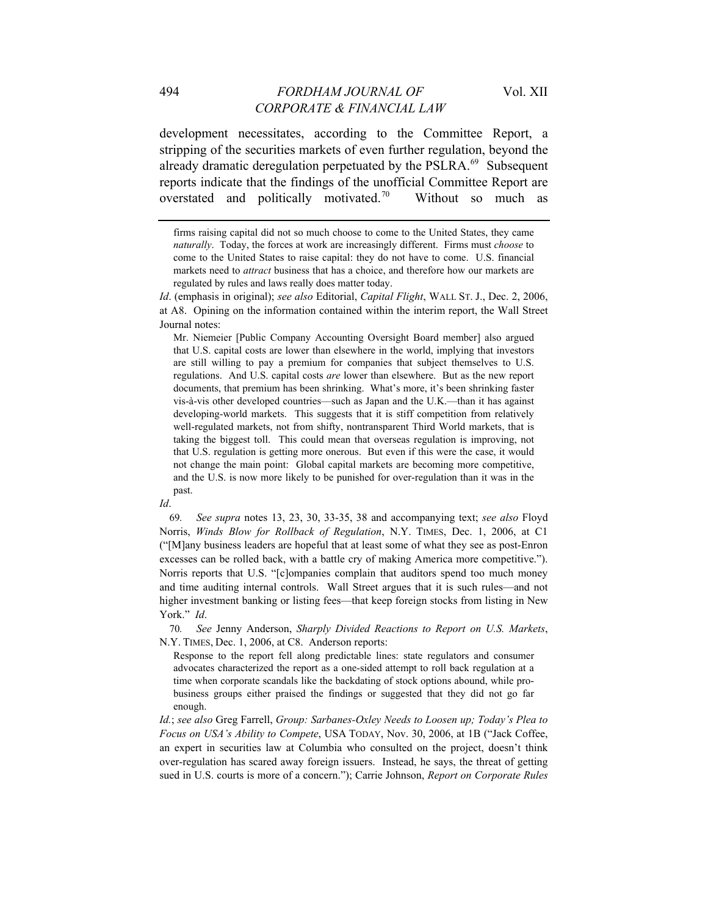development necessitates, according to the Committee Report, a stripping of the securities markets of even further regulation, beyond the already dramatic deregulation perpetuated by the PSLRA.<sup>69</sup> Subsequent reports indicate that the findings of the unofficial Committee Report are overstated and politically motivated.<sup>70</sup> Without so much as

Mr. Niemeier [Public Company Accounting Oversight Board member] also argued that U.S. capital costs are lower than elsewhere in the world, implying that investors are still willing to pay a premium for companies that subject themselves to U.S. regulations. And U.S. capital costs *are* lower than elsewhere. But as the new report documents, that premium has been shrinking. What's more, it's been shrinking faster vis-à-vis other developed countries—such as Japan and the U.K.—than it has against developing-world markets. This suggests that it is stiff competition from relatively well-regulated markets, not from shifty, nontransparent Third World markets, that is taking the biggest toll. This could mean that overseas regulation is improving, not that U.S. regulation is getting more onerous. But even if this were the case, it would not change the main point: Global capital markets are becoming more competitive, and the U.S. is now more likely to be punished for over-regulation than it was in the past.

*Id*.

69*. See supra* notes 13, 23, 30, 33-35, 38 and accompanying text; *see also* Floyd Norris, *Winds Blow for Rollback of Regulation*, N.Y. TIMES, Dec. 1, 2006, at C1 ("[M]any business leaders are hopeful that at least some of what they see as post-Enron excesses can be rolled back, with a battle cry of making America more competitive."). Norris reports that U.S. "[c]ompanies complain that auditors spend too much money and time auditing internal controls. Wall Street argues that it is such rules—and not higher investment banking or listing fees—that keep foreign stocks from listing in New York." *Id*.

70*. See* Jenny Anderson, *Sharply Divided Reactions to Report on U.S. Markets*, N.Y. TIMES, Dec. 1, 2006, at C8. Anderson reports:

Response to the report fell along predictable lines: state regulators and consumer advocates characterized the report as a one-sided attempt to roll back regulation at a time when corporate scandals like the backdating of stock options abound, while probusiness groups either praised the findings or suggested that they did not go far enough.

*Id.*; *see also* Greg Farrell, *Group: Sarbanes-Oxley Needs to Loosen up; Today's Plea to Focus on USA's Ability to Compete*, USA TODAY, Nov. 30, 2006, at 1B ("Jack Coffee, an expert in securities law at Columbia who consulted on the project, doesn't think over-regulation has scared away foreign issuers. Instead, he says, the threat of getting sued in U.S. courts is more of a concern."); Carrie Johnson, *Report on Corporate Rules* 

firms raising capital did not so much choose to come to the United States, they came *naturally*. Today, the forces at work are increasingly different. Firms must *choose* to come to the United States to raise capital: they do not have to come. U.S. financial markets need to *attract* business that has a choice, and therefore how our markets are regulated by rules and laws really does matter today.

*Id*. (emphasis in original); *see also* Editorial, *Capital Flight*, WALL ST. J., Dec. 2, 2006, at A8. Opining on the information contained within the interim report, the Wall Street Journal notes: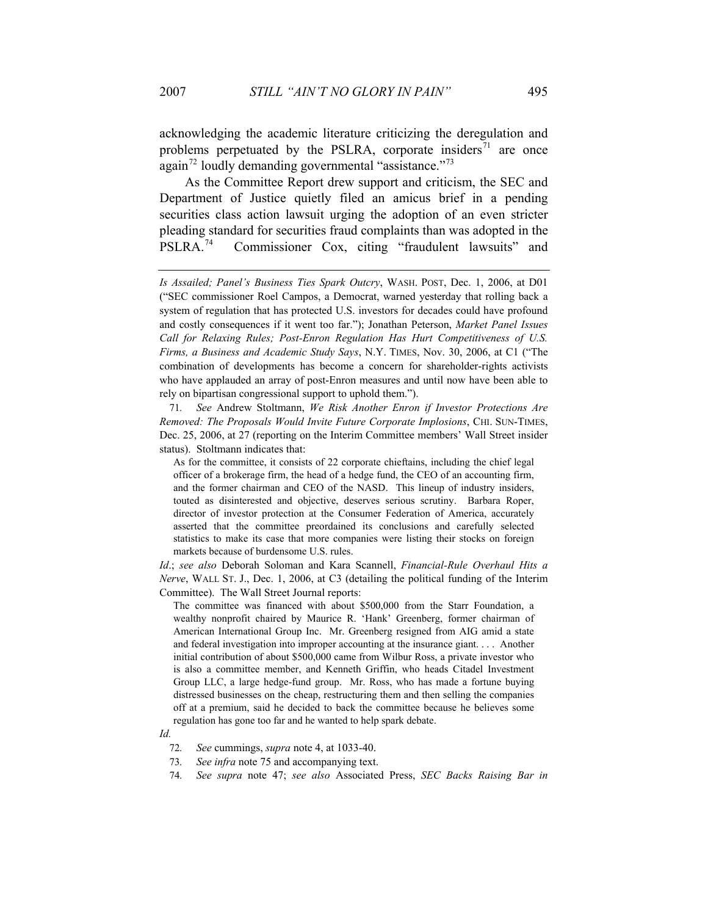acknowledging the academic literature criticizing the deregulation and problems perpetuated by the PSLRA, corporate insiders<sup>71</sup> are once again<sup>72</sup> loudly demanding governmental "assistance."<sup>73</sup>

As the Committee Report drew support and criticism, the SEC and Department of Justice quietly filed an amicus brief in a pending securities class action lawsuit urging the adoption of an even stricter pleading standard for securities fraud complaints than was adopted in the PSLRA.74 Commissioner Cox, citing "fraudulent lawsuits" and

71*. See* Andrew Stoltmann, *We Risk Another Enron if Investor Protections Are Removed: The Proposals Would Invite Future Corporate Implosions*, CHI. SUN-TIMES, Dec. 25, 2006, at 27 (reporting on the Interim Committee members' Wall Street insider status). Stoltmann indicates that:

As for the committee, it consists of 22 corporate chieftains, including the chief legal officer of a brokerage firm, the head of a hedge fund, the CEO of an accounting firm, and the former chairman and CEO of the NASD. This lineup of industry insiders, touted as disinterested and objective, deserves serious scrutiny. Barbara Roper, director of investor protection at the Consumer Federation of America, accurately asserted that the committee preordained its conclusions and carefully selected statistics to make its case that more companies were listing their stocks on foreign markets because of burdensome U.S. rules.

*Id*.; *see also* Deborah Soloman and Kara Scannell, *Financial-Rule Overhaul Hits a Nerve*, WALL ST. J., Dec. 1, 2006, at C3 (detailing the political funding of the Interim Committee). The Wall Street Journal reports:

The committee was financed with about \$500,000 from the Starr Foundation, a wealthy nonprofit chaired by Maurice R. 'Hank' Greenberg, former chairman of American International Group Inc. Mr. Greenberg resigned from AIG amid a state and federal investigation into improper accounting at the insurance giant. . . . Another initial contribution of about \$500,000 came from Wilbur Ross, a private investor who is also a committee member, and Kenneth Griffin, who heads Citadel Investment Group LLC, a large hedge-fund group. Mr. Ross, who has made a fortune buying distressed businesses on the cheap, restructuring them and then selling the companies off at a premium, said he decided to back the committee because he believes some regulation has gone too far and he wanted to help spark debate.

- 73*. See infra* note 75 and accompanying text.
- 74*. See supra* note 47; *see also* Associated Press, *SEC Backs Raising Bar in*

*Is Assailed; Panel's Business Ties Spark Outcry*, WASH. POST, Dec. 1, 2006, at D01 ("SEC commissioner Roel Campos, a Democrat, warned yesterday that rolling back a system of regulation that has protected U.S. investors for decades could have profound and costly consequences if it went too far."); Jonathan Peterson, *Market Panel Issues Call for Relaxing Rules; Post-Enron Regulation Has Hurt Competitiveness of U.S. Firms, a Business and Academic Study Says*, N.Y. TIMES, Nov. 30, 2006, at C1 ("The combination of developments has become a concern for shareholder-rights activists who have applauded an array of post-Enron measures and until now have been able to rely on bipartisan congressional support to uphold them.").

*Id.*

<sup>72</sup>*. See* cummings, *supra* note 4, at 1033-40.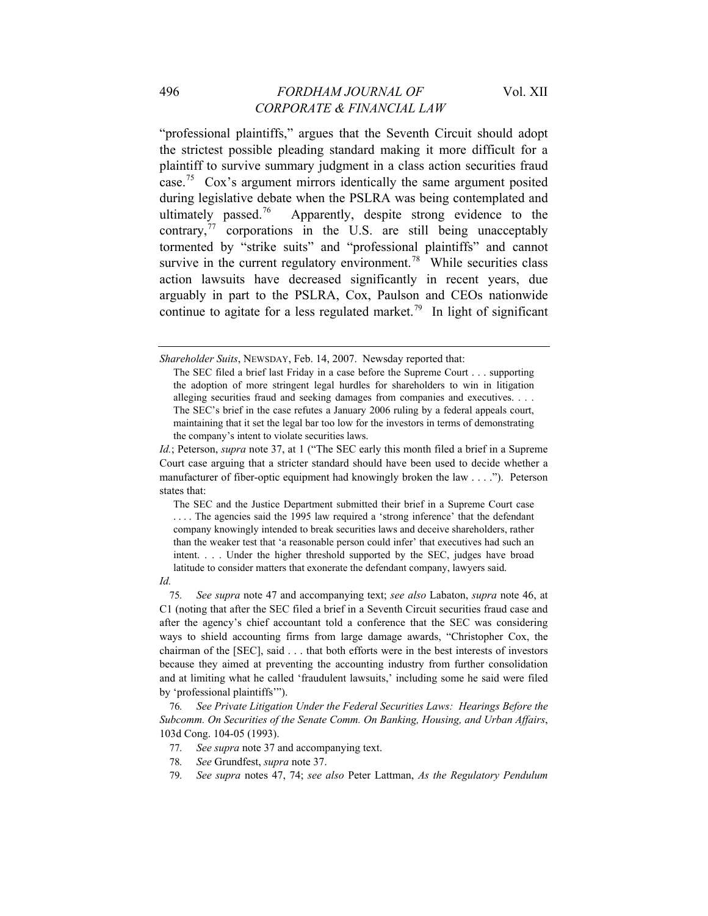"professional plaintiffs," argues that the Seventh Circuit should adopt the strictest possible pleading standard making it more difficult for a plaintiff to survive summary judgment in a class action securities fraud case.75 Cox's argument mirrors identically the same argument posited during legislative debate when the PSLRA was being contemplated and ultimately passed.<sup>76</sup> Apparently, despite strong evidence to the contrary, $^{77}$  corporations in the U.S. are still being unacceptably tormented by "strike suits" and "professional plaintiffs" and cannot survive in the current regulatory environment.<sup>78</sup> While securities class action lawsuits have decreased significantly in recent years, due arguably in part to the PSLRA, Cox, Paulson and CEOs nationwide continue to agitate for a less regulated market.<sup>79</sup> In light of significant

The SEC and the Justice Department submitted their brief in a Supreme Court case ... The agencies said the 1995 law required a 'strong inference' that the defendant company knowingly intended to break securities laws and deceive shareholders, rather than the weaker test that 'a reasonable person could infer' that executives had such an intent. . . . Under the higher threshold supported by the SEC, judges have broad latitude to consider matters that exonerate the defendant company, lawyers said.

75*. See supra* note 47 and accompanying text; *see also* Labaton, *supra* note 46, at C1 (noting that after the SEC filed a brief in a Seventh Circuit securities fraud case and after the agency's chief accountant told a conference that the SEC was considering ways to shield accounting firms from large damage awards, "Christopher Cox, the chairman of the [SEC], said . . . that both efforts were in the best interests of investors because they aimed at preventing the accounting industry from further consolidation and at limiting what he called 'fraudulent lawsuits,' including some he said were filed by 'professional plaintiffs'").

76*. See Private Litigation Under the Federal Securities Laws: Hearings Before the Subcomm. On Securities of the Senate Comm. On Banking, Housing, and Urban Affairs*, 103d Cong. 104-05 (1993).

- 77*. See supra* note 37 and accompanying text.
- 78*. See* Grundfest, *supra* note 37.
- 79*. See supra* notes 47, 74; *see also* Peter Lattman, *As the Regulatory Pendulum*

*Shareholder Suits*, NEWSDAY, Feb. 14, 2007. Newsday reported that:

The SEC filed a brief last Friday in a case before the Supreme Court . . . supporting the adoption of more stringent legal hurdles for shareholders to win in litigation alleging securities fraud and seeking damages from companies and executives. . . . The SEC's brief in the case refutes a January 2006 ruling by a federal appeals court, maintaining that it set the legal bar too low for the investors in terms of demonstrating the company's intent to violate securities laws.

*Id.*; Peterson, *supra* note 37, at 1 ("The SEC early this month filed a brief in a Supreme Court case arguing that a stricter standard should have been used to decide whether a manufacturer of fiber-optic equipment had knowingly broken the law . . . ."). Peterson states that:

*Id.*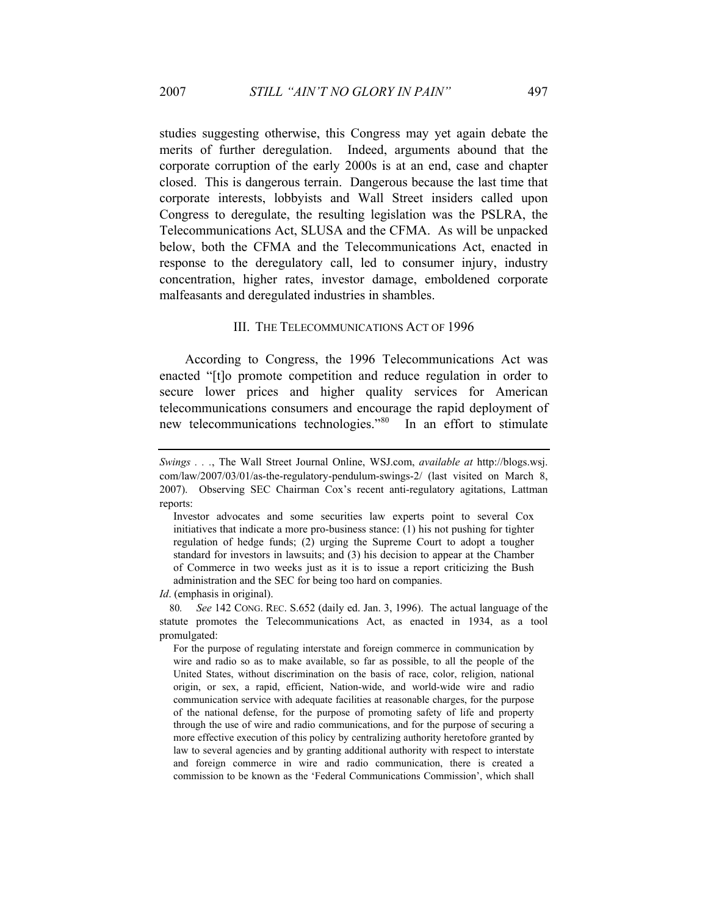studies suggesting otherwise, this Congress may yet again debate the merits of further deregulation. Indeed, arguments abound that the corporate corruption of the early 2000s is at an end, case and chapter closed. This is dangerous terrain. Dangerous because the last time that corporate interests, lobbyists and Wall Street insiders called upon Congress to deregulate, the resulting legislation was the PSLRA, the Telecommunications Act, SLUSA and the CFMA. As will be unpacked below, both the CFMA and the Telecommunications Act, enacted in response to the deregulatory call, led to consumer injury, industry concentration, higher rates, investor damage, emboldened corporate malfeasants and deregulated industries in shambles.

#### III. THE TELECOMMUNICATIONS ACT OF 1996

According to Congress, the 1996 Telecommunications Act was enacted "[t]o promote competition and reduce regulation in order to secure lower prices and higher quality services for American telecommunications consumers and encourage the rapid deployment of new telecommunications technologies."<sup>80</sup> In an effort to stimulate

*Id*. (emphasis in original).

80*. See* 142 CONG. REC. S.652 (daily ed. Jan. 3, 1996). The actual language of the statute promotes the Telecommunications Act, as enacted in 1934, as a tool promulgated:

For the purpose of regulating interstate and foreign commerce in communication by wire and radio so as to make available, so far as possible, to all the people of the United States, without discrimination on the basis of race, color, religion, national origin, or sex, a rapid, efficient, Nation-wide, and world-wide wire and radio communication service with adequate facilities at reasonable charges, for the purpose of the national defense, for the purpose of promoting safety of life and property through the use of wire and radio communications, and for the purpose of securing a more effective execution of this policy by centralizing authority heretofore granted by law to several agencies and by granting additional authority with respect to interstate and foreign commerce in wire and radio communication, there is created a commission to be known as the 'Federal Communications Commission', which shall

*Swings . . .*, The Wall Street Journal Online, WSJ.com, *available at* http://blogs.wsj. com/law/2007/03/01/as-the-regulatory-pendulum-swings-2/ (last visited on March 8, 2007). Observing SEC Chairman Cox's recent anti-regulatory agitations, Lattman reports:

Investor advocates and some securities law experts point to several Cox initiatives that indicate a more pro-business stance: (1) his not pushing for tighter regulation of hedge funds; (2) urging the Supreme Court to adopt a tougher standard for investors in lawsuits; and (3) his decision to appear at the Chamber of Commerce in two weeks just as it is to issue a report criticizing the Bush administration and the SEC for being too hard on companies.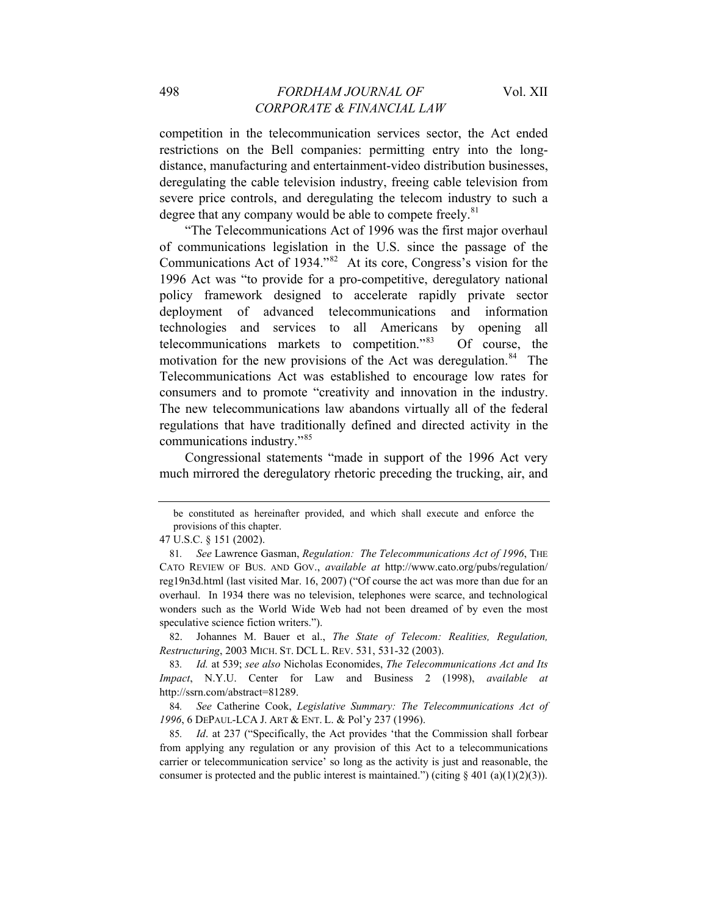competition in the telecommunication services sector, the Act ended restrictions on the Bell companies: permitting entry into the longdistance, manufacturing and entertainment-video distribution businesses, deregulating the cable television industry, freeing cable television from severe price controls, and deregulating the telecom industry to such a degree that any company would be able to compete freely. $81$ 

"The Telecommunications Act of 1996 was the first major overhaul of communications legislation in the U.S. since the passage of the Communications Act of 1934."<sup>82</sup> At its core, Congress's vision for the 1996 Act was "to provide for a pro-competitive, deregulatory national policy framework designed to accelerate rapidly private sector deployment of advanced telecommunications and information technologies and services to all Americans by opening all telecommunications markets to competition."83 Of course, the motivation for the new provisions of the Act was deregulation.<sup>84</sup> The Telecommunications Act was established to encourage low rates for consumers and to promote "creativity and innovation in the industry. The new telecommunications law abandons virtually all of the federal regulations that have traditionally defined and directed activity in the communications industry."<sup>85</sup>

Congressional statements "made in support of the 1996 Act very much mirrored the deregulatory rhetoric preceding the trucking, air, and

82. Johannes M. Bauer et al., *The State of Telecom: Realities, Regulation, Restructuring*, 2003 MICH. ST. DCL L. REV. 531, 531-32 (2003).

be constituted as hereinafter provided, and which shall execute and enforce the provisions of this chapter.

<sup>47</sup> U.S.C. § 151 (2002).

<sup>81</sup>*. See* Lawrence Gasman, *Regulation: The Telecommunications Act of 1996*, THE CATO REVIEW OF BUS. AND GOV., *available at* <http://www.cato.org/pubs/regulation/> reg19n3d.html (last visited Mar. 16, 2007) ("Of course the act was more than due for an overhaul. In 1934 there was no television, telephones were scarce, and technological wonders such as the World Wide Web had not been dreamed of by even the most speculative science fiction writers.").

<sup>83</sup>*. Id.* at 539; *see also* Nicholas Economides, *The Telecommunications Act and Its Impact*, N.Y.U. Center for Law and Business 2 (1998), *available at* http://ssrn.com/abstract=81289.

<sup>84</sup>*. See* Catherine Cook, *Legislative Summary: The Telecommunications Act of 1996*, 6 DEPAUL-LCA J. ART & ENT. L. & Pol'y 237 (1996).

<sup>85</sup>*. Id*. at 237 ("Specifically, the Act provides 'that the Commission shall forbear from applying any regulation or any provision of this Act to a telecommunications carrier or telecommunication service' so long as the activity is just and reasonable, the consumer is protected and the public interest is maintained.") (citing  $\S$  401 (a)(1)(2)(3)).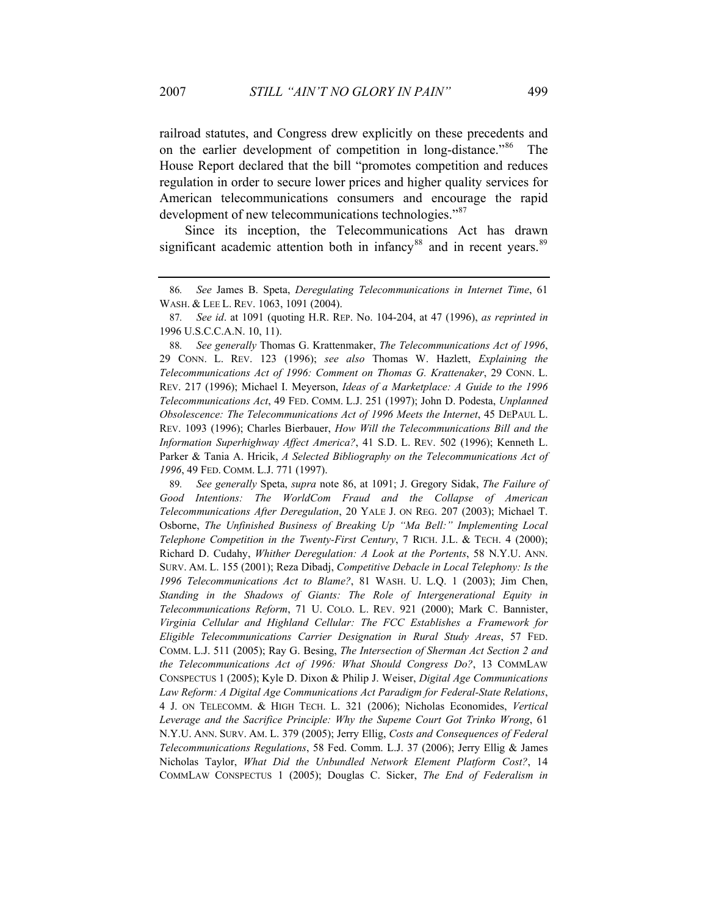railroad statutes, and Congress drew explicitly on these precedents and on the earlier development of competition in long-distance."86 The House Report declared that the bill "promotes competition and reduces regulation in order to secure lower prices and higher quality services for American telecommunications consumers and encourage the rapid development of new telecommunications technologies."<sup>87</sup>

Since its inception, the Telecommunications Act has drawn significant academic attention both in infancy<sup>88</sup> and in recent years.<sup>89</sup>

89*. See generally* Speta, *supra* note 86, at 1091; J. Gregory Sidak, *The Failure of Good Intentions: The WorldCom Fraud and the Collapse of American Telecommunications After Deregulation*, 20 YALE J. ON REG. 207 (2003); Michael T. Osborne, *The Unfinished Business of Breaking Up "Ma Bell:" Implementing Local Telephone Competition in the Twenty-First Century*, 7 RICH. J.L. & TECH. 4 (2000); Richard D. Cudahy, *Whither Deregulation: A Look at the Portents*, 58 N.Y.U. ANN. SURV. AM. L. 155 (2001); Reza Dibadj, *Competitive Debacle in Local Telephony: Is the 1996 Telecommunications Act to Blame?*, 81 WASH. U. L.Q. 1 (2003); Jim Chen, *Standing in the Shadows of Giants: The Role of Intergenerational Equity in Telecommunications Reform*, 71 U. COLO. L. REV. 921 (2000); Mark C. Bannister, *Virginia Cellular and Highland Cellular: The FCC Establishes a Framework for Eligible Telecommunications Carrier Designation in Rural Study Areas*, 57 FED. COMM. L.J. 511 (2005); Ray G. Besing, *The Intersection of Sherman Act Section 2 and the Telecommunications Act of 1996: What Should Congress Do?*, 13 COMMLAW CONSPECTUS 1 (2005); Kyle D. Dixon & Philip J. Weiser, *Digital Age Communications Law Reform: A Digital Age Communications Act Paradigm for Federal-State Relations*, 4 J. ON TELECOMM. & HIGH TECH. L. 321 (2006); Nicholas Economides, *Vertical Leverage and the Sacrifice Principle: Why the Supeme Court Got Trinko Wrong*, 61 N.Y.U. ANN. SURV. AM. L. 379 (2005); Jerry Ellig, *Costs and Consequences of Federal Telecommunications Regulations*, 58 Fed. Comm. L.J. 37 (2006); Jerry Ellig & James Nicholas Taylor, *What Did the Unbundled Network Element Platform Cost?*, 14 COMMLAW CONSPECTUS 1 (2005); Douglas C. Sicker, *The End of Federalism in* 

<sup>86</sup>*. See* James B. Speta, *Deregulating Telecommunications in Internet Time*, 61 WASH. & LEE L. REV. 1063, 1091 (2004).

<sup>87</sup>*. See id*. at 1091 (quoting H.R. REP. No. 104-204, at 47 (1996), *as reprinted in* 1996 U.S.C.C.A.N. 10, 11).

<sup>88</sup>*. See generally* Thomas G. Krattenmaker, *The Telecommunications Act of 1996*, 29 CONN. L. REV. 123 (1996); *see also* Thomas W. Hazlett, *Explaining the Telecommunications Act of 1996: Comment on Thomas G. Krattenaker*, 29 CONN. L. REV. 217 (1996); Michael I. Meyerson, *Ideas of a Marketplace: A Guide to the 1996 Telecommunications Act*, 49 FED. COMM. L.J. 251 (1997); John D. Podesta, *Unplanned Obsolescence: The Telecommunications Act of 1996 Meets the Internet*, 45 DEPAUL L. REV. 1093 (1996); Charles Bierbauer, *How Will the Telecommunications Bill and the Information Superhighway Affect America?*, 41 S.D. L. REV. 502 (1996); Kenneth L. Parker & Tania A. Hricik, *A Selected Bibliography on the Telecommunications Act of 1996*, 49 FED. COMM. L.J. 771 (1997).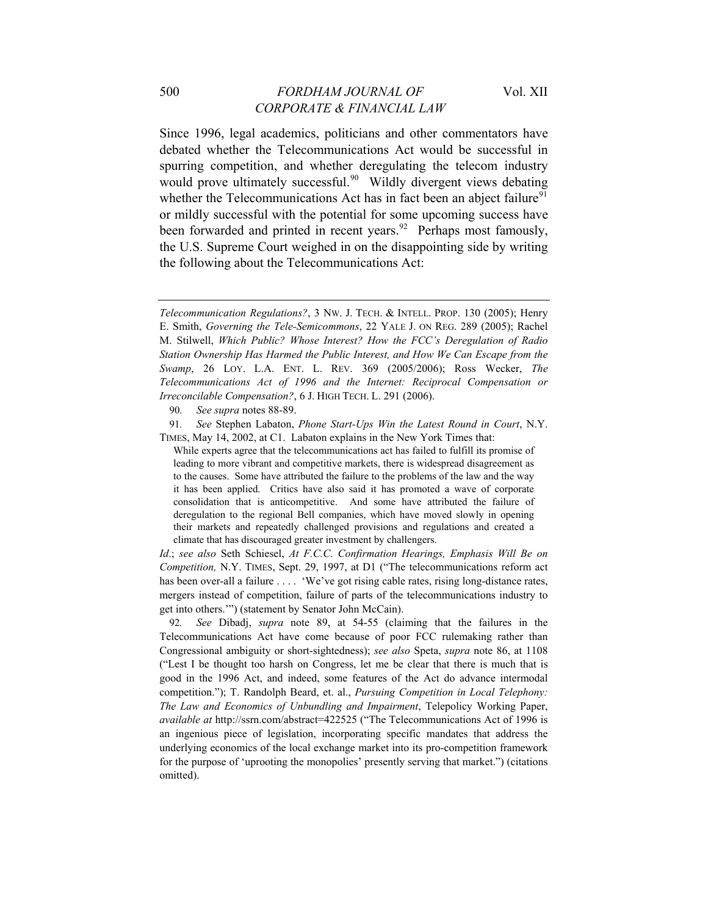Since 1996, legal academics, politicians and other commentators have debated whether the Telecommunications Act would be successful in spurring competition, and whether deregulating the telecom industry would prove ultimately successful.<sup>90</sup> Wildly divergent views debating whether the Telecommunications Act has in fact been an abject failure<sup>91</sup> or mildly successful with the potential for some upcoming success have been forwarded and printed in recent years.<sup>92</sup> Perhaps most famously, the U.S. Supreme Court weighed in on the disappointing side by writing the following about the Telecommunications Act:

90*. See supra* notes 88-89.

91*. See* Stephen Labaton, *Phone Start-Ups Win the Latest Round in Court*, N.Y. TIMES, May 14, 2002, at C1. Labaton explains in the New York Times that:

While experts agree that the telecommunications act has failed to fulfill its promise of leading to more vibrant and competitive markets, there is widespread disagreement as to the causes. Some have attributed the failure to the problems of the law and the way it has been applied. Critics have also said it has promoted a wave of corporate consolidation that is anticompetitive. And some have attributed the failure of deregulation to the regional Bell companies, which have moved slowly in opening their markets and repeatedly challenged provisions and regulations and created a climate that has discouraged greater investment by challengers.

*Id*.; *see also* Seth Schiesel, *At F.C.C. Confirmation Hearings, Emphasis Will Be on Competition,* N.Y. TIMES, Sept. 29, 1997, at D1 ("The telecommunications reform act has been over-all a failure . . . . 'We've got rising cable rates, rising long-distance rates, mergers instead of competition, failure of parts of the telecommunications industry to get into others.'") (statement by Senator John McCain).

92*. See* Dibadj, *supra* note 89, at 54-55 (claiming that the failures in the Telecommunications Act have come because of poor FCC rulemaking rather than Congressional ambiguity or short-sightedness); *see also* Speta, *supra* note 86, at 1108 ("Lest I be thought too harsh on Congress, let me be clear that there is much that is good in the 1996 Act, and indeed, some features of the Act do advance intermodal competition."); T. Randolph Beard, et. al., *Pursuing Competition in Local Telephony: The Law and Economics of Unbundling and Impairment*, Telepolicy Working Paper, *available at* http://ssrn.com/abstract=422525 ("The Telecommunications Act of 1996 is an ingenious piece of legislation, incorporating specific mandates that address the underlying economics of the local exchange market into its pro-competition framework for the purpose of 'uprooting the monopolies' presently serving that market.") (citations omitted).

*Telecommunication Regulations?*, 3 NW. J. TECH. & INTELL. PROP. 130 (2005); Henry E. Smith, *Governing the Tele-Semicommons*, 22 YALE J. ON REG. 289 (2005); Rachel M. Stilwell, *Which Public? Whose Interest? How the FCC's Deregulation of Radio Station Ownership Has Harmed the Public Interest, and How We Can Escape from the Swamp*, 26 LOY. L.A. ENT. L. REV. 369 (2005/2006); Ross Wecker, *The Telecommunications Act of 1996 and the Internet: Reciprocal Compensation or Irreconcilable Compensation?*, 6 J. HIGH TECH. L. 291 (2006).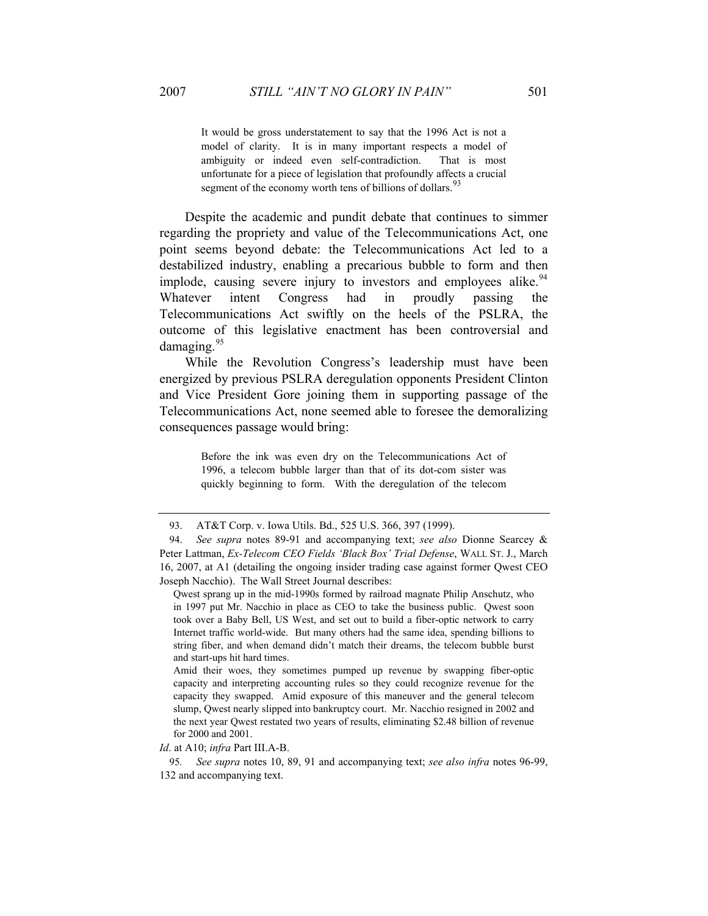It would be gross understatement to say that the 1996 Act is not a model of clarity. It is in many important respects a model of ambiguity or indeed even self-contradiction. That is most unfortunate for a piece of legislation that profoundly affects a crucial segment of the economy worth tens of billions of dollars.<sup>93</sup>

Despite the academic and pundit debate that continues to simmer regarding the propriety and value of the Telecommunications Act, one point seems beyond debate: the Telecommunications Act led to a destabilized industry, enabling a precarious bubble to form and then implode, causing severe injury to investors and employees alike.<sup>94</sup> Whatever intent Congress had in proudly passing the Telecommunications Act swiftly on the heels of the PSLRA, the outcome of this legislative enactment has been controversial and damaging. $95$ 

While the Revolution Congress's leadership must have been energized by previous PSLRA deregulation opponents President Clinton and Vice President Gore joining them in supporting passage of the Telecommunications Act, none seemed able to foresee the demoralizing consequences passage would bring:

> Before the ink was even dry on the Telecommunications Act of 1996, a telecom bubble larger than that of its dot-com sister was quickly beginning to form. With the deregulation of the telecom

Amid their woes, they sometimes pumped up revenue by swapping fiber-optic capacity and interpreting accounting rules so they could recognize revenue for the capacity they swapped. Amid exposure of this maneuver and the general telecom slump, Qwest nearly slipped into bankruptcy court. Mr. Nacchio resigned in 2002 and the next year Qwest restated two years of results, eliminating \$2.48 billion of revenue for 2000 and 2001.

*Id*. at A10; *infra* Part III.A-B.

95*. See supra* notes 10, 89, 91 and accompanying text; *see also infra* notes 96-99, 132 and accompanying text.

<sup>93.</sup> AT&T Corp. v. Iowa Utils. Bd., 525 U.S. 366, 397 (1999).

<sup>94.</sup> *See supra* notes 89-91 and accompanying text; *see also* Dionne Searcey & Peter Lattman, *Ex-Telecom CEO Fields 'Black Box' Trial Defense*, WALL ST. J., March 16, 2007, at A1 (detailing the ongoing insider trading case against former Qwest CEO Joseph Nacchio). The Wall Street Journal describes:

Qwest sprang up in the mid-1990s formed by railroad magnate Philip Anschutz, who in 1997 put Mr. Nacchio in place as CEO to take the business public. Qwest soon took over a Baby Bell, US West, and set out to build a fiber-optic network to carry Internet traffic world-wide. But many others had the same idea, spending billions to string fiber, and when demand didn't match their dreams, the telecom bubble burst and start-ups hit hard times.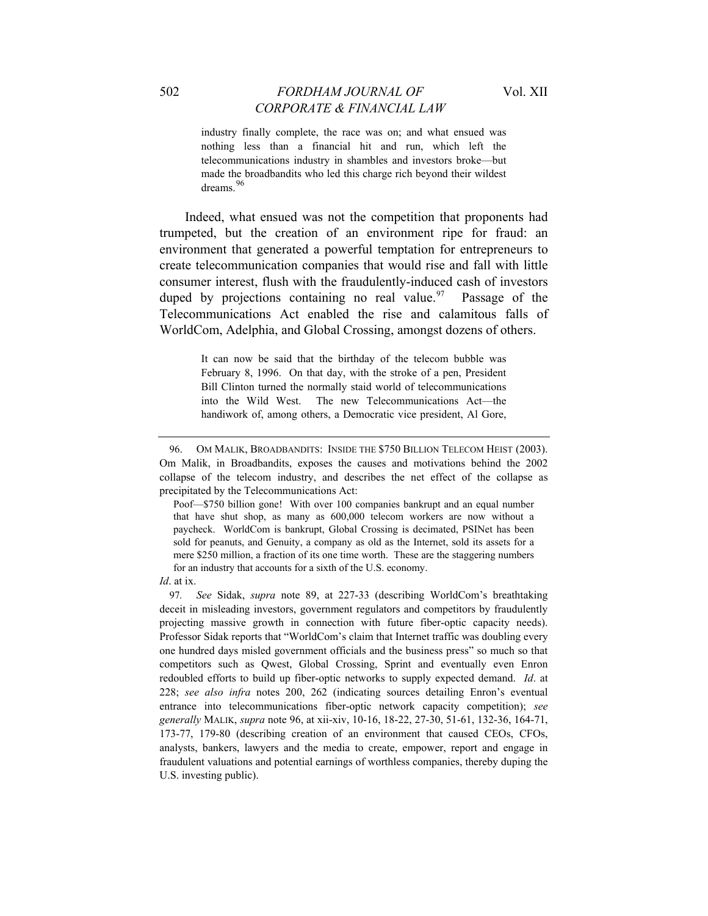industry finally complete, the race was on; and what ensued was nothing less than a financial hit and run, which left the telecommunications industry in shambles and investors broke—but made the broadbandits who led this charge rich beyond their wildest dreams<sup>96</sup>

Indeed, what ensued was not the competition that proponents had trumpeted, but the creation of an environment ripe for fraud: an environment that generated a powerful temptation for entrepreneurs to create telecommunication companies that would rise and fall with little consumer interest, flush with the fraudulently-induced cash of investors duped by projections containing no real value. <sup>97</sup> Passage of the Telecommunications Act enabled the rise and calamitous falls of WorldCom, Adelphia, and Global Crossing, amongst dozens of others.

> It can now be said that the birthday of the telecom bubble was February 8, 1996. On that day, with the stroke of a pen, President Bill Clinton turned the normally staid world of telecommunications into the Wild West. The new Telecommunications Act—the handiwork of, among others, a Democratic vice president, Al Gore,

Poof—\$750 billion gone! With over 100 companies bankrupt and an equal number that have shut shop, as many as 600,000 telecom workers are now without a paycheck. WorldCom is bankrupt, Global Crossing is decimated, PSINet has been sold for peanuts, and Genuity, a company as old as the Internet, sold its assets for a mere \$250 million, a fraction of its one time worth. These are the staggering numbers for an industry that accounts for a sixth of the U.S. economy.

*Id*. at ix.

97*. See* Sidak, *supra* note 89, at 227-33 (describing WorldCom's breathtaking deceit in misleading investors, government regulators and competitors by fraudulently projecting massive growth in connection with future fiber-optic capacity needs). Professor Sidak reports that "WorldCom's claim that Internet traffic was doubling every one hundred days misled government officials and the business press" so much so that competitors such as Qwest, Global Crossing, Sprint and eventually even Enron redoubled efforts to build up fiber-optic networks to supply expected demand. *Id*. at 228; *see also infra* notes 200, 262 (indicating sources detailing Enron's eventual entrance into telecommunications fiber-optic network capacity competition); *see generally* MALIK, *supra* note 96, at xii-xiv, 10-16, 18-22, 27-30, 51-61, 132-36, 164-71, 173-77, 179-80 (describing creation of an environment that caused CEOs, CFOs, analysts, bankers, lawyers and the media to create, empower, report and engage in fraudulent valuations and potential earnings of worthless companies, thereby duping the U.S. investing public).

<sup>96.</sup> OM MALIK, BROADBANDITS: INSIDE THE \$750 BILLION TELECOM HEIST (2003). Om Malik, in Broadbandits, exposes the causes and motivations behind the 2002 collapse of the telecom industry, and describes the net effect of the collapse as precipitated by the Telecommunications Act: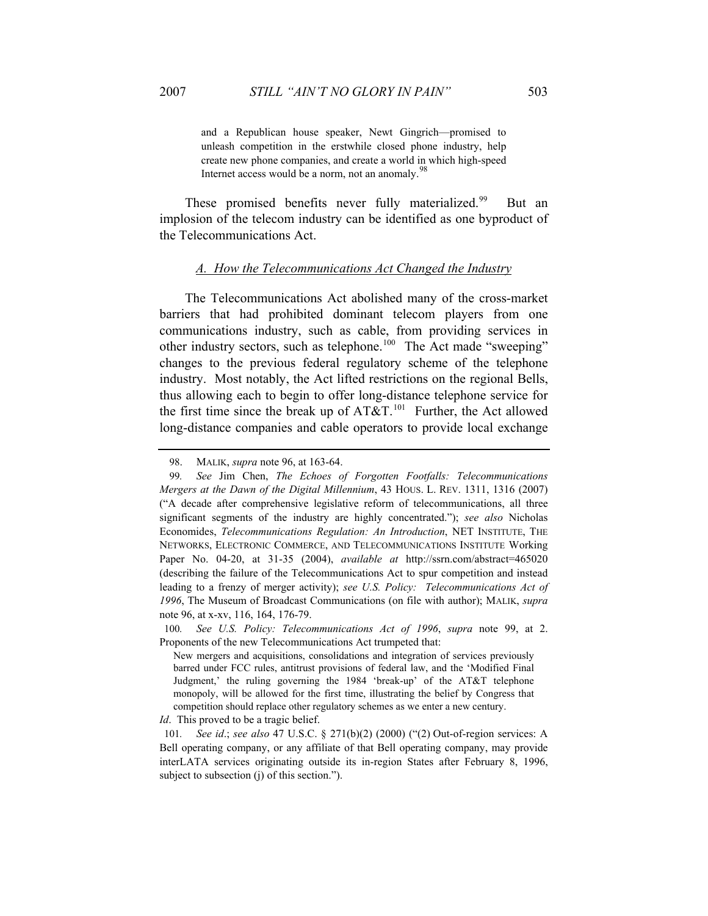and a Republican house speaker, Newt Gingrich—promised to unleash competition in the erstwhile closed phone industry, help create new phone companies, and create a world in which high-speed Internet access would be a norm, not an anomaly.<sup>98</sup>

These promised benefits never fully materialized.<sup>99</sup> But an implosion of the telecom industry can be identified as one byproduct of the Telecommunications Act.

#### *A. How the Telecommunications Act Changed the Industry*

The Telecommunications Act abolished many of the cross-market barriers that had prohibited dominant telecom players from one communications industry, such as cable, from providing services in other industry sectors, such as telephone.<sup>100</sup> The Act made "sweeping" changes to the previous federal regulatory scheme of the telephone industry. Most notably, the Act lifted restrictions on the regional Bells, thus allowing each to begin to offer long-distance telephone service for the first time since the break up of  $AT&T<sup>101</sup>$  Further, the Act allowed long-distance companies and cable operators to provide local exchange

*Id*. This proved to be a tragic belief.

<sup>98.</sup> MALIK, *supra* note 96, at 163-64.

<sup>99</sup>*. See* Jim Chen, *The Echoes of Forgotten Footfalls: Telecommunications Mergers at the Dawn of the Digital Millennium*, 43 HOUS. L. REV. 1311, 1316 (2007) ("A decade after comprehensive legislative reform of telecommunications, all three significant segments of the industry are highly concentrated."); *see also* Nicholas Economides, *Telecommunications Regulation: An Introduction*, NET INSTITUTE, THE NETWORKS, ELECTRONIC COMMERCE, AND TELECOMMUNICATIONS INSTITUTE Working Paper No. 04-20, at 31-35 (2004), *available at* http://ssrn.com/abstract=465020 (describing the failure of the Telecommunications Act to spur competition and instead leading to a frenzy of merger activity); *see U.S. Policy: Telecommunications Act of 1996*, The Museum of Broadcast Communications (on file with author); MALIK, *supra* note 96, at x-xv, 116, 164, 176-79.

<sup>100</sup>*. See U.S. Policy: Telecommunications Act of 1996*, *supra* note 99, at 2. Proponents of the new Telecommunications Act trumpeted that:

New mergers and acquisitions, consolidations and integration of services previously barred under FCC rules, antitrust provisions of federal law, and the 'Modified Final Judgment,' the ruling governing the 1984 'break-up' of the AT&T telephone monopoly, will be allowed for the first time, illustrating the belief by Congress that competition should replace other regulatory schemes as we enter a new century.

<sup>101</sup>*. See id*.; *see also* 47 U.S.C. § 271(b)(2) (2000) ("(2) Out-of-region services: A Bell operating company, or any affiliate of that Bell operating company, may provide interLATA services originating outside its in-region States after February 8, 1996, subject to subsection (j) of this section.").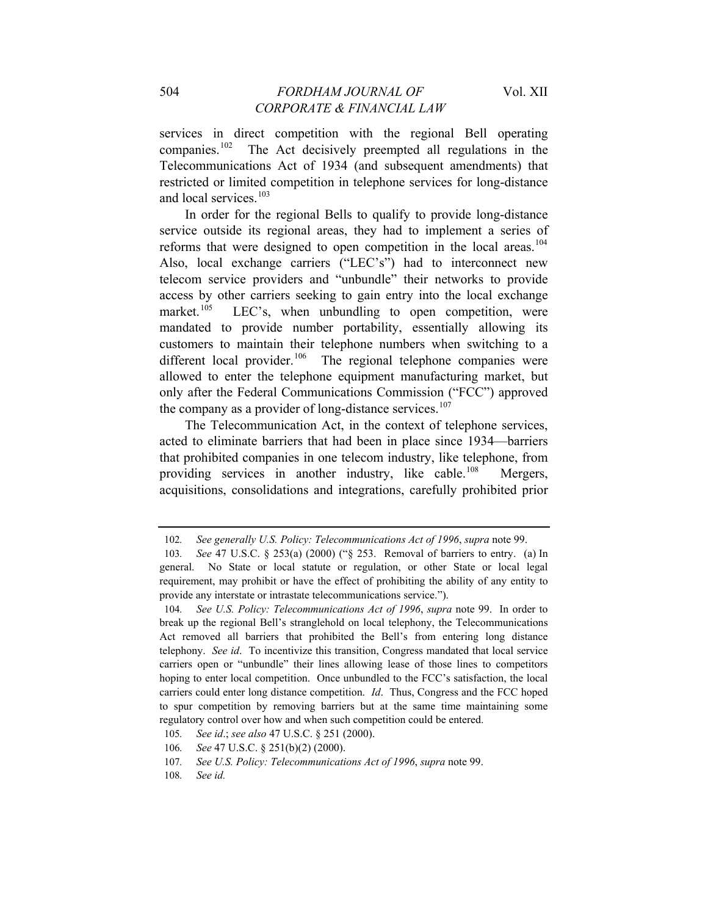services in direct competition with the regional Bell operating companies.<sup>102</sup> The Act decisively preempted all regulations in the Telecommunications Act of 1934 (and subsequent amendments) that restricted or limited competition in telephone services for long-distance and local services.<sup>103</sup>

In order for the regional Bells to qualify to provide long-distance service outside its regional areas, they had to implement a series of reforms that were designed to open competition in the local areas.<sup>104</sup> Also, local exchange carriers ("LEC's") had to interconnect new telecom service providers and "unbundle" their networks to provide access by other carriers seeking to gain entry into the local exchange market.<sup>105</sup> LEC's, when unbundling to open competition, were mandated to provide number portability, essentially allowing its customers to maintain their telephone numbers when switching to a different local provider.<sup>106</sup> The regional telephone companies were allowed to enter the telephone equipment manufacturing market, but only after the Federal Communications Commission ("FCC") approved the company as a provider of long-distance services.<sup>107</sup>

The Telecommunication Act, in the context of telephone services, acted to eliminate barriers that had been in place since 1934—barriers that prohibited companies in one telecom industry, like telephone, from providing services in another industry, like cable.<sup>108</sup> Mergers, acquisitions, consolidations and integrations, carefully prohibited prior

<sup>102</sup>*. See generally U.S. Policy: Telecommunications Act of 1996*, *supra* note 99.

<sup>103</sup>*. See* 47 U.S.C. § 253(a) (2000) ("§ 253. Removal of barriers to entry. (a) In general. No State or local statute or regulation, or other State or local legal requirement, may prohibit or have the effect of prohibiting the ability of any entity to provide any interstate or intrastate telecommunications service.").

<sup>104</sup>*. See U.S. Policy: Telecommunications Act of 1996*, *supra* note 99. In order to break up the regional Bell's stranglehold on local telephony, the Telecommunications Act removed all barriers that prohibited the Bell's from entering long distance telephony. *See id*. To incentivize this transition, Congress mandated that local service carriers open or "unbundle" their lines allowing lease of those lines to competitors hoping to enter local competition. Once unbundled to the FCC's satisfaction, the local carriers could enter long distance competition. *Id*. Thus, Congress and the FCC hoped to spur competition by removing barriers but at the same time maintaining some regulatory control over how and when such competition could be entered.

<sup>105</sup>*. See id*.; *see also* 47 U.S.C. § 251 (2000).

<sup>106</sup>*. See* 47 U.S.C. § 251(b)(2) (2000).

<sup>107</sup>*. See U.S. Policy: Telecommunications Act of 1996*, *supra* note 99.

<sup>108</sup>*. See id.*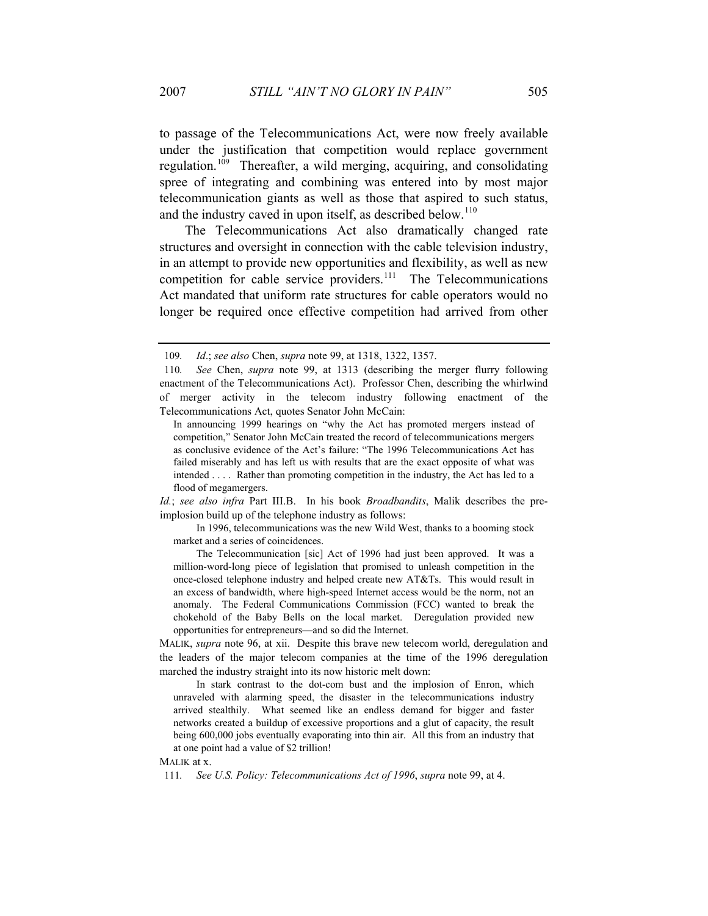to passage of the Telecommunications Act, were now freely available under the justification that competition would replace government regulation.<sup>109</sup> Thereafter, a wild merging, acquiring, and consolidating spree of integrating and combining was entered into by most major telecommunication giants as well as those that aspired to such status, and the industry caved in upon itself, as described below.<sup>110</sup>

The Telecommunications Act also dramatically changed rate structures and oversight in connection with the cable television industry, in an attempt to provide new opportunities and flexibility, as well as new competition for cable service providers.<sup>111</sup> The Telecommunications Act mandated that uniform rate structures for cable operators would no longer be required once effective competition had arrived from other

*Id.*; *see also infra* Part III.B. In his book *Broadbandits*, Malik describes the preimplosion build up of the telephone industry as follows:

 In 1996, telecommunications was the new Wild West, thanks to a booming stock market and a series of coincidences.

 The Telecommunication [sic] Act of 1996 had just been approved. It was a million-word-long piece of legislation that promised to unleash competition in the once-closed telephone industry and helped create new AT&Ts. This would result in an excess of bandwidth, where high-speed Internet access would be the norm, not an anomaly. The Federal Communications Commission (FCC) wanted to break the chokehold of the Baby Bells on the local market. Deregulation provided new opportunities for entrepreneurs—and so did the Internet.

MALIK, *supra* note 96, at xii. Despite this brave new telecom world, deregulation and the leaders of the major telecom companies at the time of the 1996 deregulation marched the industry straight into its now historic melt down:

 In stark contrast to the dot-com bust and the implosion of Enron, which unraveled with alarming speed, the disaster in the telecommunications industry arrived stealthily. What seemed like an endless demand for bigger and faster networks created a buildup of excessive proportions and a glut of capacity, the result being 600,000 jobs eventually evaporating into thin air. All this from an industry that at one point had a value of \$2 trillion!

<sup>109</sup>*. Id*.; *see also* Chen, *supra* note 99, at 1318, 1322, 1357.

<sup>110</sup>*. See* Chen, *supra* note 99, at 1313 (describing the merger flurry following enactment of the Telecommunications Act). Professor Chen, describing the whirlwind of merger activity in the telecom industry following enactment of the Telecommunications Act, quotes Senator John McCain:

In announcing 1999 hearings on "why the Act has promoted mergers instead of competition," Senator John McCain treated the record of telecommunications mergers as conclusive evidence of the Act's failure: "The 1996 Telecommunications Act has failed miserably and has left us with results that are the exact opposite of what was intended . . . . Rather than promoting competition in the industry, the Act has led to a flood of megamergers.

MALIK at x.

<sup>111</sup>*. See U.S. Policy: Telecommunications Act of 1996*, *supra* note 99, at 4.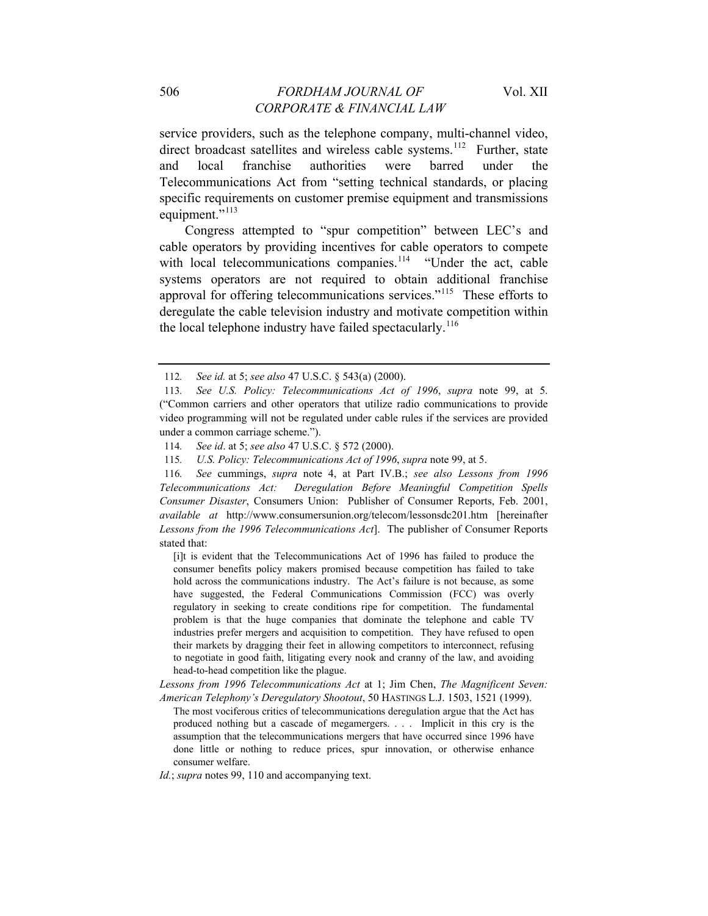service providers, such as the telephone company, multi-channel video, direct broadcast satellites and wireless cable systems.<sup>112</sup> Further, state and local franchise authorities were barred under the Telecommunications Act from "setting technical standards, or placing specific requirements on customer premise equipment and transmissions equipment."<sup>113</sup>

Congress attempted to "spur competition" between LEC's and cable operators by providing incentives for cable operators to compete with local telecommunications companies.<sup>114</sup> "Under the act, cable systems operators are not required to obtain additional franchise approval for offering telecommunications services."115 These efforts to deregulate the cable television industry and motivate competition within the local telephone industry have failed spectacularly.<sup>116</sup>

116*. See* cummings, *supra* note 4, at Part IV.B.; *see also Lessons from 1996 Telecommunications Act: Deregulation Before Meaningful Competition Spells Consumer Disaster*, Consumers Union: Publisher of Consumer Reports, Feb. 2001, *available at* http://www.consumersunion.org/telecom/lessonsdc201.htm [hereinafter *Lessons from the 1996 Telecommunications Act*]. The publisher of Consumer Reports stated that:

[i]t is evident that the Telecommunications Act of 1996 has failed to produce the consumer benefits policy makers promised because competition has failed to take hold across the communications industry. The Act's failure is not because, as some have suggested, the Federal Communications Commission (FCC) was overly regulatory in seeking to create conditions ripe for competition. The fundamental problem is that the huge companies that dominate the telephone and cable TV industries prefer mergers and acquisition to competition. They have refused to open their markets by dragging their feet in allowing competitors to interconnect, refusing to negotiate in good faith, litigating every nook and cranny of the law, and avoiding head-to-head competition like the plague.

*Lessons from 1996 Telecommunications Act* at 1; Jim Chen, *The Magnificent Seven: American Telephony's Deregulatory Shootout*, 50 HASTINGS L.J. 1503, 1521 (1999).

The most vociferous critics of telecommunications deregulation argue that the Act has produced nothing but a cascade of megamergers. . . . Implicit in this cry is the assumption that the telecommunications mergers that have occurred since 1996 have done little or nothing to reduce prices, spur innovation, or otherwise enhance consumer welfare.

*Id.*; *supra* notes 99, 110 and accompanying text.

<sup>112</sup>*. See id.* at 5; *see also* 47 U.S.C. § 543(a) (2000).

<sup>113</sup>*. See U.S. Policy: Telecommunications Act of 1996*, *supra* note 99, at 5. ("Common carriers and other operators that utilize radio communications to provide video programming will not be regulated under cable rules if the services are provided under a common carriage scheme.").

<sup>114</sup>*. See id*. at 5; *see also* 47 U.S.C. § 572 (2000).

<sup>115</sup>*. U.S. Policy: Telecommunications Act of 1996*, *supra* note 99, at 5.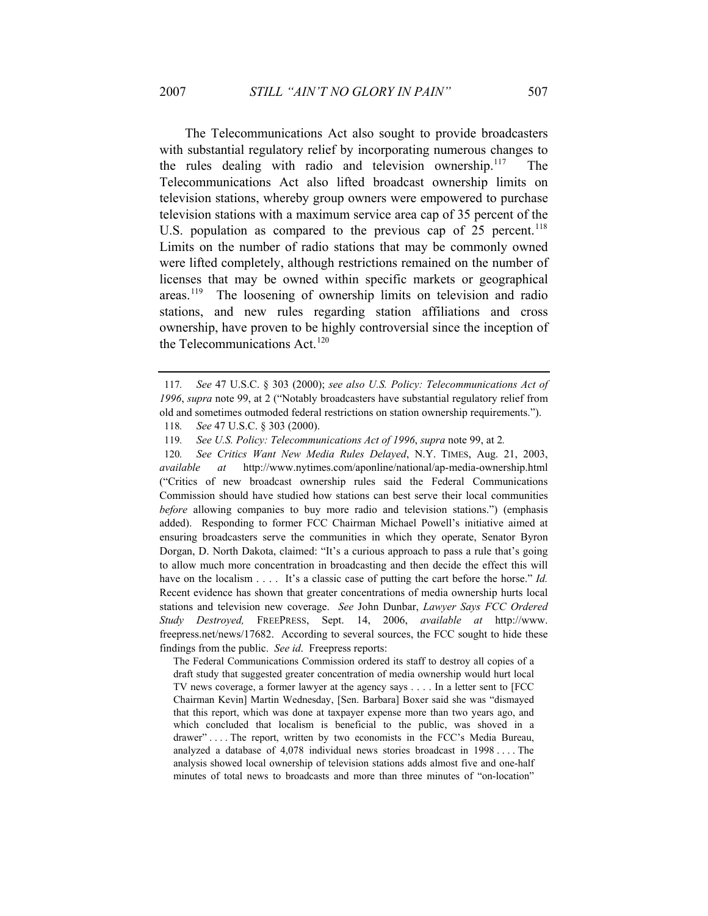The Telecommunications Act also sought to provide broadcasters with substantial regulatory relief by incorporating numerous changes to the rules dealing with radio and television ownership.<sup>117</sup> The Telecommunications Act also lifted broadcast ownership limits on television stations, whereby group owners were empowered to purchase television stations with a maximum service area cap of 35 percent of the U.S. population as compared to the previous cap of  $25$  percent.<sup>118</sup> Limits on the number of radio stations that may be commonly owned were lifted completely, although restrictions remained on the number of licenses that may be owned within specific markets or geographical areas.119 The loosening of ownership limits on television and radio stations, and new rules regarding station affiliations and cross ownership, have proven to be highly controversial since the inception of the Telecommunications Act.<sup>120</sup>

120*. See Critics Want New Media Rules Delayed*, N.Y. TIMES, Aug. 21, 2003, *available at* http://www.nytimes.com/aponline/national/ap-media-ownership.html ("Critics of new broadcast ownership rules said the Federal Communications Commission should have studied how stations can best serve their local communities *before* allowing companies to buy more radio and television stations.") (emphasis added). Responding to former FCC Chairman Michael Powell's initiative aimed at ensuring broadcasters serve the communities in which they operate, Senator Byron Dorgan, D. North Dakota, claimed: "It's a curious approach to pass a rule that's going to allow much more concentration in broadcasting and then decide the effect this will have on the localism . . . . It's a classic case of putting the cart before the horse." *Id.* Recent evidence has shown that greater concentrations of media ownership hurts local stations and television new coverage. *See* John Dunbar, *Lawyer Says FCC Ordered Study Destroyed,* FREEPRESS, Sept. 14, 2006, *available at* [http://www.](http://www/) freepress.net/news/17682. According to several sources, the FCC sought to hide these findings from the public. *See id*. Freepress reports:

The Federal Communications Commission ordered its staff to destroy all copies of a draft study that suggested greater concentration of media ownership would hurt local TV news coverage, a former lawyer at the agency says . . . . In a letter sent to [FCC Chairman Kevin] Martin Wednesday, [Sen. Barbara] Boxer said she was "dismayed that this report, which was done at taxpayer expense more than two years ago, and which concluded that localism is beneficial to the public, was shoved in a drawer" . . . . The report, written by two economists in the FCC's Media Bureau, analyzed a database of 4,078 individual news stories broadcast in 1998 . . . . The analysis showed local ownership of television stations adds almost five and one-half minutes of total news to broadcasts and more than three minutes of "on-location"

<sup>117</sup>*. See* 47 U.S.C. § 303 (2000); *see also U.S. Policy: Telecommunications Act of 1996*, *supra* note 99, at 2 ("Notably broadcasters have substantial regulatory relief from old and sometimes outmoded federal restrictions on station ownership requirements.").

<sup>118</sup>*. See* 47 U.S.C. § 303 (2000).

<sup>119</sup>*. See U.S. Policy: Telecommunications Act of 1996*, *supra* note 99, at 2*.*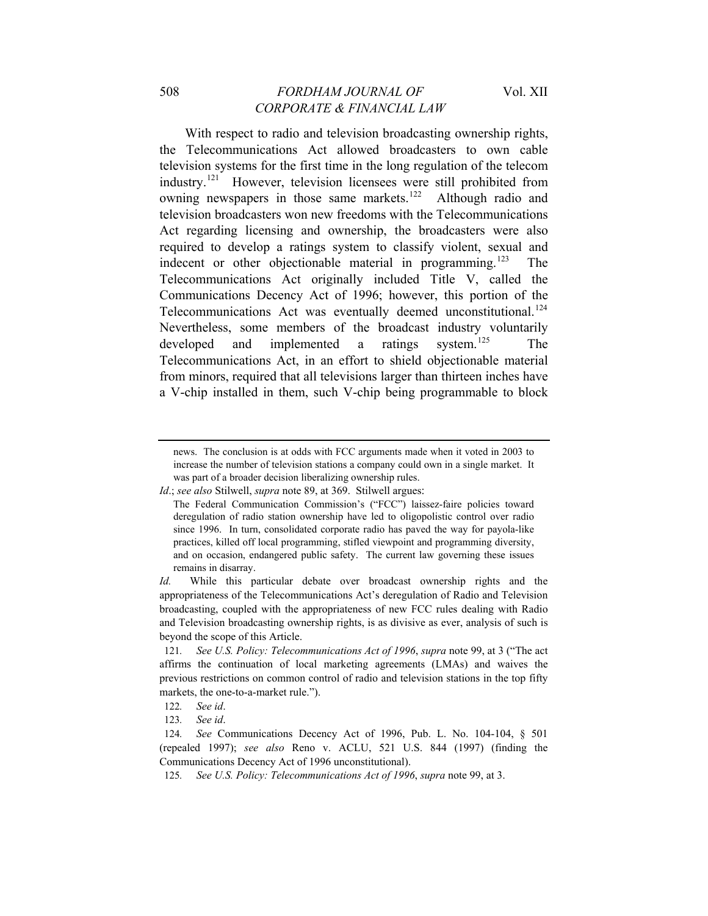With respect to radio and television broadcasting ownership rights, the Telecommunications Act allowed broadcasters to own cable television systems for the first time in the long regulation of the telecom industry.121 However, television licensees were still prohibited from owning newspapers in those same markets.<sup>122</sup> Although radio and television broadcasters won new freedoms with the Telecommunications Act regarding licensing and ownership, the broadcasters were also required to develop a ratings system to classify violent, sexual and indecent or other objectionable material in programming.<sup>123</sup> The Telecommunications Act originally included Title V, called the Communications Decency Act of 1996; however, this portion of the Telecommunications Act was eventually deemed unconstitutional.<sup>124</sup> Nevertheless, some members of the broadcast industry voluntarily developed and implemented a ratings system.<sup>125</sup> The Telecommunications Act, in an effort to shield objectionable material from minors, required that all televisions larger than thirteen inches have a V-chip installed in them, such V-chip being programmable to block

news. The conclusion is at odds with FCC arguments made when it voted in 2003 to increase the number of television stations a company could own in a single market. It was part of a broader decision liberalizing ownership rules.

*Id*.; *see also* Stilwell, *supra* note 89, at 369. Stilwell argues:

The Federal Communication Commission's ("FCC") laissez-faire policies toward deregulation of radio station ownership have led to oligopolistic control over radio since 1996. In turn, consolidated corporate radio has paved the way for payola-like practices, killed off local programming, stifled viewpoint and programming diversity, and on occasion, endangered public safety. The current law governing these issues remains in disarray.

*Id.* While this particular debate over broadcast ownership rights and the appropriateness of the Telecommunications Act's deregulation of Radio and Television broadcasting, coupled with the appropriateness of new FCC rules dealing with Radio and Television broadcasting ownership rights, is as divisive as ever, analysis of such is beyond the scope of this Article.

<sup>121</sup>*. See U.S. Policy: Telecommunications Act of 1996*, *supra* note 99, at 3 ("The act affirms the continuation of local marketing agreements (LMAs) and waives the previous restrictions on common control of radio and television stations in the top fifty markets, the one-to-a-market rule.").

<sup>122</sup>*. See id*.

<sup>123</sup>*. See id*.

<sup>124</sup>*. See* Communications Decency Act of 1996, Pub. L. No. 104-104, § 501 (repealed 1997); *see also* Reno v. ACLU, 521 U.S. 844 (1997) (finding the Communications Decency Act of 1996 unconstitutional).

<sup>125</sup>*. See U.S. Policy: Telecommunications Act of 1996*, *supra* note 99, at 3.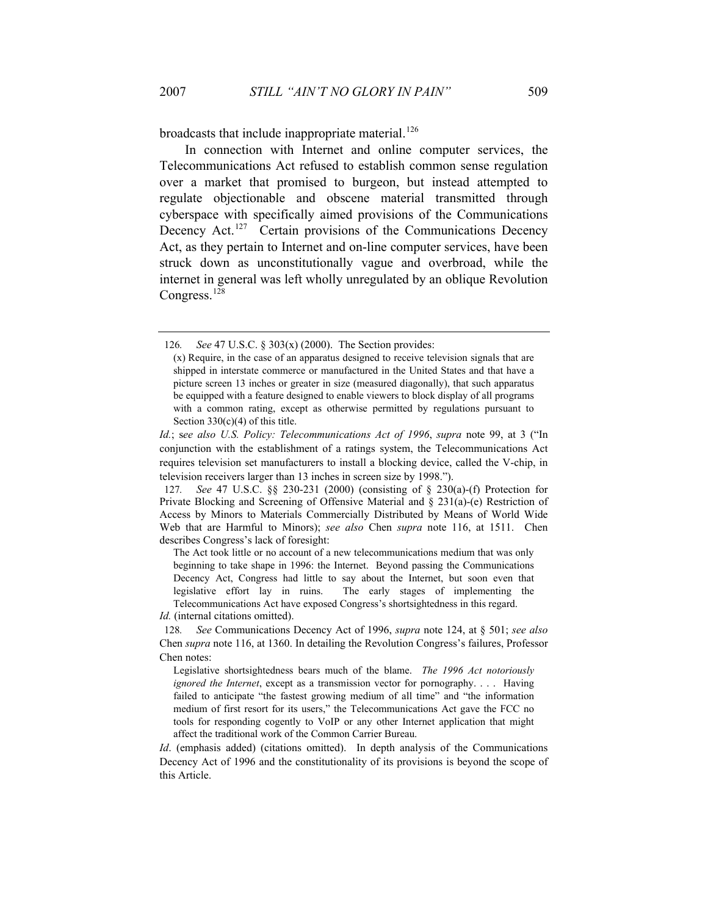broadcasts that include inappropriate material.<sup>126</sup>

In connection with Internet and online computer services, the Telecommunications Act refused to establish common sense regulation over a market that promised to burgeon, but instead attempted to regulate objectionable and obscene material transmitted through cyberspace with specifically aimed provisions of the Communications Decency Act.<sup>127</sup> Certain provisions of the Communications Decency Act, as they pertain to Internet and on-line computer services, have been struck down as unconstitutionally vague and overbroad, while the internet in general was left wholly unregulated by an oblique Revolution Congress.<sup>128</sup>

The Act took little or no account of a new telecommunications medium that was only beginning to take shape in 1996: the Internet. Beyond passing the Communications Decency Act, Congress had little to say about the Internet, but soon even that legislative effort lay in ruins. The early stages of implementing the Telecommunications Act have exposed Congress's shortsightedness in this regard.

<sup>126</sup>*. See* 47 U.S.C. § 303(x) (2000). The Section provides:

<sup>(</sup>x) Require, in the case of an apparatus designed to receive television signals that are shipped in interstate commerce or manufactured in the United States and that have a picture screen 13 inches or greater in size (measured diagonally), that such apparatus be equipped with a feature designed to enable viewers to block display of all programs with a common rating, except as otherwise permitted by regulations pursuant to Section  $330(c)(4)$  of this title.

*Id.*; s*ee also U.S. Policy: Telecommunications Act of 1996*, *supra* note 99, at 3 ("In conjunction with the establishment of a ratings system, the Telecommunications Act requires television set manufacturers to install a blocking device, called the V-chip, in television receivers larger than 13 inches in screen size by 1998.").

<sup>127</sup>*. See* 47 U.S.C. §§ 230-231 (2000) (consisting of § 230(a)-(f) Protection for Private Blocking and Screening of Offensive Material and § 231(a)-(e) Restriction of Access by Minors to Materials Commercially Distributed by Means of World Wide Web that are Harmful to Minors); *see also* Chen *supra* note 116, at 1511. Chen describes Congress's lack of foresight:

*Id.* (internal citations omitted).

<sup>128</sup>*. See* Communications Decency Act of 1996, *supra* note 124, at § 501; *see also* Chen *supra* note 116, at 1360. In detailing the Revolution Congress's failures, Professor Chen notes:

Legislative shortsightedness bears much of the blame. *The 1996 Act notoriously ignored the Internet*, except as a transmission vector for pornography. . . . Having failed to anticipate "the fastest growing medium of all time" and "the information medium of first resort for its users," the Telecommunications Act gave the FCC no tools for responding cogently to VoIP or any other Internet application that might affect the traditional work of the Common Carrier Bureau.

*Id.* (emphasis added) (citations omitted). In depth analysis of the Communications Decency Act of 1996 and the constitutionality of its provisions is beyond the scope of this Article.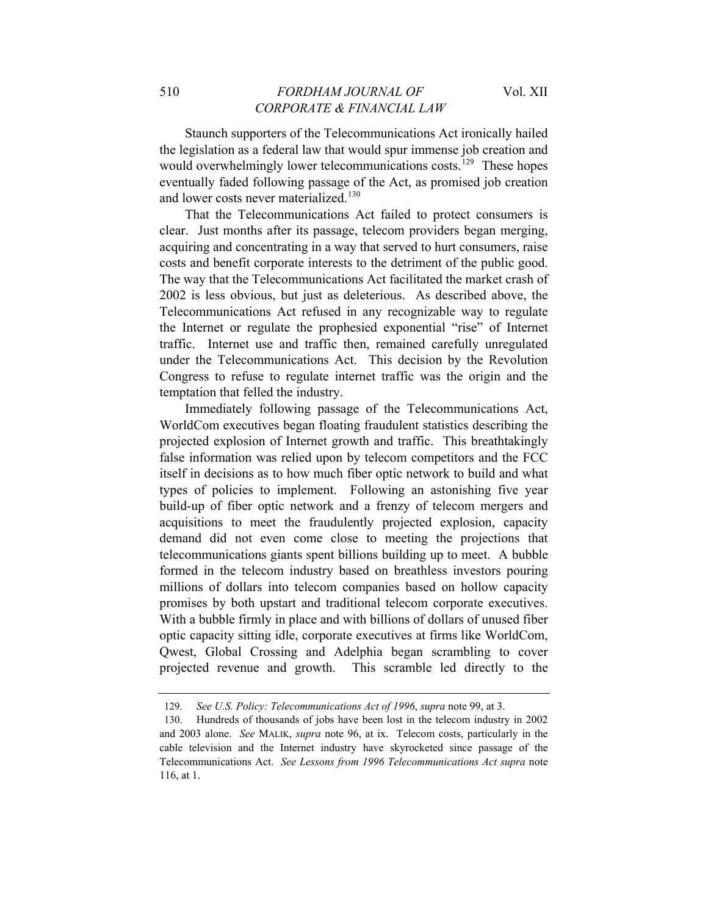Staunch supporters of the Telecommunications Act ironically hailed the legislation as a federal law that would spur immense job creation and would overwhelmingly lower telecommunications costs.<sup>129</sup> These hopes eventually faded following passage of the Act, as promised job creation and lower costs never materialized.<sup>130</sup>

That the Telecommunications Act failed to protect consumers is clear. Just months after its passage, telecom providers began merging, acquiring and concentrating in a way that served to hurt consumers, raise costs and benefit corporate interests to the detriment of the public good. The way that the Telecommunications Act facilitated the market crash of 2002 is less obvious, but just as deleterious. As described above, the Telecommunications Act refused in any recognizable way to regulate the Internet or regulate the prophesied exponential "rise" of Internet traffic. Internet use and traffic then, remained carefully unregulated under the Telecommunications Act. This decision by the Revolution Congress to refuse to regulate internet traffic was the origin and the temptation that felled the industry.

Immediately following passage of the Telecommunications Act, WorldCom executives began floating fraudulent statistics describing the projected explosion of Internet growth and traffic. This breathtakingly false information was relied upon by telecom competitors and the FCC itself in decisions as to how much fiber optic network to build and what types of policies to implement. Following an astonishing five year build-up of fiber optic network and a frenzy of telecom mergers and acquisitions to meet the fraudulently projected explosion, capacity demand did not even come close to meeting the projections that telecommunications giants spent billions building up to meet. A bubble formed in the telecom industry based on breathless investors pouring millions of dollars into telecom companies based on hollow capacity promises by both upstart and traditional telecom corporate executives. With a bubble firmly in place and with billions of dollars of unused fiber optic capacity sitting idle, corporate executives at firms like WorldCom, Qwest, Global Crossing and Adelphia began scrambling to cover projected revenue and growth. This scramble led directly to the

<sup>129</sup>*. See U.S. Policy: Telecommunications Act of 1996*, *supra* note 99, at 3.

<sup>130.</sup> Hundreds of thousands of jobs have been lost in the telecom industry in 2002 and 2003 alone. *See* MALIK, *supra* note 96, at ix. Telecom costs, particularly in the cable television and the Internet industry have skyrocketed since passage of the Telecommunications Act. *See Lessons from 1996 Telecommunications Act supra* note 116, at 1.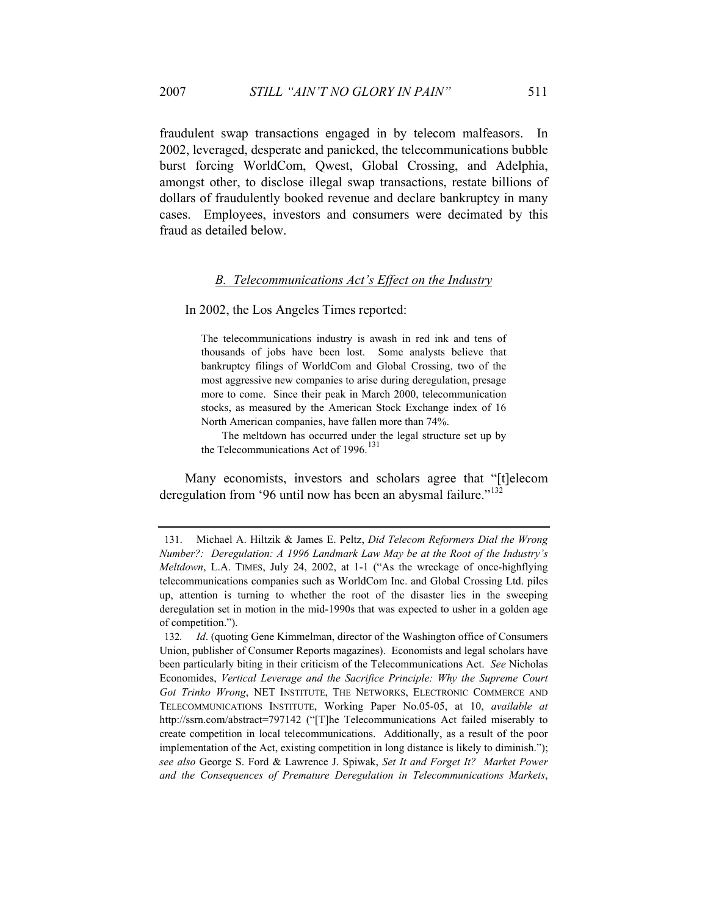fraudulent swap transactions engaged in by telecom malfeasors. In 2002, leveraged, desperate and panicked, the telecommunications bubble burst forcing WorldCom, Qwest, Global Crossing, and Adelphia, amongst other, to disclose illegal swap transactions, restate billions of dollars of fraudulently booked revenue and declare bankruptcy in many cases. Employees, investors and consumers were decimated by this fraud as detailed below.

#### *B. Telecommunications Act's Effect on the Industry*

In 2002, the Los Angeles Times reported:

The telecommunications industry is awash in red ink and tens of thousands of jobs have been lost. Some analysts believe that bankruptcy filings of WorldCom and Global Crossing, two of the most aggressive new companies to arise during deregulation, presage more to come. Since their peak in March 2000, telecommunication stocks, as measured by the American Stock Exchange index of 16 North American companies, have fallen more than 74%.

The meltdown has occurred under the legal structure set up by the Telecommunications Act of  $1996$ <sup>131</sup>

Many economists, investors and scholars agree that "[t]elecom deregulation from '96 until now has been an abysmal failure."<sup>132</sup>

<sup>131.</sup> Michael A. Hiltzik & James E. Peltz, *Did Telecom Reformers Dial the Wrong Number?: Deregulation: A 1996 Landmark Law May be at the Root of the Industry's Meltdown*, L.A. TIMES, July 24, 2002, at 1-1 ("As the wreckage of once-highflying telecommunications companies such as WorldCom Inc. and Global Crossing Ltd. piles up, attention is turning to whether the root of the disaster lies in the sweeping deregulation set in motion in the mid-1990s that was expected to usher in a golden age of competition.").

<sup>132</sup>*. Id*. (quoting Gene Kimmelman, director of the Washington office of Consumers Union, publisher of Consumer Reports magazines). Economists and legal scholars have been particularly biting in their criticism of the Telecommunications Act. *See* Nicholas Economides, *Vertical Leverage and the Sacrifice Principle: Why the Supreme Court Got Trinko Wrong*, NET INSTITUTE, THE NETWORKS, ELECTRONIC COMMERCE AND TELECOMMUNICATIONS INSTITUTE, Working Paper No.05-05, at 10, *available at* http://ssrn.com/abstract=797142 ("[T]he Telecommunications Act failed miserably to create competition in local telecommunications. Additionally, as a result of the poor implementation of the Act, existing competition in long distance is likely to diminish."); *see also* George S. Ford & Lawrence J. Spiwak, *Set It and Forget It? Market Power and the Consequences of Premature Deregulation in Telecommunications Markets*,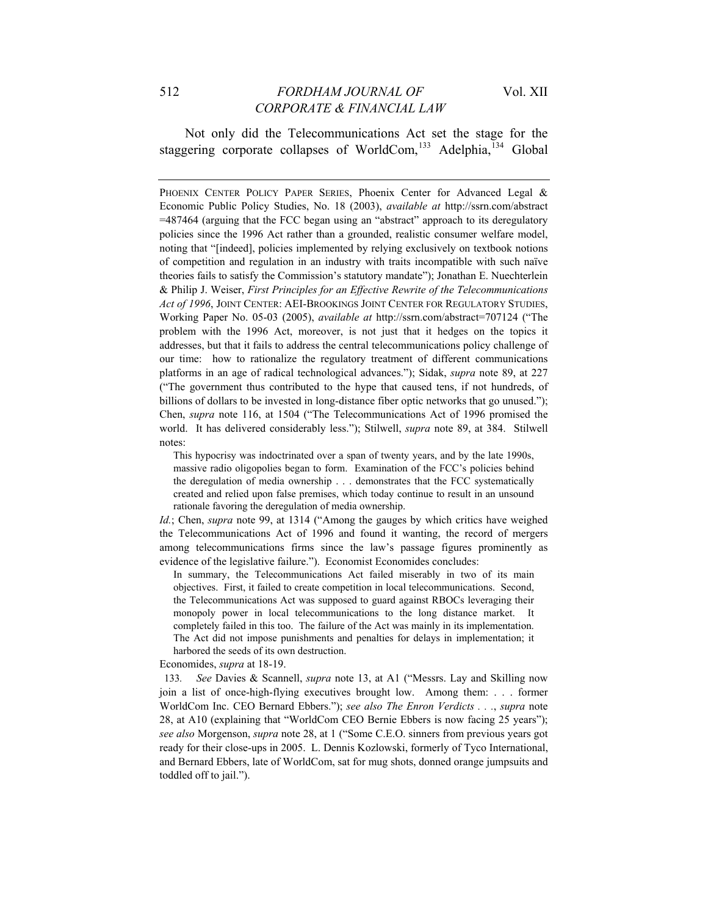Not only did the Telecommunications Act set the stage for the staggering corporate collapses of WorldCom, $^{133}$  Adelphia, $^{134}$  Global

PHOENIX CENTER POLICY PAPER SERIES, Phoenix Center for Advanced Legal & Economic Public Policy Studies, No. 18 (2003), *available at* http://ssrn.com/abstract =487464 (arguing that the FCC began using an "abstract" approach to its deregulatory policies since the 1996 Act rather than a grounded, realistic consumer welfare model, noting that "[indeed], policies implemented by relying exclusively on textbook notions of competition and regulation in an industry with traits incompatible with such naïve theories fails to satisfy the Commission's statutory mandate"); Jonathan E. Nuechterlein & Philip J. Weiser, *First Principles for an Effective Rewrite of the Telecommunications Act of 1996*, JOINT CENTER: AEI-BROOKINGS JOINT CENTER FOR REGULATORY STUDIES, Working Paper No. 05-03 (2005), *available at* http://ssrn.com/abstract=707124 ("The problem with the 1996 Act, moreover, is not just that it hedges on the topics it addresses, but that it fails to address the central telecommunications policy challenge of our time: how to rationalize the regulatory treatment of different communications platforms in an age of radical technological advances."); Sidak, *supra* note 89, at 227 ("The government thus contributed to the hype that caused tens, if not hundreds, of billions of dollars to be invested in long-distance fiber optic networks that go unused."); Chen, *supra* note 116, at 1504 ("The Telecommunications Act of 1996 promised the world. It has delivered considerably less."); Stilwell, *supra* note 89, at 384. Stilwell notes:

This hypocrisy was indoctrinated over a span of twenty years, and by the late 1990s, massive radio oligopolies began to form. Examination of the FCC's policies behind the deregulation of media ownership . . . demonstrates that the FCC systematically created and relied upon false premises, which today continue to result in an unsound rationale favoring the deregulation of media ownership.

*Id.*; Chen, *supra* note 99, at 1314 ("Among the gauges by which critics have weighed the Telecommunications Act of 1996 and found it wanting, the record of mergers among telecommunications firms since the law's passage figures prominently as evidence of the legislative failure."). Economist Economides concludes:

In summary, the Telecommunications Act failed miserably in two of its main objectives. First, it failed to create competition in local telecommunications. Second, the Telecommunications Act was supposed to guard against RBOCs leveraging their monopoly power in local telecommunications to the long distance market. It completely failed in this too. The failure of the Act was mainly in its implementation. The Act did not impose punishments and penalties for delays in implementation; it harbored the seeds of its own destruction.

Economides, *supra* at 18-19.

133*. See* Davies & Scannell, *supra* note 13, at A1 ("Messrs. Lay and Skilling now join a list of once-high-flying executives brought low. Among them: . . . former WorldCom Inc. CEO Bernard Ebbers."); *see also The Enron Verdicts . . .*, *supra* note 28, at A10 (explaining that "WorldCom CEO Bernie Ebbers is now facing 25 years"); *see also* Morgenson, *supra* note 28, at 1 ("Some C.E.O. sinners from previous years got ready for their close-ups in 2005. L. Dennis Kozlowski, formerly of Tyco International, and Bernard Ebbers, late of WorldCom, sat for mug shots, donned orange jumpsuits and toddled off to jail.").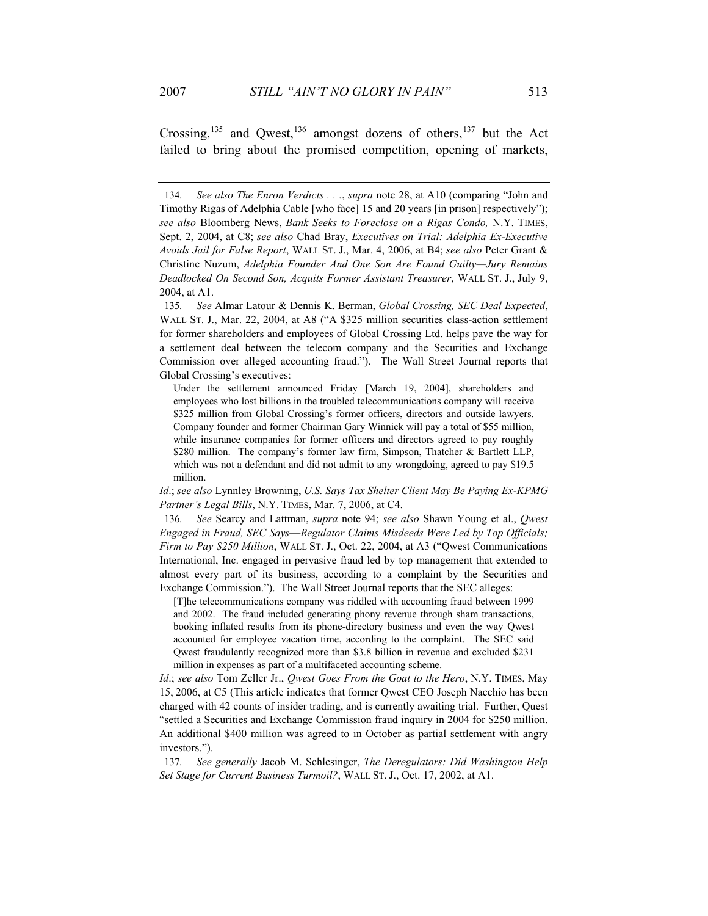Crossing,<sup>135</sup> and Qwest,<sup>136</sup> amongst dozens of others,<sup>137</sup> but the Act failed to bring about the promised competition, opening of markets,

[T]he telecommunications company was riddled with accounting fraud between 1999 and 2002. The fraud included generating phony revenue through sham transactions, booking inflated results from its phone-directory business and even the way Qwest accounted for employee vacation time, according to the complaint. The SEC said Qwest fraudulently recognized more than \$3.8 billion in revenue and excluded \$231 million in expenses as part of a multifaceted accounting scheme.

*Id*.; *see also* Tom Zeller Jr., *Qwest Goes From the Goat to the Hero*, N.Y. TIMES, May 15, 2006, at C5 (This article indicates that former Qwest CEO Joseph Nacchio has been charged with 42 counts of insider trading, and is currently awaiting trial. Further, Quest "settled a Securities and Exchange Commission fraud inquiry in 2004 for \$250 million. An additional \$400 million was agreed to in October as partial settlement with angry investors.").

137*. See generally* Jacob M. Schlesinger, *The Deregulators: Did Washington Help Set Stage for Current Business Turmoil?*, WALL ST. J., Oct. 17, 2002, at A1.

<sup>134</sup>*. See also The Enron Verdicts . . .*, *supra* note 28, at A10 (comparing "John and Timothy Rigas of Adelphia Cable [who face] 15 and 20 years [in prison] respectively"); *see also* Bloomberg News, *Bank Seeks to Foreclose on a Rigas Condo,* N.Y. TIMES, Sept. 2, 2004, at C8; *see also* Chad Bray, *Executives on Trial: Adelphia Ex-Executive Avoids Jail for False Report*, WALL ST. J., Mar. 4, 2006, at B4; *see also* Peter Grant & Christine Nuzum, *Adelphia Founder And One Son Are Found Guilty—Jury Remains Deadlocked On Second Son, Acquits Former Assistant Treasurer*, WALL ST. J., July 9, 2004, at A1.

<sup>135</sup>*. See* Almar Latour & Dennis K. Berman, *Global Crossing, SEC Deal Expected*, WALL ST. J., Mar. 22, 2004, at A8 ("A \$325 million securities class-action settlement for former shareholders and employees of Global Crossing Ltd. helps pave the way for a settlement deal between the telecom company and the Securities and Exchange Commission over alleged accounting fraud."). The Wall Street Journal reports that Global Crossing's executives:

Under the settlement announced Friday [March 19, 2004], shareholders and employees who lost billions in the troubled telecommunications company will receive \$325 million from Global Crossing's former officers, directors and outside lawyers. Company founder and former Chairman Gary Winnick will pay a total of \$55 million, while insurance companies for former officers and directors agreed to pay roughly \$280 million. The company's former law firm, Simpson, Thatcher & Bartlett LLP, which was not a defendant and did not admit to any wrongdoing, agreed to pay \$19.5 million.

*Id*.; *see also* Lynnley Browning, *U.S. Says Tax Shelter Client May Be Paying Ex-KPMG Partner's Legal Bills*, N.Y. TIMES, Mar. 7, 2006, at C4.

<sup>136</sup>*. See* Searcy and Lattman, *supra* note 94; *see also* Shawn Young et al., *Qwest Engaged in Fraud, SEC Says*—*Regulator Claims Misdeeds Were Led by Top Officials; Firm to Pay \$250 Million*, WALL ST. J., Oct. 22, 2004, at A3 ("Qwest Communications International, Inc. engaged in pervasive fraud led by top management that extended to almost every part of its business, according to a complaint by the Securities and Exchange Commission."). The Wall Street Journal reports that the SEC alleges: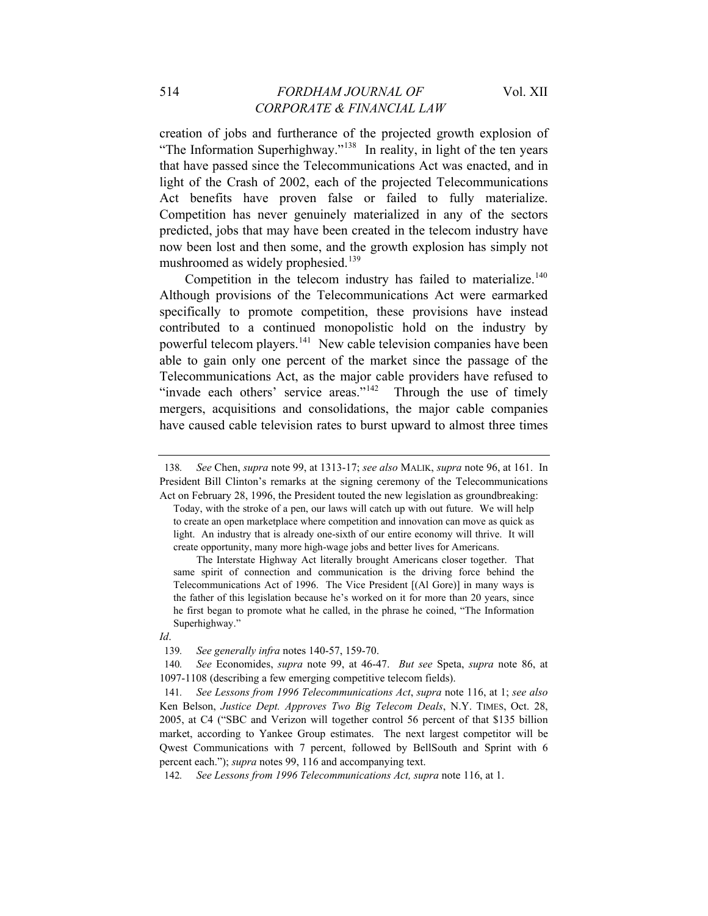creation of jobs and furtherance of the projected growth explosion of "The Information Superhighway."<sup>138</sup> In reality, in light of the ten years that have passed since the Telecommunications Act was enacted, and in light of the Crash of 2002, each of the projected Telecommunications Act benefits have proven false or failed to fully materialize. Competition has never genuinely materialized in any of the sectors predicted, jobs that may have been created in the telecom industry have now been lost and then some, and the growth explosion has simply not mushroomed as widely prophesied.<sup>139</sup>

Competition in the telecom industry has failed to materialize.<sup>140</sup> Although provisions of the Telecommunications Act were earmarked specifically to promote competition, these provisions have instead contributed to a continued monopolistic hold on the industry by powerful telecom players.<sup>141</sup> New cable television companies have been able to gain only one percent of the market since the passage of the Telecommunications Act, as the major cable providers have refused to "invade each others' service areas."<sup>142</sup> Through the use of timely mergers, acquisitions and consolidations, the major cable companies have caused cable television rates to burst upward to almost three times

<sup>138</sup>*. See* Chen, *supra* note 99, at 1313-17; *see also* MALIK, *supra* note 96, at 161. In President Bill Clinton's remarks at the signing ceremony of the Telecommunications Act on February 28, 1996, the President touted the new legislation as groundbreaking:

Today, with the stroke of a pen, our laws will catch up with out future. We will help to create an open marketplace where competition and innovation can move as quick as light. An industry that is already one-sixth of our entire economy will thrive. It will create opportunity, many more high-wage jobs and better lives for Americans.

The Interstate Highway Act literally brought Americans closer together. That same spirit of connection and communication is the driving force behind the Telecommunications Act of 1996. The Vice President [(Al Gore)] in many ways is the father of this legislation because he's worked on it for more than 20 years, since he first began to promote what he called, in the phrase he coined, "The Information Superhighway."

*Id*.

<sup>139</sup>*. See generally infra* notes 140-57, 159-70.

<sup>140</sup>*. See* Economides, *supra* note 99, at 46-47. *But see* Speta, *supra* note 86, at 1097-1108 (describing a few emerging competitive telecom fields).

<sup>141</sup>*. See Lessons from 1996 Telecommunications Act*, *supra* note 116, at 1; *see also* Ken Belson, *Justice Dept. Approves Two Big Telecom Deals*, N.Y. TIMES, Oct. 28, 2005, at C4 ("SBC and Verizon will together control 56 percent of that \$135 billion market, according to Yankee Group estimates. The next largest competitor will be Qwest Communications with 7 percent, followed by BellSouth and Sprint with 6 percent each."); *supra* notes 99, 116 and accompanying text.

<sup>142</sup>*. See Lessons from 1996 Telecommunications Act, supra* note 116, at 1.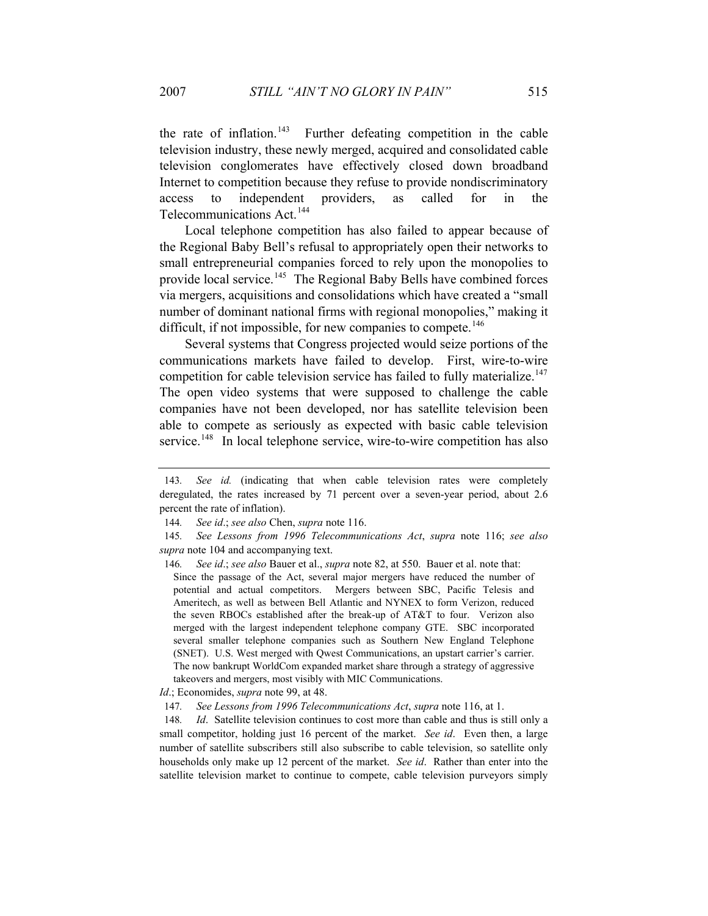the rate of inflation.<sup>143</sup> Further defeating competition in the cable television industry, these newly merged, acquired and consolidated cable television conglomerates have effectively closed down broadband Internet to competition because they refuse to provide nondiscriminatory access to independent providers, as called for in the Telecommunications Act.<sup>144</sup>

Local telephone competition has also failed to appear because of the Regional Baby Bell's refusal to appropriately open their networks to small entrepreneurial companies forced to rely upon the monopolies to provide local service.<sup>145</sup> The Regional Baby Bells have combined forces via mergers, acquisitions and consolidations which have created a "small number of dominant national firms with regional monopolies," making it difficult, if not impossible, for new companies to compete.<sup>146</sup>

Several systems that Congress projected would seize portions of the communications markets have failed to develop. First, wire-to-wire competition for cable television service has failed to fully materialize.<sup>147</sup> The open video systems that were supposed to challenge the cable companies have not been developed, nor has satellite television been able to compete as seriously as expected with basic cable television service.<sup>148</sup> In local telephone service, wire-to-wire competition has also

146*. See id*.; *see also* Bauer et al., *supra* note 82, at 550. Bauer et al. note that: Since the passage of the Act, several major mergers have reduced the number of potential and actual competitors. Mergers between SBC, Pacific Telesis and Ameritech, as well as between Bell Atlantic and NYNEX to form Verizon, reduced the seven RBOCs established after the break-up of AT&T to four. Verizon also merged with the largest independent telephone company GTE. SBC incorporated several smaller telephone companies such as Southern New England Telephone (SNET). U.S. West merged with Qwest Communications, an upstart carrier's carrier. The now bankrupt WorldCom expanded market share through a strategy of aggressive takeovers and mergers, most visibly with MIC Communications.

*Id*.; Economides, *supra* note 99, at 48.

147*. See Lessons from 1996 Telecommunications Act*, *supra* note 116, at 1.

148*. Id*. Satellite television continues to cost more than cable and thus is still only a small competitor, holding just 16 percent of the market. *See id*. Even then, a large number of satellite subscribers still also subscribe to cable television, so satellite only households only make up 12 percent of the market. *See id*. Rather than enter into the satellite television market to continue to compete, cable television purveyors simply

<sup>143</sup>*. See id.* (indicating that when cable television rates were completely deregulated, the rates increased by 71 percent over a seven-year period, about 2.6 percent the rate of inflation).

<sup>144</sup>*. See id*.; *see also* Chen, *supra* note 116.

<sup>145</sup>*. See Lessons from 1996 Telecommunications Act*, *supra* note 116; *see also supra* note 104 and accompanying text.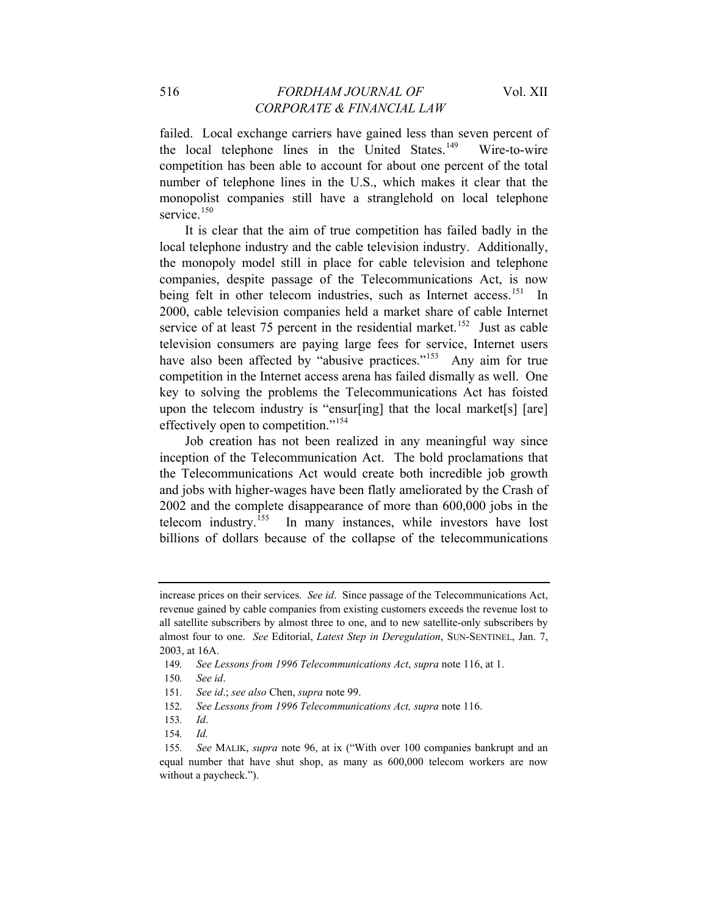failed. Local exchange carriers have gained less than seven percent of the local telephone lines in the United States.<sup>149</sup> Wire-to-wire competition has been able to account for about one percent of the total number of telephone lines in the U.S., which makes it clear that the monopolist companies still have a stranglehold on local telephone service.<sup>150</sup>

It is clear that the aim of true competition has failed badly in the local telephone industry and the cable television industry. Additionally, the monopoly model still in place for cable television and telephone companies, despite passage of the Telecommunications Act, is now being felt in other telecom industries, such as Internet access.<sup>151</sup> In 2000, cable television companies held a market share of cable Internet service of at least 75 percent in the residential market.<sup>152</sup> Just as cable television consumers are paying large fees for service, Internet users have also been affected by "abusive practices."<sup>153</sup> Any aim for true competition in the Internet access arena has failed dismally as well. One key to solving the problems the Telecommunications Act has foisted upon the telecom industry is "ensur[ing] that the local market[s] [are] effectively open to competition."<sup>154</sup>

Job creation has not been realized in any meaningful way since inception of the Telecommunication Act. The bold proclamations that the Telecommunications Act would create both incredible job growth and jobs with higher-wages have been flatly ameliorated by the Crash of 2002 and the complete disappearance of more than  $600,000$  jobs in the telecom industry.<sup>155</sup> In many instances, while investors have lost In many instances, while investors have lost billions of dollars because of the collapse of the telecommunications

increase prices on their services. *See id*. Since passage of the Telecommunications Act, revenue gained by cable companies from existing customers exceeds the revenue lost to all satellite subscribers by almost three to one, and to new satellite-only subscribers by almost four to one. *See* Editorial, *Latest Step in Deregulation*, SUN-SENTINEL, Jan. 7, 2003, at 16A.

<sup>149</sup>*. See Lessons from 1996 Telecommunications Act*, *supra* note 116, at 1.

<sup>150</sup>*. See id*.

<sup>151</sup>*. See id*.; *see also* Chen, *supra* note 99.

<sup>152</sup>*. See Lessons from 1996 Telecommunications Act, supra* note 116.

<sup>153</sup>*. Id*.

<sup>154</sup>*. Id.*

<sup>155</sup>*. See* MALIK, *supra* note 96, at ix ("With over 100 companies bankrupt and an equal number that have shut shop, as many as 600,000 telecom workers are now without a paycheck.").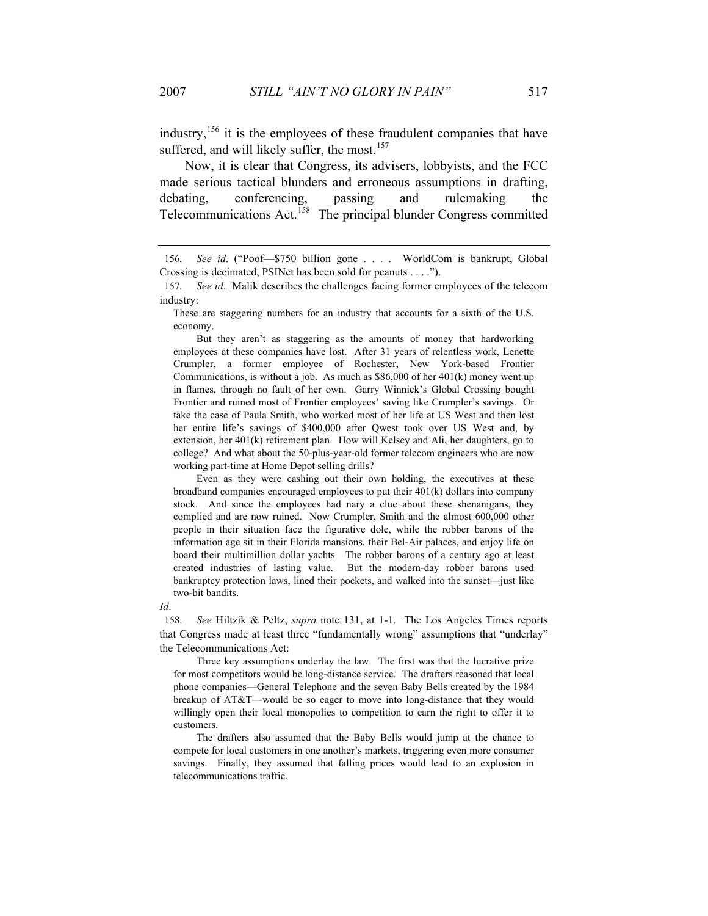industry,  $156$  it is the employees of these fraudulent companies that have suffered, and will likely suffer, the most.<sup>157</sup>

Now, it is clear that Congress, its advisers, lobbyists, and the FCC made serious tactical blunders and erroneous assumptions in drafting, debating, conferencing, passing and rulemaking the Telecommunications Act.<sup>158</sup> The principal blunder Congress committed

 But they aren't as staggering as the amounts of money that hardworking employees at these companies have lost. After 31 years of relentless work, Lenette Crumpler, a former employee of Rochester, New York-based Frontier Communications, is without a job. As much as \$86,000 of her 401(k) money went up in flames, through no fault of her own. Garry Winnick's Global Crossing bought Frontier and ruined most of Frontier employees' saving like Crumpler's savings. Or take the case of Paula Smith, who worked most of her life at US West and then lost her entire life's savings of \$400,000 after Qwest took over US West and, by extension, her 401(k) retirement plan. How will Kelsey and Ali, her daughters, go to college? And what about the 50-plus-year-old former telecom engineers who are now working part-time at Home Depot selling drills?

 Even as they were cashing out their own holding, the executives at these broadband companies encouraged employees to put their 401(k) dollars into company stock. And since the employees had nary a clue about these shenanigans, they complied and are now ruined. Now Crumpler, Smith and the almost 600,000 other people in their situation face the figurative dole, while the robber barons of the information age sit in their Florida mansions, their Bel-Air palaces, and enjoy life on board their multimillion dollar yachts. The robber barons of a century ago at least created industries of lasting value. But the modern-day robber barons used bankruptcy protection laws, lined their pockets, and walked into the sunset—just like two-bit bandits.

*Id*.

158*. See* Hiltzik & Peltz, *supra* note 131, at 1-1. The Los Angeles Times reports that Congress made at least three "fundamentally wrong" assumptions that "underlay" the Telecommunications Act:

 Three key assumptions underlay the law. The first was that the lucrative prize for most competitors would be long-distance service. The drafters reasoned that local phone companies—General Telephone and the seven Baby Bells created by the 1984 breakup of AT&T—would be so eager to move into long-distance that they would willingly open their local monopolies to competition to earn the right to offer it to customers.

 The drafters also assumed that the Baby Bells would jump at the chance to compete for local customers in one another's markets, triggering even more consumer savings. Finally, they assumed that falling prices would lead to an explosion in telecommunications traffic.

<sup>156</sup>*. See id*. ("Poof—\$750 billion gone . . . . WorldCom is bankrupt, Global Crossing is decimated, PSINet has been sold for peanuts . . . .").

<sup>157</sup>*. See id*. Malik describes the challenges facing former employees of the telecom industry:

These are staggering numbers for an industry that accounts for a sixth of the U.S. economy.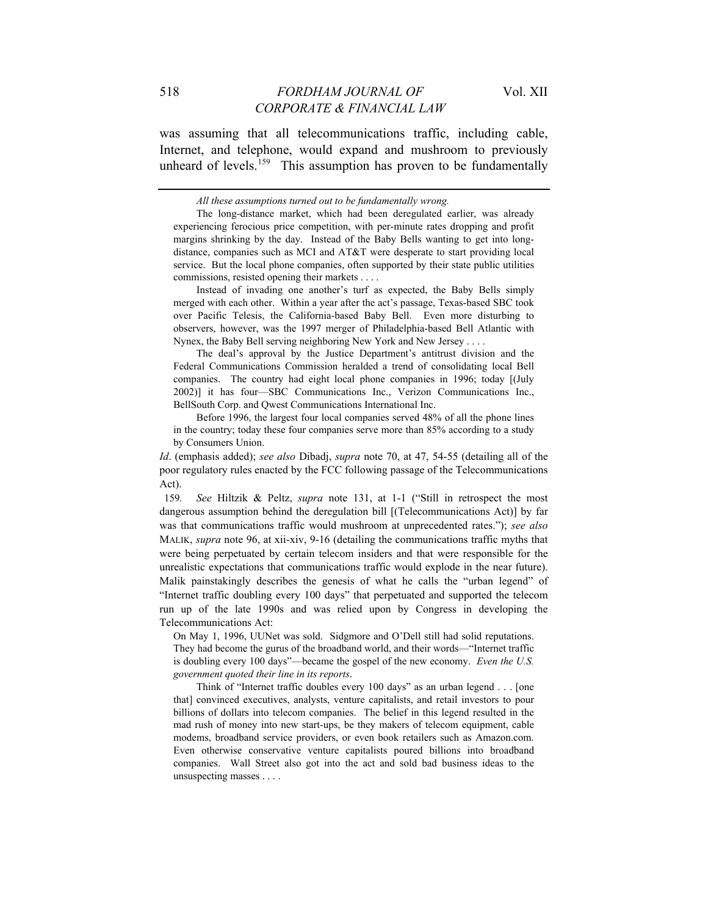was assuming that all telecommunications traffic, including cable, Internet, and telephone, would expand and mushroom to previously unheard of levels.<sup>159</sup> This assumption has proven to be fundamentally

 Instead of invading one another's turf as expected, the Baby Bells simply merged with each other. Within a year after the act's passage, Texas-based SBC took over Pacific Telesis, the California-based Baby Bell. Even more disturbing to observers, however, was the 1997 merger of Philadelphia-based Bell Atlantic with Nynex, the Baby Bell serving neighboring New York and New Jersey . . . .

 The deal's approval by the Justice Department's antitrust division and the Federal Communications Commission heralded a trend of consolidating local Bell companies. The country had eight local phone companies in 1996; today [(July 2002)] it has four—SBC Communications Inc., Verizon Communications Inc., BellSouth Corp. and Qwest Communications International Inc.

 Before 1996, the largest four local companies served 48% of all the phone lines in the country; today these four companies serve more than 85% according to a study by Consumers Union.

*Id*. (emphasis added); *see also* Dibadj, *supra* note 70, at 47, 54-55 (detailing all of the poor regulatory rules enacted by the FCC following passage of the Telecommunications Act).

159*. See* Hiltzik & Peltz, *supra* note 131, at 1-1 ("Still in retrospect the most dangerous assumption behind the deregulation bill [(Telecommunications Act)] by far was that communications traffic would mushroom at unprecedented rates."); *see also* MALIK, *supra* note 96, at xii-xiv, 9-16 (detailing the communications traffic myths that were being perpetuated by certain telecom insiders and that were responsible for the unrealistic expectations that communications traffic would explode in the near future). Malik painstakingly describes the genesis of what he calls the "urban legend" of "Internet traffic doubling every 100 days" that perpetuated and supported the telecom run up of the late 1990s and was relied upon by Congress in developing the Telecommunications Act:

On May 1, 1996, UUNet was sold. Sidgmore and O'Dell still had solid reputations. They had become the gurus of the broadband world, and their words—"Internet traffic is doubling every 100 days"—became the gospel of the new economy. *Even the U.S. government quoted their line in its reports*.

 Think of "Internet traffic doubles every 100 days" as an urban legend . . . [one that] convinced executives, analysts, venture capitalists, and retail investors to pour billions of dollars into telecom companies. The belief in this legend resulted in the mad rush of money into new start-ups, be they makers of telecom equipment, cable modems, broadband service providers, or even book retailers such as Amazon.com. Even otherwise conservative venture capitalists poured billions into broadband companies. Wall Street also got into the act and sold bad business ideas to the unsuspecting masses . . . .

*All these assumptions turned out to be fundamentally wrong.* 

The long-distance market, which had been deregulated earlier, was already experiencing ferocious price competition, with per-minute rates dropping and profit margins shrinking by the day. Instead of the Baby Bells wanting to get into longdistance, companies such as MCI and AT&T were desperate to start providing local service. But the local phone companies, often supported by their state public utilities commissions, resisted opening their markets . . . .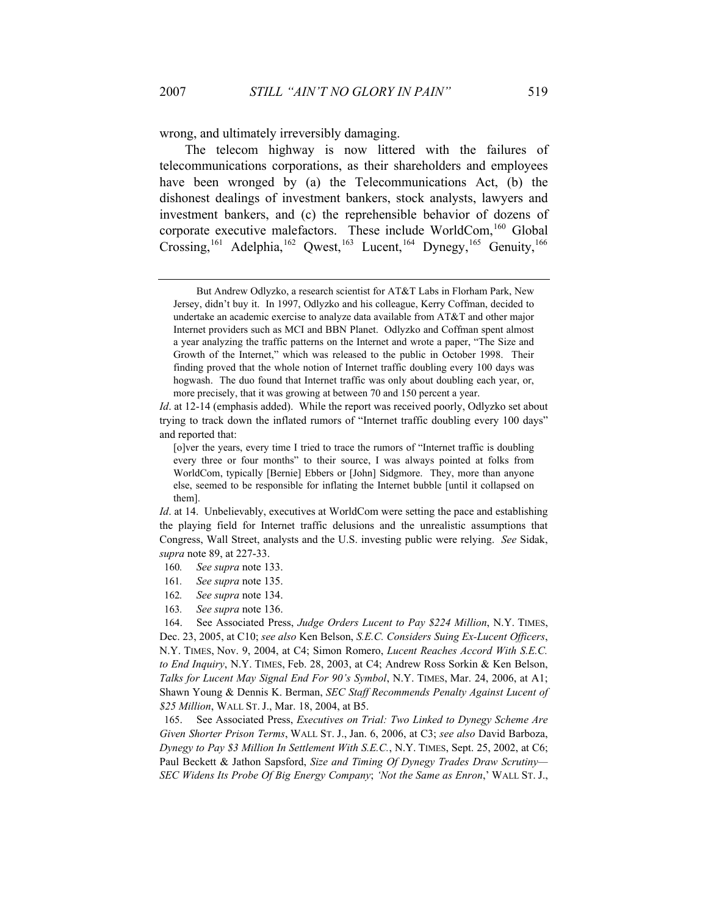wrong, and ultimately irreversibly damaging.

The telecom highway is now littered with the failures of telecommunications corporations, as their shareholders and employees have been wronged by (a) the Telecommunications Act, (b) the dishonest dealings of investment bankers, stock analysts, lawyers and investment bankers, and (c) the reprehensible behavior of dozens of corporate executive malefactors. These include WorldCom,<sup>160</sup> Global Crossing,<sup>161</sup> Adelphia,<sup>162</sup> Qwest,<sup>163</sup> Lucent,<sup>164</sup> Dynegy,<sup>165</sup> Genuity,<sup>166</sup>

*Id*. at 12-14 (emphasis added). While the report was received poorly, Odlyzko set about trying to track down the inflated rumors of "Internet traffic doubling every 100 days" and reported that:

- 160*. See supra* note 133.
- 161*. See supra* note 135.
- 162*. See supra* note 134.
- 163*. See supra* note 136.

165. See Associated Press, *Executives on Trial: Two Linked to Dynegy Scheme Are Given Shorter Prison Terms*, WALL ST. J., Jan. 6, 2006, at C3; *see also* David Barboza, *Dynegy to Pay \$3 Million In Settlement With S.E.C.*, N.Y. TIMES, Sept. 25, 2002, at C6; Paul Beckett & Jathon Sapsford, *Size and Timing Of Dynegy Trades Draw Scrutiny— SEC Widens Its Probe Of Big Energy Company*; *'Not the Same as Enron*,' WALL ST. J.,

But Andrew Odlyzko, a research scientist for AT&T Labs in Florham Park, New Jersey, didn't buy it. In 1997, Odlyzko and his colleague, Kerry Coffman, decided to undertake an academic exercise to analyze data available from AT&T and other major Internet providers such as MCI and BBN Planet. Odlyzko and Coffman spent almost a year analyzing the traffic patterns on the Internet and wrote a paper, "The Size and Growth of the Internet," which was released to the public in October 1998. Their finding proved that the whole notion of Internet traffic doubling every 100 days was hogwash. The duo found that Internet traffic was only about doubling each year, or, more precisely, that it was growing at between 70 and 150 percent a year.

<sup>[</sup>o]ver the years, every time I tried to trace the rumors of "Internet traffic is doubling every three or four months" to their source, I was always pointed at folks from WorldCom, typically [Bernie] Ebbers or [John] Sidgmore. They, more than anyone else, seemed to be responsible for inflating the Internet bubble [until it collapsed on them].

*Id.* at 14. Unbelievably, executives at WorldCom were setting the pace and establishing the playing field for Internet traffic delusions and the unrealistic assumptions that Congress, Wall Street, analysts and the U.S. investing public were relying. *See* Sidak, *supra* note 89, at 227-33.

<sup>164.</sup> See Associated Press, *Judge Orders Lucent to Pay \$224 Million*, N.Y. TIMES, Dec. 23, 2005, at C10; *see also* Ken Belson, *S.E.C. Considers Suing Ex-Lucent Officers*, N.Y. TIMES, Nov. 9, 2004, at C4; Simon Romero, *Lucent Reaches Accord With S.E.C. to End Inquiry*, N.Y. TIMES, Feb. 28, 2003, at C4; Andrew Ross Sorkin & Ken Belson, *Talks for Lucent May Signal End For 90's Symbol*, N.Y. TIMES, Mar. 24, 2006, at A1; Shawn Young & Dennis K. Berman, *SEC Staff Recommends Penalty Against Lucent of \$25 Million*, WALL ST. J., Mar. 18, 2004, at B5.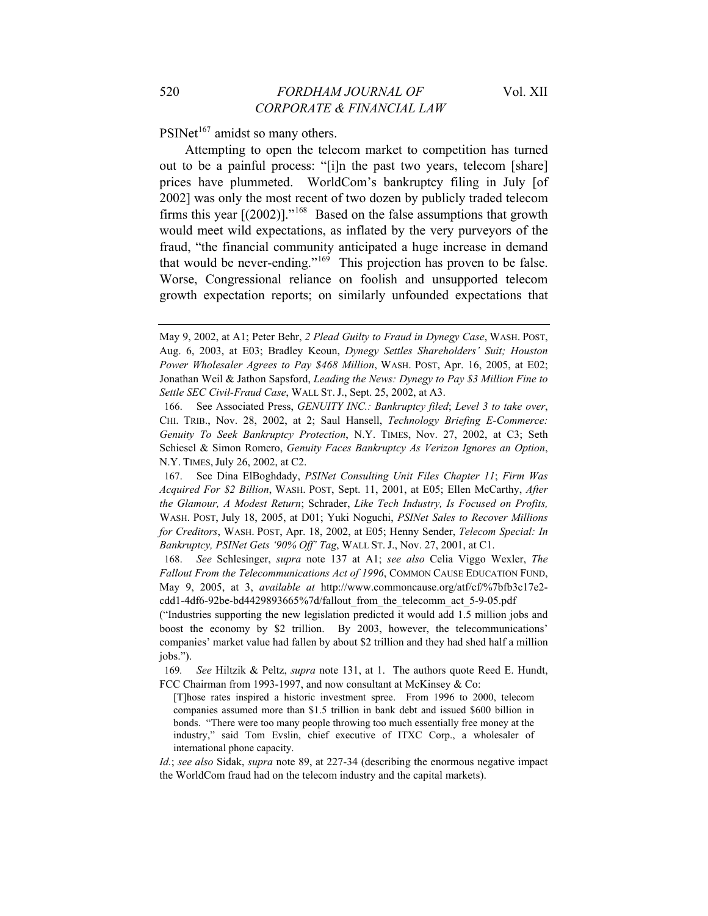$PSINet<sup>167</sup>$  amidst so many others.

Attempting to open the telecom market to competition has turned out to be a painful process: "[i]n the past two years, telecom [share] prices have plummeted. WorldCom's bankruptcy filing in July [of 2002] was only the most recent of two dozen by publicly traded telecom firms this year  $[(2002)]^{168}$  Based on the false assumptions that growth would meet wild expectations, as inflated by the very purveyors of the fraud, "the financial community anticipated a huge increase in demand that would be never-ending." $169$  This projection has proven to be false. Worse, Congressional reliance on foolish and unsupported telecom growth expectation reports; on similarly unfounded expectations that

May 9, 2002, at A1; Peter Behr, *2 Plead Guilty to Fraud in Dynegy Case*, WASH. POST, Aug. 6, 2003, at E03; Bradley Keoun, *Dynegy Settles Shareholders' Suit; Houston Power Wholesaler Agrees to Pay \$468 Million*, WASH. POST, Apr. 16, 2005, at E02; Jonathan Weil & Jathon Sapsford, *Leading the News: Dynegy to Pay \$3 Million Fine to Settle SEC Civil-Fraud Case*, WALL ST. J., Sept. 25, 2002, at A3.

<sup>166.</sup> See Associated Press, *GENUITY INC.: Bankruptcy filed*; *Level 3 to take over*, CHI. TRIB., Nov. 28, 2002, at 2; Saul Hansell, *Technology Briefing E-Commerce: Genuity To Seek Bankruptcy Protection*, N.Y. TIMES, Nov. 27, 2002, at C3; Seth Schiesel & Simon Romero, *Genuity Faces Bankruptcy As Verizon Ignores an Option*, N.Y. TIMES, July 26, 2002, at C2.

<sup>167.</sup> See Dina ElBoghdady, *PSINet Consulting Unit Files Chapter 11*; *Firm Was Acquired For \$2 Billion*, WASH. POST, Sept. 11, 2001, at E05; Ellen McCarthy, *After the Glamour, A Modest Return*; Schrader, *Like Tech Industry, Is Focused on Profits,*  WASH. POST, July 18, 2005, at D01; Yuki Noguchi, *PSINet Sales to Recover Millions for Creditors*, WASH. POST, Apr. 18, 2002, at E05; Henny Sender, *Telecom Special: In Bankruptcy, PSINet Gets '90% Off' Tag*, WALL ST. J., Nov. 27, 2001, at C1.

<sup>168.</sup> *See* Schlesinger, *supra* note 137 at A1; *see also* Celia Viggo Wexler, *The Fallout From the Telecommunications Act of 1996*, COMMON CAUSE EDUCATION FUND, May 9, 2005, at 3, *available at* http://www.commoncause.org/atf/cf/%7bfb3c17e2 cdd1-4df6-92be-bd4429893665%7d/fallout\_from\_the\_telecomm\_act\_5-9-05.pdf

<sup>(&</sup>quot;Industries supporting the new legislation predicted it would add 1.5 million jobs and boost the economy by \$2 trillion. By 2003, however, the telecommunications' companies' market value had fallen by about \$2 trillion and they had shed half a million jobs.").

<sup>169</sup>*. See* Hiltzik & Peltz, *supra* note 131, at 1. The authors quote Reed E. Hundt, FCC Chairman from 1993-1997, and now consultant at McKinsey & Co:

<sup>[</sup>T]hose rates inspired a historic investment spree. From 1996 to 2000, telecom companies assumed more than \$1.5 trillion in bank debt and issued \$600 billion in bonds. "There were too many people throwing too much essentially free money at the industry," said Tom Evslin, chief executive of ITXC Corp., a wholesaler of international phone capacity.

*Id.*; *see also* Sidak, *supra* note 89, at 227-34 (describing the enormous negative impact the WorldCom fraud had on the telecom industry and the capital markets).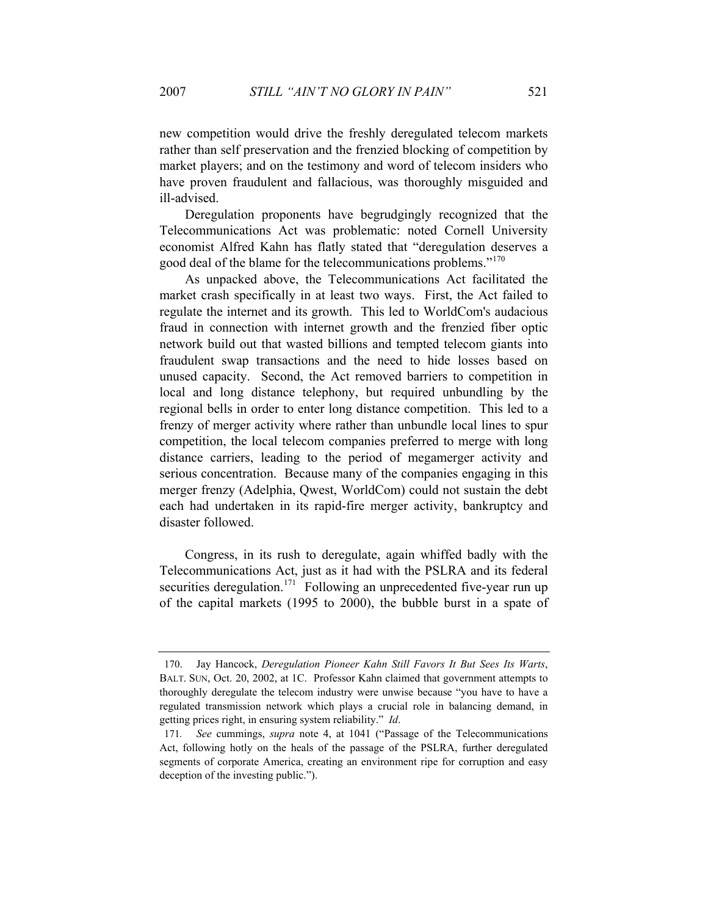new competition would drive the freshly deregulated telecom markets rather than self preservation and the frenzied blocking of competition by market players; and on the testimony and word of telecom insiders who have proven fraudulent and fallacious, was thoroughly misguided and ill-advised.

Deregulation proponents have begrudgingly recognized that the Telecommunications Act was problematic: noted Cornell University economist Alfred Kahn has flatly stated that "deregulation deserves a good deal of the blame for the telecommunications problems."<sup>170</sup>

As unpacked above, the Telecommunications Act facilitated the market crash specifically in at least two ways. First, the Act failed to regulate the internet and its growth. This led to WorldCom's audacious fraud in connection with internet growth and the frenzied fiber optic network build out that wasted billions and tempted telecom giants into fraudulent swap transactions and the need to hide losses based on unused capacity. Second, the Act removed barriers to competition in local and long distance telephony, but required unbundling by the regional bells in order to enter long distance competition. This led to a frenzy of merger activity where rather than unbundle local lines to spur competition, the local telecom companies preferred to merge with long distance carriers, leading to the period of megamerger activity and serious concentration. Because many of the companies engaging in this merger frenzy (Adelphia, Qwest, WorldCom) could not sustain the debt each had undertaken in its rapid-fire merger activity, bankruptcy and disaster followed.

Congress, in its rush to deregulate, again whiffed badly with the Telecommunications Act, just as it had with the PSLRA and its federal securities deregulation.<sup>171</sup> Following an unprecedented five-year run up of the capital markets (1995 to 2000), the bubble burst in a spate of

<sup>170.</sup> Jay Hancock, *Deregulation Pioneer Kahn Still Favors It But Sees Its Warts*, BALT. SUN, Oct. 20, 2002, at 1C. Professor Kahn claimed that government attempts to thoroughly deregulate the telecom industry were unwise because "you have to have a regulated transmission network which plays a crucial role in balancing demand, in getting prices right, in ensuring system reliability." *Id*.

<sup>171</sup>*. See* cummings, *supra* note 4, at 1041 ("Passage of the Telecommunications Act, following hotly on the heals of the passage of the PSLRA, further deregulated segments of corporate America, creating an environment ripe for corruption and easy deception of the investing public.").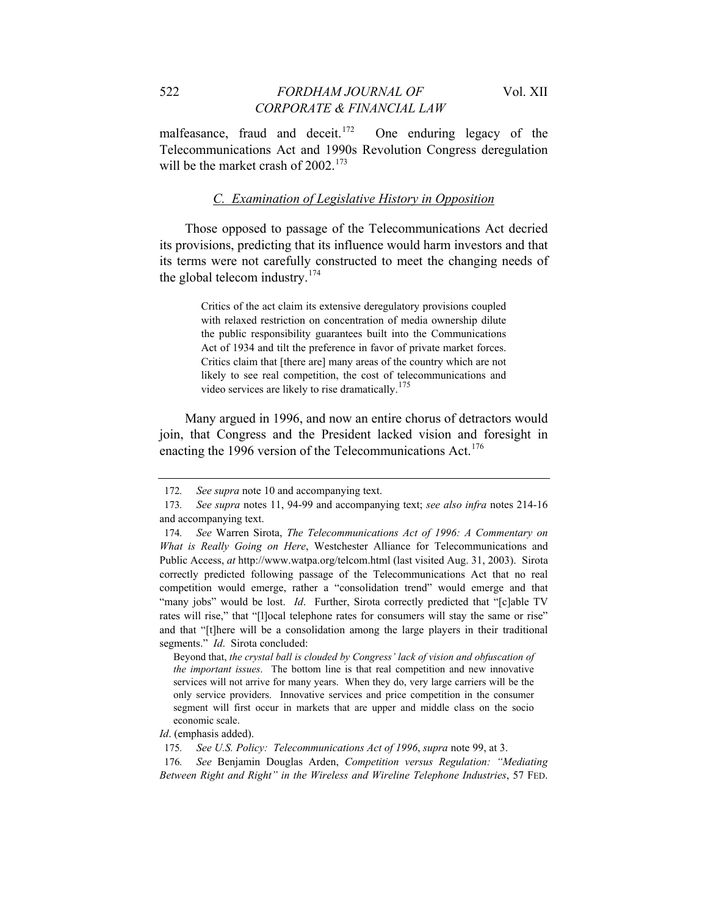malfeasance, fraud and deceit.<sup>172</sup> One enduring legacy of the Telecommunications Act and 1990s Revolution Congress deregulation will be the market crash of  $2002$ <sup>173</sup>

# *C. Examination of Legislative History in Opposition*

Those opposed to passage of the Telecommunications Act decried its provisions, predicting that its influence would harm investors and that its terms were not carefully constructed to meet the changing needs of the global telecom industry.<sup>174</sup>

> Critics of the act claim its extensive deregulatory provisions coupled with relaxed restriction on concentration of media ownership dilute the public responsibility guarantees built into the Communications Act of 1934 and tilt the preference in favor of private market forces. Critics claim that [there are] many areas of the country which are not likely to see real competition, the cost of telecommunications and video services are likely to rise dramatically.<sup>175</sup>

Many argued in 1996, and now an entire chorus of detractors would join, that Congress and the President lacked vision and foresight in enacting the 1996 version of the Telecommunications Act.<sup>176</sup>

Beyond that, *the crystal ball is clouded by Congress' lack of vision and obfuscation of the important issues*. The bottom line is that real competition and new innovative services will not arrive for many years. When they do, very large carriers will be the only service providers. Innovative services and price competition in the consumer segment will first occur in markets that are upper and middle class on the socio economic scale.

*Id*. (emphasis added).

175*. See U.S. Policy: Telecommunications Act of 1996*, *supra* note 99, at 3.

176*. See* Benjamin Douglas Arden, *Competition versus Regulation: "Mediating Between Right and Right" in the Wireless and Wireline Telephone Industries*, 57 FED.

<sup>172</sup>*. See supra* note 10 and accompanying text.

<sup>173</sup>*. See supra* notes 11, 94-99 and accompanying text; *see also infra* notes 214-16 and accompanying text.

<sup>174</sup>*. See* Warren Sirota, *The Telecommunications Act of 1996: A Commentary on What is Really Going on Here*, Westchester Alliance for Telecommunications and Public Access, *at* http://www.watpa.org/telcom.html (last visited Aug. 31, 2003). Sirota correctly predicted following passage of the Telecommunications Act that no real competition would emerge, rather a "consolidation trend" would emerge and that "many jobs" would be lost. *Id*. Further, Sirota correctly predicted that "[c]able TV rates will rise," that "[l]ocal telephone rates for consumers will stay the same or rise" and that "[t]here will be a consolidation among the large players in their traditional segments." *Id*. Sirota concluded: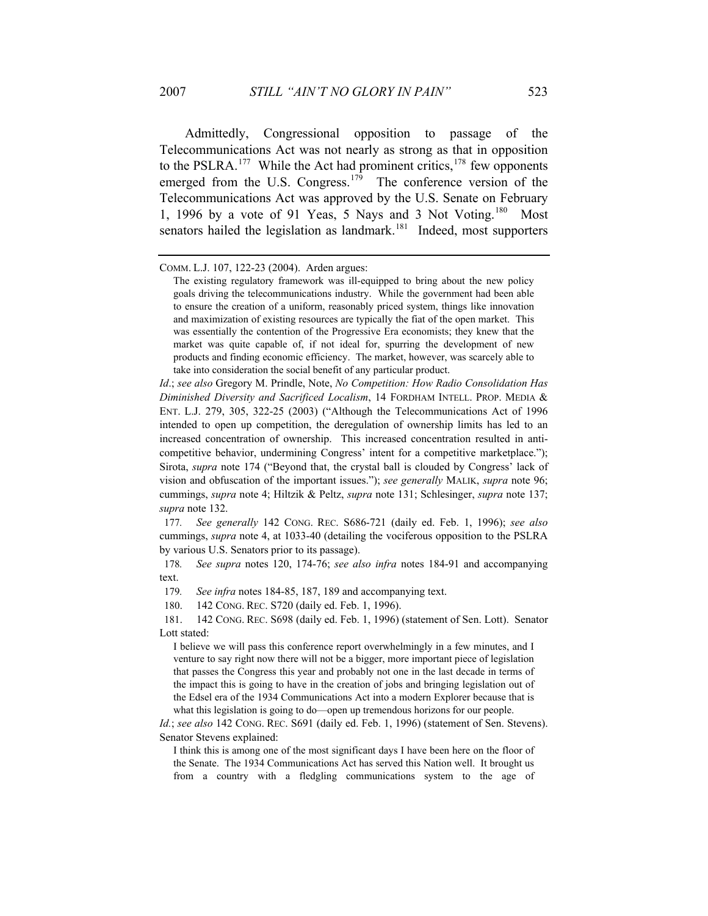Admittedly, Congressional opposition to passage of the Telecommunications Act was not nearly as strong as that in opposition to the PSLRA.<sup>177</sup> While the Act had prominent critics,  $178$  few opponents emerged from the U.S. Congress.<sup>179</sup> The conference version of the Telecommunications Act was approved by the U.S. Senate on February 1, 1996 by a vote of 91 Yeas, 5 Nays and 3 Not Voting.<sup>180</sup> Most senators hailed the legislation as landmark.<sup>181</sup> Indeed, most supporters

177*. See generally* 142 CONG. REC. S686-721 (daily ed. Feb. 1, 1996); *see also* cummings, *supra* note 4, at 1033-40 (detailing the vociferous opposition to the PSLRA by various U.S. Senators prior to its passage).

178*. See supra* notes 120, 174-76; *see also infra* notes 184-91 and accompanying text.

179*. See infra* notes 184-85, 187, 189 and accompanying text.

180. 142 CONG. REC. S720 (daily ed. Feb. 1, 1996).

181. 142 CONG. REC. S698 (daily ed. Feb. 1, 1996) (statement of Sen. Lott). Senator Lott stated:

I believe we will pass this conference report overwhelmingly in a few minutes, and I venture to say right now there will not be a bigger, more important piece of legislation that passes the Congress this year and probably not one in the last decade in terms of the impact this is going to have in the creation of jobs and bringing legislation out of the Edsel era of the 1934 Communications Act into a modern Explorer because that is what this legislation is going to do—open up tremendous horizons for our people.

*Id.*; *see also* 142 CONG. REC. S691 (daily ed. Feb. 1, 1996) (statement of Sen. Stevens). Senator Stevens explained:

I think this is among one of the most significant days I have been here on the floor of the Senate. The 1934 Communications Act has served this Nation well. It brought us from a country with a fledgling communications system to the age of

COMM. L.J. 107, 122-23 (2004). Arden argues:

The existing regulatory framework was ill-equipped to bring about the new policy goals driving the telecommunications industry. While the government had been able to ensure the creation of a uniform, reasonably priced system, things like innovation and maximization of existing resources are typically the fiat of the open market. This was essentially the contention of the Progressive Era economists; they knew that the market was quite capable of, if not ideal for, spurring the development of new products and finding economic efficiency. The market, however, was scarcely able to take into consideration the social benefit of any particular product.

*Id*.; *see also* Gregory M. Prindle, Note, *No Competition: How Radio Consolidation Has Diminished Diversity and Sacrificed Localism*, 14 FORDHAM INTELL. PROP. MEDIA & ENT. L.J. 279, 305, 322-25 (2003) ("Although the Telecommunications Act of 1996 intended to open up competition, the deregulation of ownership limits has led to an increased concentration of ownership. This increased concentration resulted in anticompetitive behavior, undermining Congress' intent for a competitive marketplace."); Sirota, *supra* note 174 ("Beyond that, the crystal ball is clouded by Congress' lack of vision and obfuscation of the important issues."); *see generally* MALIK, *supra* note 96; cummings, *supra* note 4; Hiltzik & Peltz, *supra* note 131; Schlesinger, *supra* note 137; *supra* note 132.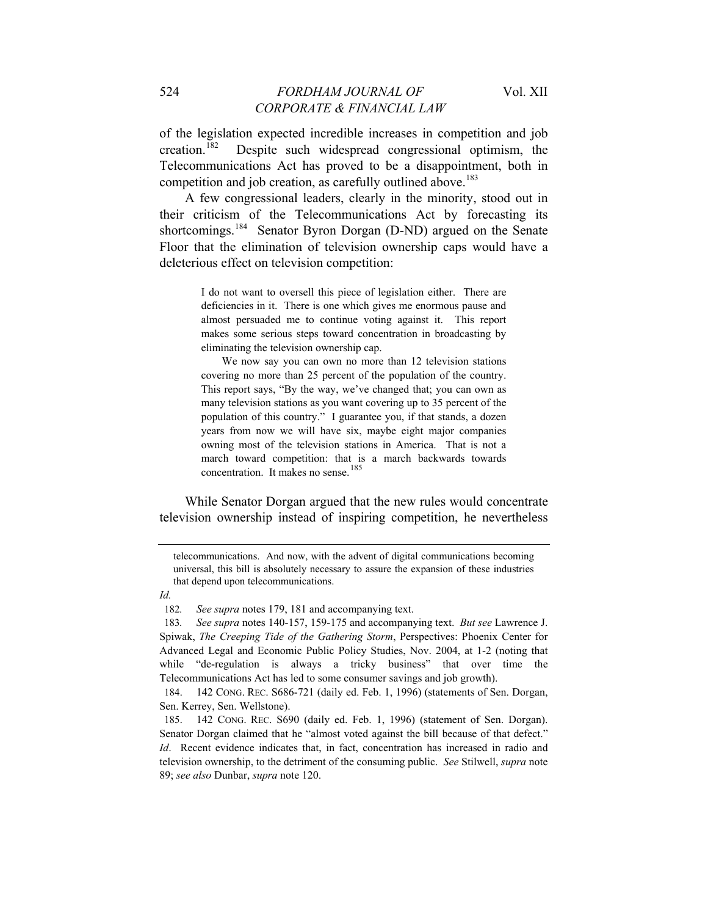of the legislation expected incredible increases in competition and job creation.182 Despite such widespread congressional optimism, the Telecommunications Act has proved to be a disappointment, both in competition and job creation, as carefully outlined above.<sup>183</sup>

A few congressional leaders, clearly in the minority, stood out in their criticism of the Telecommunications Act by forecasting its shortcomings.<sup>184</sup> Senator Byron Dorgan (D-ND) argued on the Senate Floor that the elimination of television ownership caps would have a deleterious effect on television competition:

> I do not want to oversell this piece of legislation either. There are deficiencies in it. There is one which gives me enormous pause and almost persuaded me to continue voting against it. This report makes some serious steps toward concentration in broadcasting by eliminating the television ownership cap.

> We now say you can own no more than 12 television stations covering no more than 25 percent of the population of the country. This report says, "By the way, we've changed that; you can own as many television stations as you want covering up to 35 percent of the population of this country." I guarantee you, if that stands, a dozen years from now we will have six, maybe eight major companies owning most of the television stations in America. That is not a march toward competition: that is a march backwards towards concentration. It makes no sense.<sup>185</sup>

While Senator Dorgan argued that the new rules would concentrate television ownership instead of inspiring competition, he nevertheless

182*. See supra* notes 179, 181 and accompanying text.

telecommunications. And now, with the advent of digital communications becoming universal, this bill is absolutely necessary to assure the expansion of these industries that depend upon telecommunications.

*Id.*

<sup>183</sup>*. See supra* notes 140-157, 159-175 and accompanying text. *But see* Lawrence J. Spiwak, *The Creeping Tide of the Gathering Storm*, Perspectives: Phoenix Center for Advanced Legal and Economic Public Policy Studies, Nov. 2004, at 1-2 (noting that while "de-regulation is always a tricky business" that over time the Telecommunications Act has led to some consumer savings and job growth).

<sup>184. 142</sup> CONG. REC. S686-721 (daily ed. Feb. 1, 1996) (statements of Sen. Dorgan, Sen. Kerrey, Sen. Wellstone).

<sup>185. 142</sup> CONG. REC. S690 (daily ed. Feb. 1, 1996) (statement of Sen. Dorgan). Senator Dorgan claimed that he "almost voted against the bill because of that defect." *Id.* Recent evidence indicates that, in fact, concentration has increased in radio and television ownership, to the detriment of the consuming public. *See* Stilwell, *supra* note 89; *see also* Dunbar, *supra* note 120.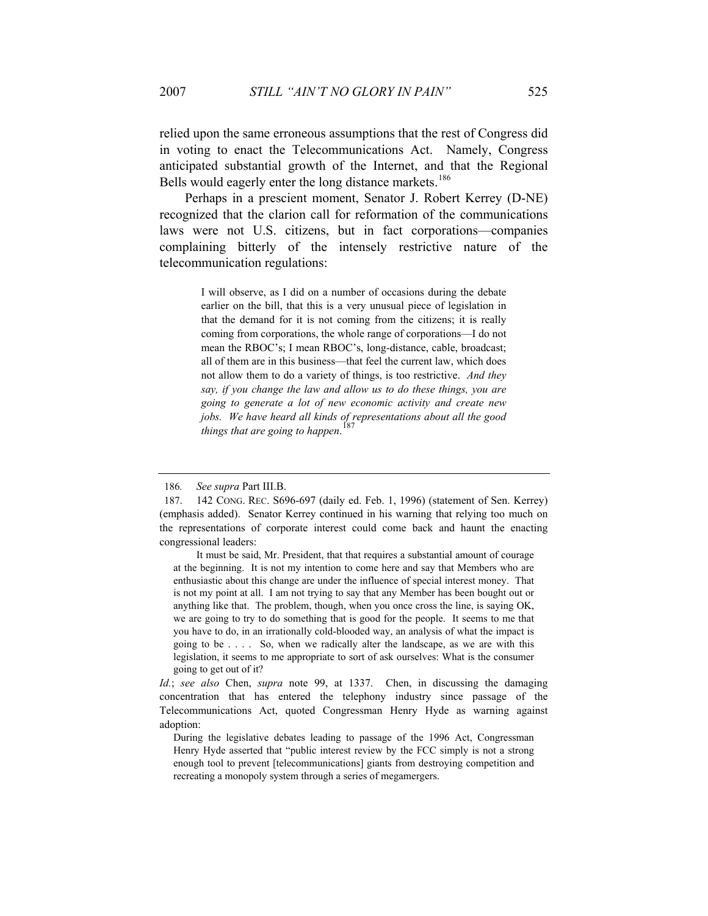relied upon the same erroneous assumptions that the rest of Congress did in voting to enact the Telecommunications Act. Namely, Congress anticipated substantial growth of the Internet, and that the Regional Bells would eagerly enter the long distance markets.<sup>186</sup>

Perhaps in a prescient moment, Senator J. Robert Kerrey (D-NE) recognized that the clarion call for reformation of the communications laws were not U.S. citizens, but in fact corporations—companies complaining bitterly of the intensely restrictive nature of the telecommunication regulations:

> I will observe, as I did on a number of occasions during the debate earlier on the bill, that this is a very unusual piece of legislation in that the demand for it is not coming from the citizens; it is really coming from corporations, the whole range of corporations—I do not mean the RBOC's; I mean RBOC's, long-distance, cable, broadcast; all of them are in this business—that feel the current law, which does not allow them to do a variety of things, is too restrictive. *And they say, if you change the law and allow us to do these things, you are going to generate a lot of new economic activity and create new jobs. We have heard all kinds of representations about all the good things that are going to happen*. 187

<sup>186</sup>*. See supra* Part III.B.

<sup>187. 142</sup> CONG. REC. S696-697 (daily ed. Feb. 1, 1996) (statement of Sen. Kerrey) (emphasis added). Senator Kerrey continued in his warning that relying too much on the representations of corporate interest could come back and haunt the enacting congressional leaders:

It must be said, Mr. President, that that requires a substantial amount of courage at the beginning. It is not my intention to come here and say that Members who are enthusiastic about this change are under the influence of special interest money. That is not my point at all. I am not trying to say that any Member has been bought out or anything like that. The problem, though, when you once cross the line, is saying OK, we are going to try to do something that is good for the people. It seems to me that you have to do, in an irrationally cold-blooded way, an analysis of what the impact is going to be . . . . So, when we radically alter the landscape, as we are with this legislation, it seems to me appropriate to sort of ask ourselves: What is the consumer going to get out of it?

*Id.*; *see also* Chen, *supra* note 99, at 1337. Chen, in discussing the damaging concentration that has entered the telephony industry since passage of the Telecommunications Act, quoted Congressman Henry Hyde as warning against adoption:

During the legislative debates leading to passage of the 1996 Act, Congressman Henry Hyde asserted that "public interest review by the FCC simply is not a strong enough tool to prevent [telecommunications] giants from destroying competition and recreating a monopoly system through a series of megamergers.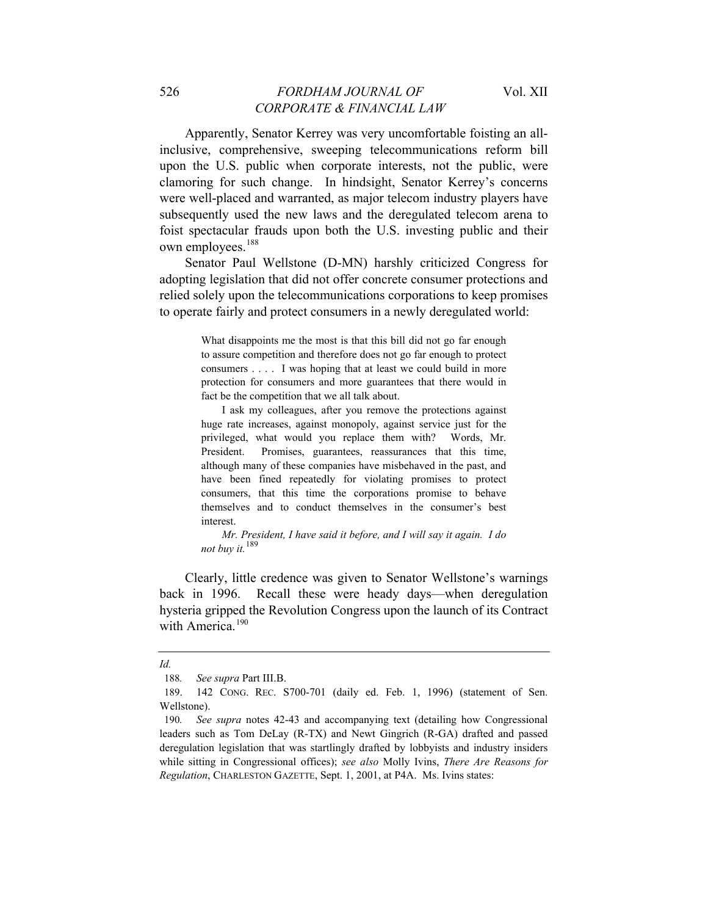Apparently, Senator Kerrey was very uncomfortable foisting an allinclusive, comprehensive, sweeping telecommunications reform bill upon the U.S. public when corporate interests, not the public, were clamoring for such change. In hindsight, Senator Kerrey's concerns were well-placed and warranted, as major telecom industry players have subsequently used the new laws and the deregulated telecom arena to foist spectacular frauds upon both the U.S. investing public and their own employees.<sup>188</sup>

Senator Paul Wellstone (D-MN) harshly criticized Congress for adopting legislation that did not offer concrete consumer protections and relied solely upon the telecommunications corporations to keep promises to operate fairly and protect consumers in a newly deregulated world:

> What disappoints me the most is that this bill did not go far enough to assure competition and therefore does not go far enough to protect consumers . . . . I was hoping that at least we could build in more protection for consumers and more guarantees that there would in fact be the competition that we all talk about.

> I ask my colleagues, after you remove the protections against huge rate increases, against monopoly, against service just for the privileged, what would you replace them with? Words, Mr. President. Promises, guarantees, reassurances that this time, although many of these companies have misbehaved in the past, and have been fined repeatedly for violating promises to protect consumers, that this time the corporations promise to behave themselves and to conduct themselves in the consumer's best interest.

> *Mr. President, I have said it before, and I will say it again. I do not buy it.*<sup>189</sup>

Clearly, little credence was given to Senator Wellstone's warnings back in 1996. Recall these were heady days—when deregulation hysteria gripped the Revolution Congress upon the launch of its Contract with America<sup>190</sup>

*Id.*

<sup>188</sup>*. See supra* Part III.B.

<sup>189. 142</sup> CONG. REC. S700-701 (daily ed. Feb. 1, 1996) (statement of Sen. Wellstone).

<sup>190</sup>*. See supra* notes 42-43 and accompanying text (detailing how Congressional leaders such as Tom DeLay (R-TX) and Newt Gingrich (R-GA) drafted and passed deregulation legislation that was startlingly drafted by lobbyists and industry insiders while sitting in Congressional offices); *see also* Molly Ivins, *There Are Reasons for Regulation*, CHARLESTON GAZETTE, Sept. 1, 2001, at P4A. Ms. Ivins states: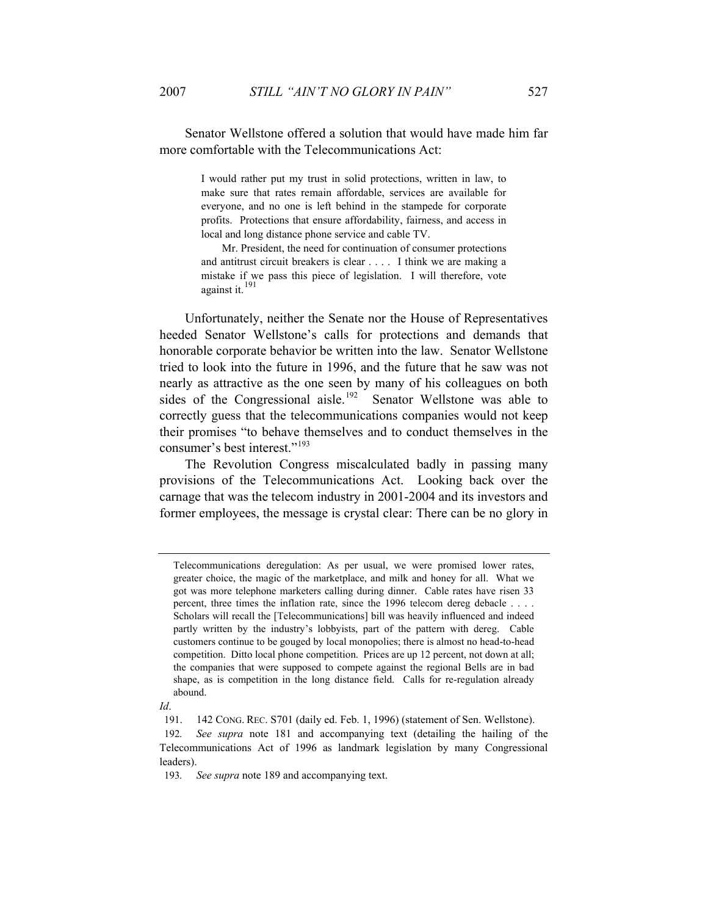Senator Wellstone offered a solution that would have made him far more comfortable with the Telecommunications Act:

> I would rather put my trust in solid protections, written in law, to make sure that rates remain affordable, services are available for everyone, and no one is left behind in the stampede for corporate profits. Protections that ensure affordability, fairness, and access in local and long distance phone service and cable TV.

> Mr. President, the need for continuation of consumer protections and antitrust circuit breakers is clear . . . . I think we are making a mistake if we pass this piece of legislation. I will therefore, vote against it. $^{191}$

Unfortunately, neither the Senate nor the House of Representatives heeded Senator Wellstone's calls for protections and demands that honorable corporate behavior be written into the law. Senator Wellstone tried to look into the future in 1996, and the future that he saw was not nearly as attractive as the one seen by many of his colleagues on both sides of the Congressional aisle.<sup>192</sup> Senator Wellstone was able to correctly guess that the telecommunications companies would not keep their promises "to behave themselves and to conduct themselves in the consumer's best interest."<sup>193</sup>

The Revolution Congress miscalculated badly in passing many provisions of the Telecommunications Act. Looking back over the carnage that was the telecom industry in 2001-2004 and its investors and former employees, the message is crystal clear: There can be no glory in

Telecommunications deregulation: As per usual, we were promised lower rates, greater choice, the magic of the marketplace, and milk and honey for all. What we got was more telephone marketers calling during dinner. Cable rates have risen 33 percent, three times the inflation rate, since the 1996 telecom dereg debacle . . . . Scholars will recall the [Telecommunications] bill was heavily influenced and indeed partly written by the industry's lobbyists, part of the pattern with dereg. Cable customers continue to be gouged by local monopolies; there is almost no head-to-head competition. Ditto local phone competition. Prices are up 12 percent, not down at all; the companies that were supposed to compete against the regional Bells are in bad shape, as is competition in the long distance field. Calls for re-regulation already abound.

*Id*.

<sup>191. 142</sup> CONG. REC. S701 (daily ed. Feb. 1, 1996) (statement of Sen. Wellstone). 192*. See supra* note 181 and accompanying text (detailing the hailing of the Telecommunications Act of 1996 as landmark legislation by many Congressional leaders).

<sup>193</sup>*. See supra* note 189 and accompanying text.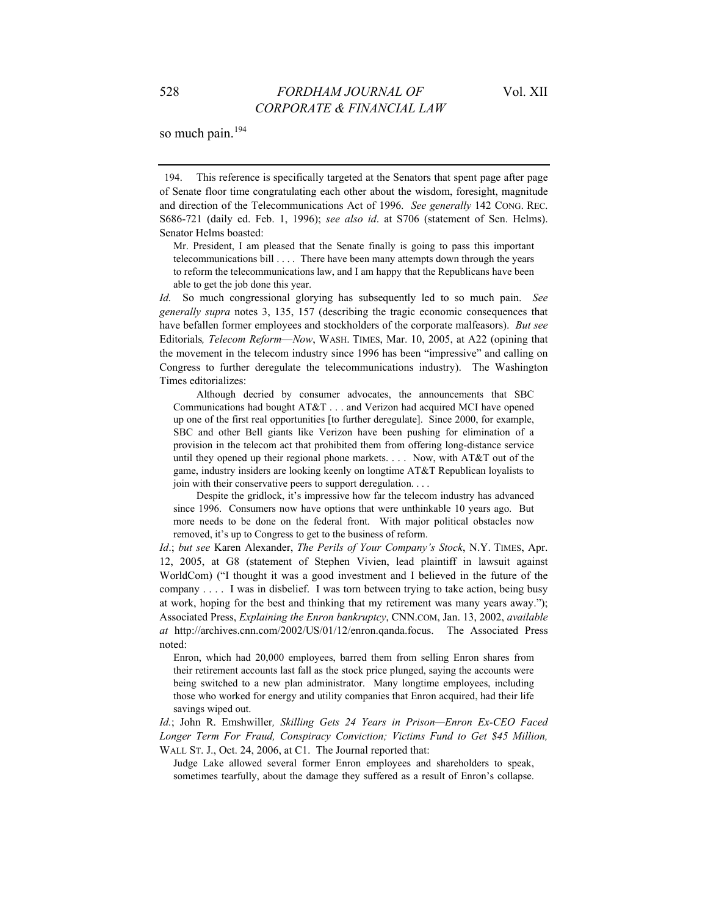so much pain.<sup>194</sup>

194. This reference is specifically targeted at the Senators that spent page after page of Senate floor time congratulating each other about the wisdom, foresight, magnitude and direction of the Telecommunications Act of 1996. *See generally* 142 CONG. REC. S686-721 (daily ed. Feb. 1, 1996); *see also id*. at S706 (statement of Sen. Helms). Senator Helms boasted:

Mr. President, I am pleased that the Senate finally is going to pass this important telecommunications bill . . . . There have been many attempts down through the years to reform the telecommunications law, and I am happy that the Republicans have been able to get the job done this year.

*Id.* So much congressional glorying has subsequently led to so much pain. *See generally supra* notes 3, 135, 157 (describing the tragic economic consequences that have befallen former employees and stockholders of the corporate malfeasors). *But see*  Editorials*, Telecom Reform*—*Now*, WASH. TIMES, Mar. 10, 2005, at A22 (opining that the movement in the telecom industry since 1996 has been "impressive" and calling on Congress to further deregulate the telecommunications industry). The Washington Times editorializes:

 Although decried by consumer advocates, the announcements that SBC Communications had bought AT&T . . . and Verizon had acquired MCI have opened up one of the first real opportunities [to further deregulate]. Since 2000, for example, SBC and other Bell giants like Verizon have been pushing for elimination of a provision in the telecom act that prohibited them from offering long-distance service until they opened up their regional phone markets. . . . Now, with AT&T out of the game, industry insiders are looking keenly on longtime AT&T Republican loyalists to join with their conservative peers to support deregulation. . . .

 Despite the gridlock, it's impressive how far the telecom industry has advanced since 1996. Consumers now have options that were unthinkable 10 years ago. But more needs to be done on the federal front. With major political obstacles now removed, it's up to Congress to get to the business of reform.

*Id*.; *but see* Karen Alexander, *The Perils of Your Company's Stock*, N.Y. TIMES, Apr. 12, 2005, at G8 (statement of Stephen Vivien, lead plaintiff in lawsuit against WorldCom) ("I thought it was a good investment and I believed in the future of the company . . . . I was in disbelief. I was torn between trying to take action, being busy at work, hoping for the best and thinking that my retirement was many years away."); Associated Press, *Explaining the Enron bankruptcy*, CNN.COM, Jan. 13, 2002, *available at* http://archives.cnn.com/2002/US/01/12/enron.qanda.focus. The Associated Press noted:

Enron, which had 20,000 employees, barred them from selling Enron shares from their retirement accounts last fall as the stock price plunged, saying the accounts were being switched to a new plan administrator. Many longtime employees, including those who worked for energy and utility companies that Enron acquired, had their life savings wiped out.

*Id.*; John R. Emshwiller*, Skilling Gets 24 Years in Prison—Enron Ex-CEO Faced Longer Term For Fraud, Conspiracy Conviction; Victims Fund to Get \$45 Million,*  WALL ST. J., Oct. 24, 2006, at C1. The Journal reported that:

Judge Lake allowed several former Enron employees and shareholders to speak, sometimes tearfully, about the damage they suffered as a result of Enron's collapse.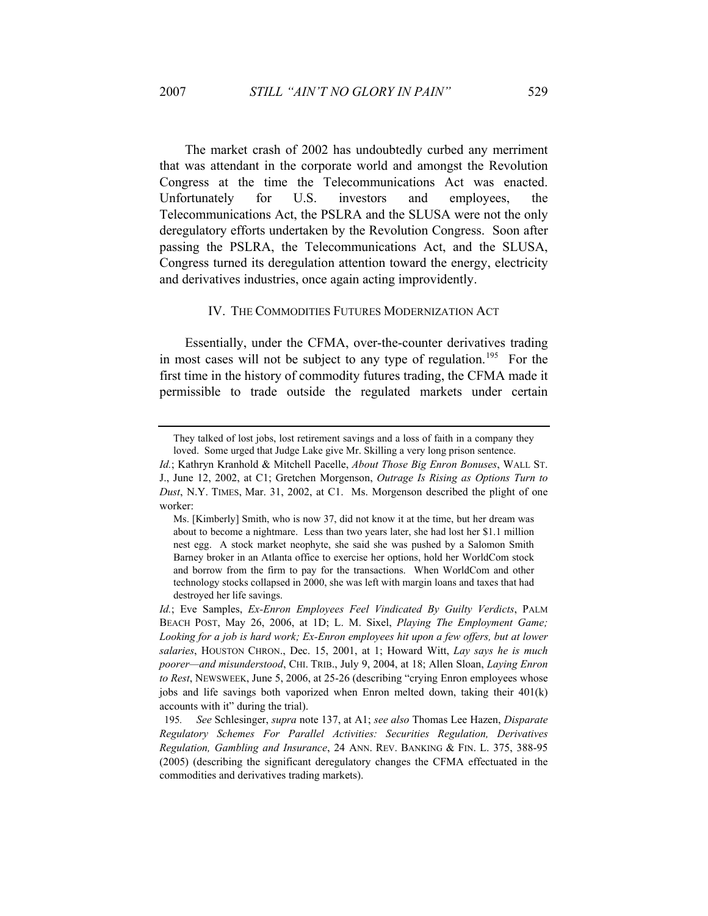The market crash of 2002 has undoubtedly curbed any merriment that was attendant in the corporate world and amongst the Revolution Congress at the time the Telecommunications Act was enacted. Unfortunately for U.S. investors and employees, the Telecommunications Act, the PSLRA and the SLUSA were not the only deregulatory efforts undertaken by the Revolution Congress. Soon after passing the PSLRA, the Telecommunications Act, and the SLUSA, Congress turned its deregulation attention toward the energy, electricity and derivatives industries, once again acting improvidently.

#### IV. THE COMMODITIES FUTURES MODERNIZATION ACT

Essentially, under the CFMA, over-the-counter derivatives trading in most cases will not be subject to any type of regulation.<sup>195</sup> For the first time in the history of commodity futures trading, the CFMA made it permissible to trade outside the regulated markets under certain

They talked of lost jobs, lost retirement savings and a loss of faith in a company they loved. Some urged that Judge Lake give Mr. Skilling a very long prison sentence.

*Id.*; Kathryn Kranhold & Mitchell Pacelle, *About Those Big Enron Bonuses*, WALL ST. J., June 12, 2002, at C1; Gretchen Morgenson, *Outrage Is Rising as Options Turn to Dust*, N.Y. TIMES, Mar. 31, 2002, at C1. Ms. Morgenson described the plight of one worker:

Ms. [Kimberly] Smith, who is now 37, did not know it at the time, but her dream was about to become a nightmare. Less than two years later, she had lost her \$1.1 million nest egg. A stock market neophyte, she said she was pushed by a Salomon Smith Barney broker in an Atlanta office to exercise her options, hold her WorldCom stock and borrow from the firm to pay for the transactions. When WorldCom and other technology stocks collapsed in 2000, she was left with margin loans and taxes that had destroyed her life savings.

*Id.*; Eve Samples, *Ex-Enron Employees Feel Vindicated By Guilty Verdicts*, PALM BEACH POST, May 26, 2006, at 1D; L. M. Sixel, *Playing The Employment Game; Looking for a job is hard work; Ex-Enron employees hit upon a few offers, but at lower salaries*, HOUSTON CHRON., Dec. 15, 2001, at 1; Howard Witt, *Lay says he is much poorer—and misunderstood*, CHI. TRIB., July 9, 2004, at 18; Allen Sloan, *Laying Enron to Rest*, NEWSWEEK, June 5, 2006, at 25-26 (describing "crying Enron employees whose jobs and life savings both vaporized when Enron melted down, taking their 401(k) accounts with it" during the trial).

<sup>195</sup>*. See* Schlesinger, *supra* note 137, at A1; *see also* Thomas Lee Hazen, *Disparate Regulatory Schemes For Parallel Activities: Securities Regulation, Derivatives Regulation, Gambling and Insurance*, 24 ANN. REV. BANKING & FIN. L. 375, 388-95 (2005) (describing the significant deregulatory changes the CFMA effectuated in the commodities and derivatives trading markets).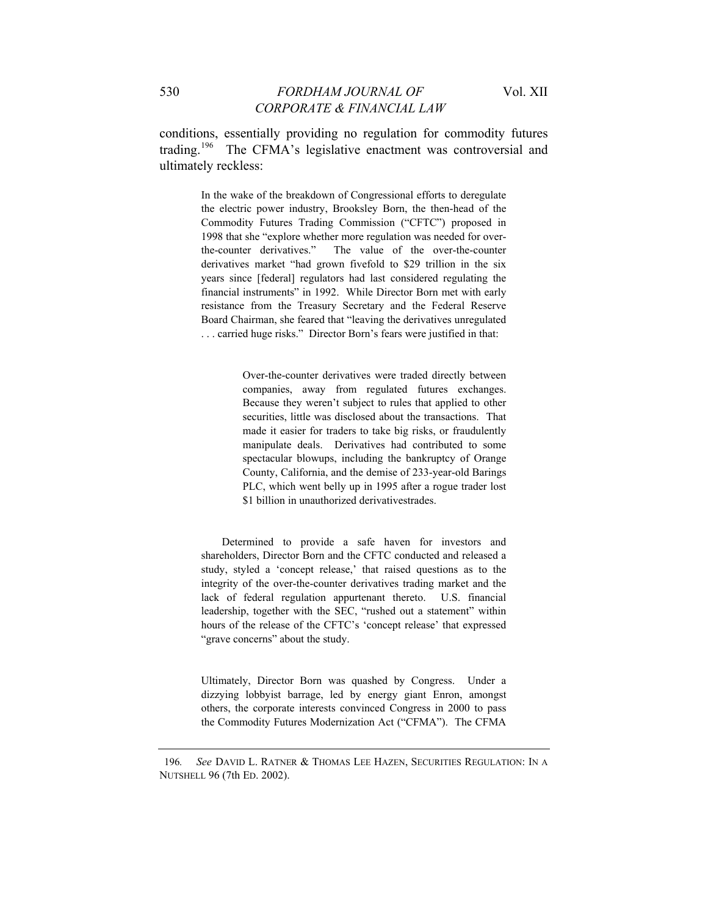conditions, essentially providing no regulation for commodity futures trading.196 The CFMA's legislative enactment was controversial and ultimately reckless:

> In the wake of the breakdown of Congressional efforts to deregulate the electric power industry, Brooksley Born, the then-head of the Commodity Futures Trading Commission ("CFTC") proposed in 1998 that she "explore whether more regulation was needed for overthe-counter derivatives." The value of the over-the-counter derivatives market "had grown fivefold to \$29 trillion in the six years since [federal] regulators had last considered regulating the financial instruments" in 1992. While Director Born met with early resistance from the Treasury Secretary and the Federal Reserve Board Chairman, she feared that "leaving the derivatives unregulated . . . carried huge risks." Director Born's fears were justified in that:

> > Over-the-counter derivatives were traded directly between companies, away from regulated futures exchanges. Because they weren't subject to rules that applied to other securities, little was disclosed about the transactions. That made it easier for traders to take big risks, or fraudulently manipulate deals. Derivatives had contributed to some spectacular blowups, including the bankruptcy of Orange County, California, and the demise of 233-year-old Barings PLC, which went belly up in 1995 after a rogue trader lost \$1 billion in unauthorized derivativestrades.

Determined to provide a safe haven for investors and shareholders, Director Born and the CFTC conducted and released a study, styled a 'concept release,' that raised questions as to the integrity of the over-the-counter derivatives trading market and the lack of federal regulation appurtenant thereto. U.S. financial leadership, together with the SEC, "rushed out a statement" within hours of the release of the CFTC's 'concept release' that expressed "grave concerns" about the study.

Ultimately, Director Born was quashed by Congress. Under a dizzying lobbyist barrage, led by energy giant Enron, amongst others, the corporate interests convinced Congress in 2000 to pass the Commodity Futures Modernization Act ("CFMA"). The CFMA

<sup>196</sup>*. See* DAVID L. RATNER & THOMAS LEE HAZEN, SECURITIES REGULATION: IN A NUTSHELL 96 (7th ED. 2002).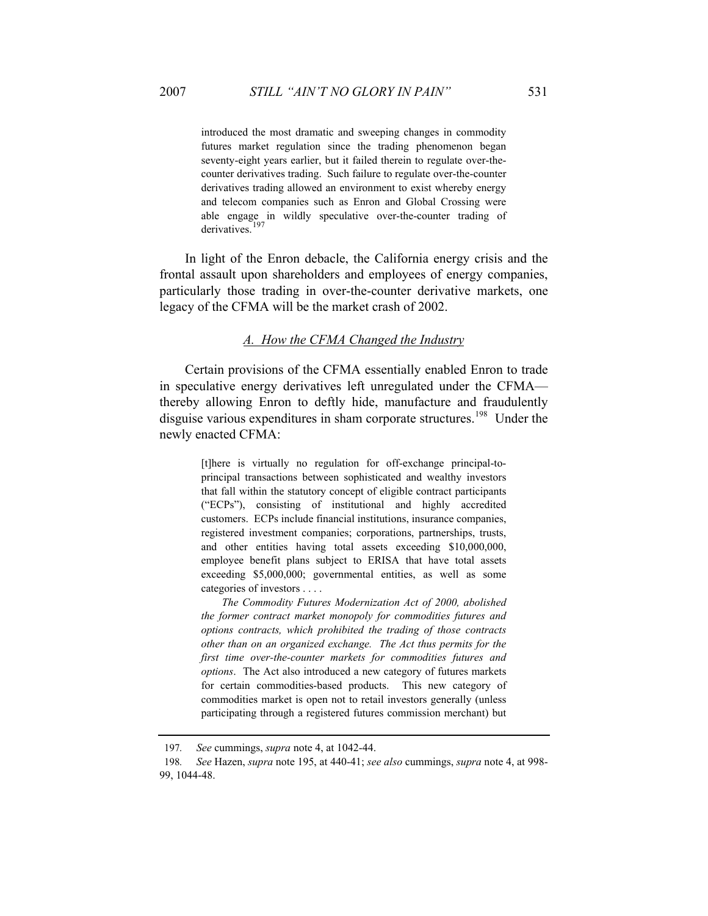introduced the most dramatic and sweeping changes in commodity futures market regulation since the trading phenomenon began seventy-eight years earlier, but it failed therein to regulate over-thecounter derivatives trading. Such failure to regulate over-the-counter derivatives trading allowed an environment to exist whereby energy and telecom companies such as Enron and Global Crossing were able engage in wildly speculative over-the-counter trading of derivatives.<sup>197</sup>

In light of the Enron debacle, the California energy crisis and the frontal assault upon shareholders and employees of energy companies, particularly those trading in over-the-counter derivative markets, one legacy of the CFMA will be the market crash of 2002.

## *A. How the CFMA Changed the Industry*

Certain provisions of the CFMA essentially enabled Enron to trade in speculative energy derivatives left unregulated under the CFMA thereby allowing Enron to deftly hide, manufacture and fraudulently disguise various expenditures in sham corporate structures.<sup>198</sup> Under the newly enacted CFMA:

> [t]here is virtually no regulation for off-exchange principal-toprincipal transactions between sophisticated and wealthy investors that fall within the statutory concept of eligible contract participants ("ECPs"), consisting of institutional and highly accredited customers. ECPs include financial institutions, insurance companies, registered investment companies; corporations, partnerships, trusts, and other entities having total assets exceeding \$10,000,000, employee benefit plans subject to ERISA that have total assets exceeding \$5,000,000; governmental entities, as well as some categories of investors . . . .

> *The Commodity Futures Modernization Act of 2000, abolished the former contract market monopoly for commodities futures and options contracts, which prohibited the trading of those contracts other than on an organized exchange. The Act thus permits for the first time over-the-counter markets for commodities futures and options*. The Act also introduced a new category of futures markets for certain commodities-based products. This new category of commodities market is open not to retail investors generally (unless participating through a registered futures commission merchant) but

<sup>197</sup>*. See* cummings, *supra* note 4, at 1042-44.

<sup>198</sup>*. See* Hazen, *supra* note 195, at 440-41; *see also* cummings, *supra* note 4, at 998- 99, 1044-48.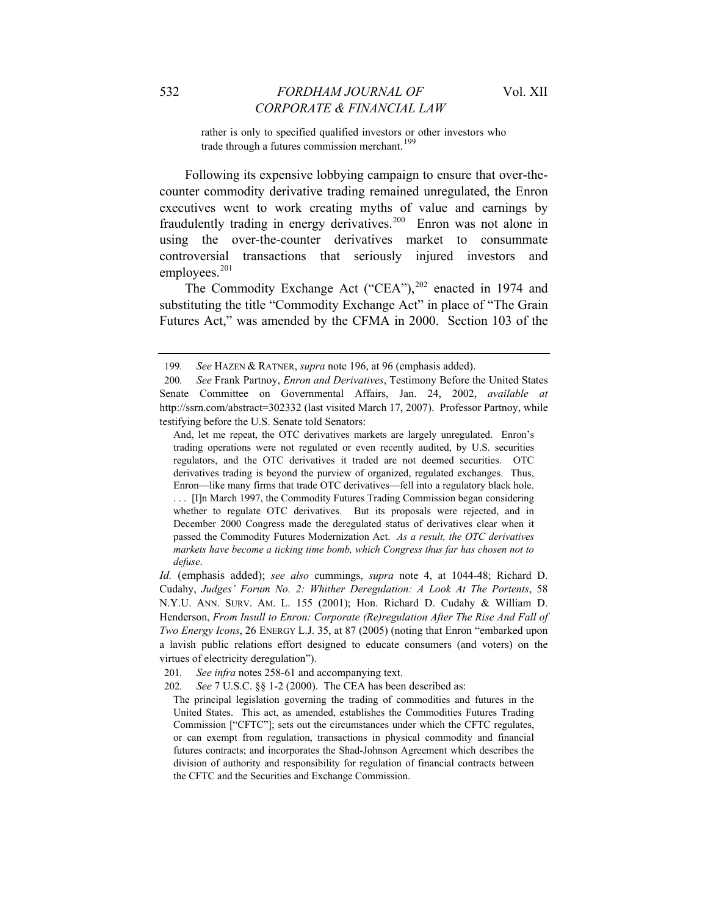rather is only to specified qualified investors or other investors who trade through a futures commission merchant.<sup>199</sup>

Following its expensive lobbying campaign to ensure that over-thecounter commodity derivative trading remained unregulated, the Enron executives went to work creating myths of value and earnings by fraudulently trading in energy derivatives.<sup>200</sup> Enron was not alone in using the over-the-counter derivatives market to consummate controversial transactions that seriously injured investors and employees.<sup>201</sup>

The Commodity Exchange Act ("CEA"),<sup>202</sup> enacted in 1974 and substituting the title "Commodity Exchange Act" in place of "The Grain Futures Act," was amended by the CFMA in 2000. Section 103 of the

201*. See infra* notes 258-61 and accompanying text.

<sup>199</sup>*. See* HAZEN & RATNER, *supra* note 196, at 96 (emphasis added).

<sup>200</sup>*. See* Frank Partnoy, *Enron and Derivatives*, Testimony Before the United States Senate Committee on Governmental Affairs, Jan. 24, 2002, *available at* http://ssrn.com/abstract=302332 (last visited March 17, 2007). Professor Partnoy, while testifying before the U.S. Senate told Senators:

And, let me repeat, the OTC derivatives markets are largely unregulated. Enron's trading operations were not regulated or even recently audited, by U.S. securities regulators, and the OTC derivatives it traded are not deemed securities. OTC derivatives trading is beyond the purview of organized, regulated exchanges. Thus, Enron—like many firms that trade OTC derivatives—fell into a regulatory black hole. . . . [I]n March 1997, the Commodity Futures Trading Commission began considering whether to regulate OTC derivatives. But its proposals were rejected, and in December 2000 Congress made the deregulated status of derivatives clear when it passed the Commodity Futures Modernization Act. *As a result, the OTC derivatives markets have become a ticking time bomb, which Congress thus far has chosen not to defuse*.

*Id.* (emphasis added); *see also* cummings, *supra* note 4, at 1044-48; Richard D. Cudahy, *Judges' Forum No. 2: Whither Deregulation: A Look At The Portents*, 58 N.Y.U. ANN. SURV. AM. L. 155 (2001); Hon. Richard D. Cudahy & William D. Henderson, *From Insull to Enron: Corporate (Re)regulation After The Rise And Fall of Two Energy Icons*, 26 ENERGY L.J. 35, at 87 (2005) (noting that Enron "embarked upon a lavish public relations effort designed to educate consumers (and voters) on the virtues of electricity deregulation").

<sup>202</sup>*. See* 7 U.S.C. §§ 1-2 (2000). The CEA has been described as:

The principal legislation governing the trading of commodities and futures in the United States. This act, as amended, establishes the Commodities Futures Trading Commission ["CFTC"]; sets out the circumstances under which the CFTC regulates, or can exempt from regulation, transactions in physical commodity and financial futures contracts; and incorporates the Shad-Johnson Agreement which describes the division of authority and responsibility for regulation of financial contracts between the CFTC and the Securities and Exchange Commission.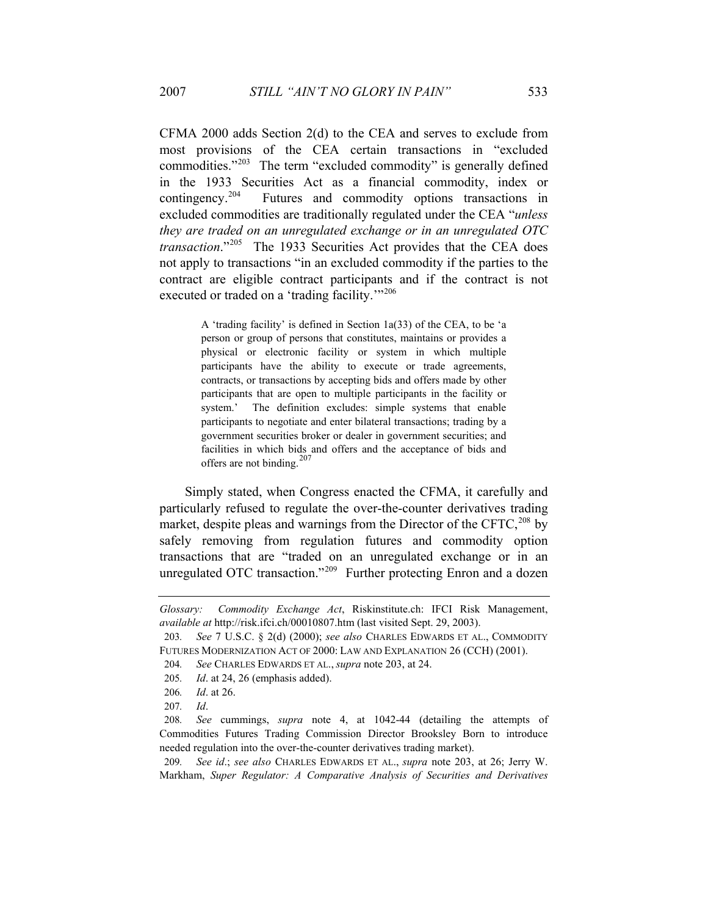CFMA 2000 adds Section 2(d) to the CEA and serves to exclude from most provisions of the CEA certain transactions in "excluded commodities."<sup>203</sup> The term "excluded commodity" is generally defined in the 1933 Securities Act as a financial commodity, index or contingency.204 Futures and commodity options transactions in excluded commodities are traditionally regulated under the CEA "*unless they are traded on an unregulated exchange or in an unregulated OTC transaction*."205 The 1933 Securities Act provides that the CEA does not apply to transactions "in an excluded commodity if the parties to the contract are eligible contract participants and if the contract is not executed or traded on a 'trading facility.'"<sup>206</sup>

> A 'trading facility' is defined in Section 1a(33) of the CEA, to be 'a person or group of persons that constitutes, maintains or provides a physical or electronic facility or system in which multiple participants have the ability to execute or trade agreements, contracts, or transactions by accepting bids and offers made by other participants that are open to multiple participants in the facility or system.' The definition excludes: simple systems that enable participants to negotiate and enter bilateral transactions; trading by a government securities broker or dealer in government securities; and facilities in which bids and offers and the acceptance of bids and offers are not binding.<sup>207</sup>

Simply stated, when Congress enacted the CFMA, it carefully and particularly refused to regulate the over-the-counter derivatives trading market, despite pleas and warnings from the Director of the CFTC,  $208$  by safely removing from regulation futures and commodity option transactions that are "traded on an unregulated exchange or in an unregulated OTC transaction."<sup>209</sup> Further protecting Enron and a dozen

209*. See id*.; *see also* CHARLES EDWARDS ET AL., *supra* note 203, at 26; Jerry W. Markham, *Super Regulator: A Comparative Analysis of Securities and Derivatives* 

*Glossary: Commodity Exchange Act*, Riskinstitute.ch: IFCI Risk Management, *available at* http://risk.ifci.ch/00010807.htm (last visited Sept. 29, 2003).

<sup>203</sup>*. See* 7 U.S.C. § 2(d) (2000); *see also* CHARLES EDWARDS ET AL., COMMODITY FUTURES MODERNIZATION ACT OF 2000: LAW AND EXPLANATION 26 (CCH) (2001).

<sup>204</sup>*. See* CHARLES EDWARDS ET AL., *supra* note 203, at 24.

<sup>205</sup>*. Id*. at 24, 26 (emphasis added).

<sup>206</sup>*. Id*. at 26.

<sup>207</sup>*. Id*.

<sup>208</sup>*. See* cummings, *supra* note 4, at 1042-44 (detailing the attempts of Commodities Futures Trading Commission Director Brooksley Born to introduce needed regulation into the over-the-counter derivatives trading market).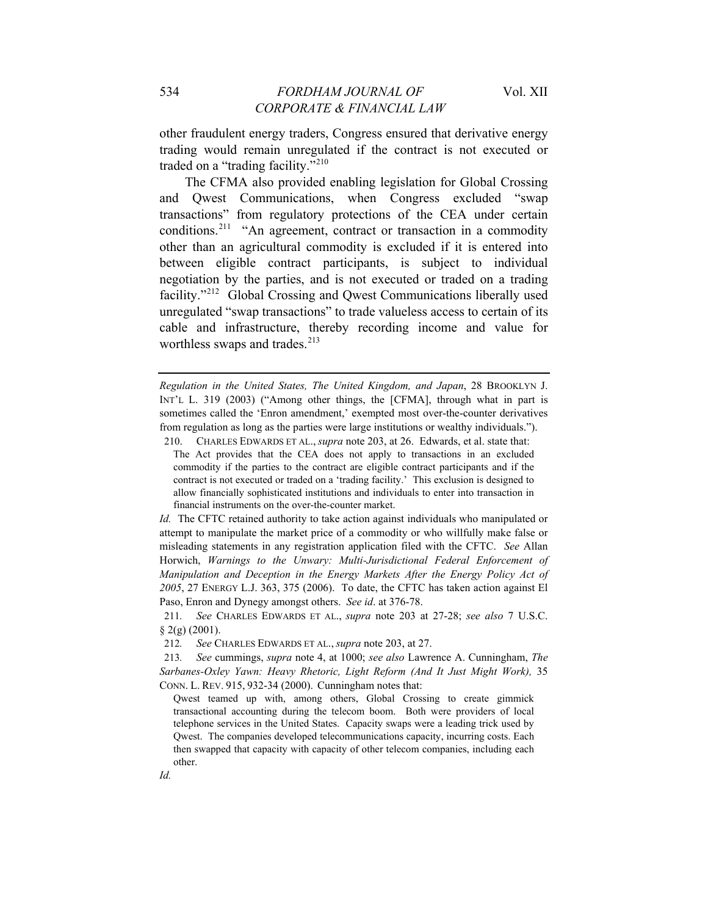other fraudulent energy traders, Congress ensured that derivative energy trading would remain unregulated if the contract is not executed or traded on a "trading facility."<sup>210</sup>

The CFMA also provided enabling legislation for Global Crossing and Qwest Communications, when Congress excluded "swap transactions" from regulatory protections of the CEA under certain conditions.<sup>211</sup> "An agreement, contract or transaction in a commodity other than an agricultural commodity is excluded if it is entered into between eligible contract participants, is subject to individual negotiation by the parties, and is not executed or traded on a trading facility."212 Global Crossing and Qwest Communications liberally used unregulated "swap transactions" to trade valueless access to certain of its cable and infrastructure, thereby recording income and value for worthless swaps and trades.<sup>213</sup>

*Regulation in the United States, The United Kingdom, and Japan*, 28 BROOKLYN J. INT'L L. 319 (2003) ("Among other things, the [CFMA], through what in part is sometimes called the 'Enron amendment,' exempted most over-the-counter derivatives from regulation as long as the parties were large institutions or wealthy individuals.").

210. CHARLES EDWARDS ET AL., *supra* note 203, at 26. Edwards, et al. state that: The Act provides that the CEA does not apply to transactions in an excluded commodity if the parties to the contract are eligible contract participants and if the contract is not executed or traded on a 'trading facility.' This exclusion is designed to allow financially sophisticated institutions and individuals to enter into transaction in financial instruments on the over-the-counter market.

*Id.* The CFTC retained authority to take action against individuals who manipulated or attempt to manipulate the market price of a commodity or who willfully make false or misleading statements in any registration application filed with the CFTC. *See* Allan Horwich, *Warnings to the Unwary: Multi-Jurisdictional Federal Enforcement of Manipulation and Deception in the Energy Markets After the Energy Policy Act of 2005*, 27 ENERGY L.J. 363, 375 (2006). To date, the CFTC has taken action against El Paso, Enron and Dynegy amongst others. *See id*. at 376-78.

212*. See* CHARLES EDWARDS ET AL., *supra* note 203, at 27.

Qwest teamed up with, among others, Global Crossing to create gimmick transactional accounting during the telecom boom. Both were providers of local telephone services in the United States. Capacity swaps were a leading trick used by Qwest. The companies developed telecommunications capacity, incurring costs. Each then swapped that capacity with capacity of other telecom companies, including each other.

*Id.*

<sup>211</sup>*. See* CHARLES EDWARDS ET AL., *supra* note 203 at 27-28; *see also* 7 U.S.C.  $§$  2(g) (2001).

<sup>213</sup>*. See* cummings, *supra* note 4, at 1000; *see also* Lawrence A. Cunningham, *The Sarbanes-Oxley Yawn: Heavy Rhetoric, Light Reform (And It Just Might Work),* 35 CONN. L. REV. 915, 932-34 (2000). Cunningham notes that: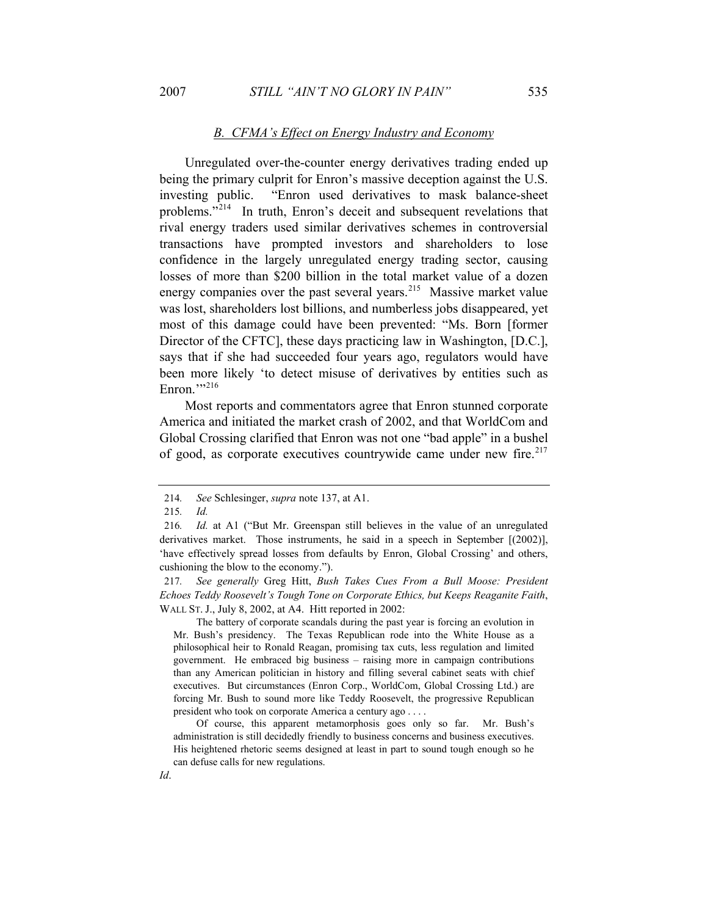#### *B. CFMA's Effect on Energy Industry and Economy*

Unregulated over-the-counter energy derivatives trading ended up being the primary culprit for Enron's massive deception against the U.S. investing public. "Enron used derivatives to mask balance-sheet problems."<sup>214</sup> In truth, Enron's deceit and subsequent revelations that rival energy traders used similar derivatives schemes in controversial transactions have prompted investors and shareholders to lose confidence in the largely unregulated energy trading sector, causing losses of more than \$200 billion in the total market value of a dozen energy companies over the past several years.<sup>215</sup> Massive market value was lost, shareholders lost billions, and numberless jobs disappeared, yet most of this damage could have been prevented: "Ms. Born [former Director of the CFTC], these days practicing law in Washington, [D.C.], says that if she had succeeded four years ago, regulators would have been more likely 'to detect misuse of derivatives by entities such as Enron." $216$ 

Most reports and commentators agree that Enron stunned corporate America and initiated the market crash of 2002, and that WorldCom and Global Crossing clarified that Enron was not one "bad apple" in a bushel of good, as corporate executives countrywide came under new fire.<sup>217</sup>

 The battery of corporate scandals during the past year is forcing an evolution in Mr. Bush's presidency. The Texas Republican rode into the White House as a philosophical heir to Ronald Reagan, promising tax cuts, less regulation and limited government. He embraced big business – raising more in campaign contributions than any American politician in history and filling several cabinet seats with chief executives. But circumstances (Enron Corp., WorldCom, Global Crossing Ltd.) are forcing Mr. Bush to sound more like Teddy Roosevelt, the progressive Republican president who took on corporate America a century ago . . . .

 Of course, this apparent metamorphosis goes only so far. Mr. Bush's administration is still decidedly friendly to business concerns and business executives. His heightened rhetoric seems designed at least in part to sound tough enough so he can defuse calls for new regulations.

<sup>214</sup>*. See* Schlesinger, *supra* note 137, at A1.

<sup>215</sup>*. Id.*

<sup>216</sup>*. Id.* at A1 ("But Mr. Greenspan still believes in the value of an unregulated derivatives market. Those instruments, he said in a speech in September [(2002)], 'have effectively spread losses from defaults by Enron, Global Crossing' and others, cushioning the blow to the economy.").

<sup>217</sup>*. See generally* Greg Hitt, *Bush Takes Cues From a Bull Moose: President Echoes Teddy Roosevelt's Tough Tone on Corporate Ethics, but Keeps Reaganite Faith*, WALL ST. J., July 8, 2002, at A4. Hitt reported in 2002: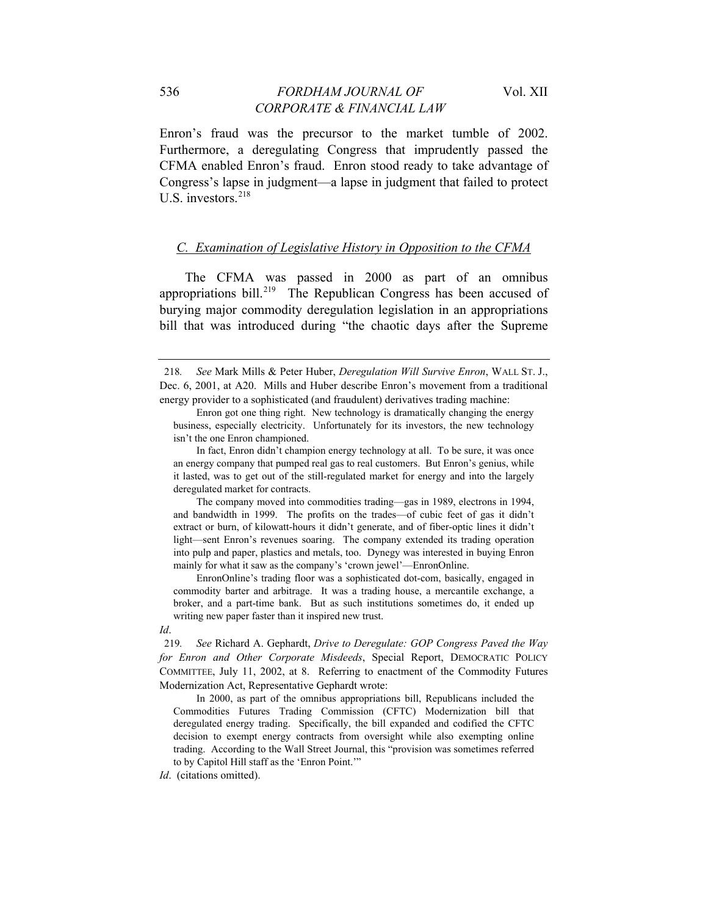Enron's fraud was the precursor to the market tumble of 2002. Furthermore, a deregulating Congress that imprudently passed the CFMA enabled Enron's fraud. Enron stood ready to take advantage of Congress's lapse in judgment—a lapse in judgment that failed to protect U.S. investors.<sup>218</sup>

# *C. Examination of Legislative History in Opposition to the CFMA*

The CFMA was passed in 2000 as part of an omnibus appropriations bill.<sup>219</sup> The Republican Congress has been accused of burying major commodity deregulation legislation in an appropriations bill that was introduced during "the chaotic days after the Supreme

 The company moved into commodities trading—gas in 1989, electrons in 1994, and bandwidth in 1999. The profits on the trades—of cubic feet of gas it didn't extract or burn, of kilowatt-hours it didn't generate, and of fiber-optic lines it didn't light—sent Enron's revenues soaring. The company extended its trading operation into pulp and paper, plastics and metals, too. Dynegy was interested in buying Enron mainly for what it saw as the company's 'crown jewel'—EnronOnline.

 EnronOnline's trading floor was a sophisticated dot-com, basically, engaged in commodity barter and arbitrage. It was a trading house, a mercantile exchange, a broker, and a part-time bank. But as such institutions sometimes do, it ended up writing new paper faster than it inspired new trust.

*Id*.

 In 2000, as part of the omnibus appropriations bill, Republicans included the Commodities Futures Trading Commission (CFTC) Modernization bill that deregulated energy trading. Specifically, the bill expanded and codified the CFTC decision to exempt energy contracts from oversight while also exempting online trading. According to the Wall Street Journal, this "provision was sometimes referred to by Capitol Hill staff as the 'Enron Point.'"

*Id*. (citations omitted).

<sup>218</sup>*. See* Mark Mills & Peter Huber, *Deregulation Will Survive Enron*, WALL ST. J., Dec. 6, 2001, at A20. Mills and Huber describe Enron's movement from a traditional energy provider to a sophisticated (and fraudulent) derivatives trading machine:

Enron got one thing right. New technology is dramatically changing the energy business, especially electricity. Unfortunately for its investors, the new technology isn't the one Enron championed.

In fact, Enron didn't champion energy technology at all. To be sure, it was once an energy company that pumped real gas to real customers. But Enron's genius, while it lasted, was to get out of the still-regulated market for energy and into the largely deregulated market for contracts.

<sup>219</sup>*. See* Richard A. Gephardt, *Drive to Deregulate: GOP Congress Paved the Way for Enron and Other Corporate Misdeeds*, Special Report, DEMOCRATIC POLICY COMMITTEE, July 11, 2002, at 8. Referring to enactment of the Commodity Futures Modernization Act, Representative Gephardt wrote: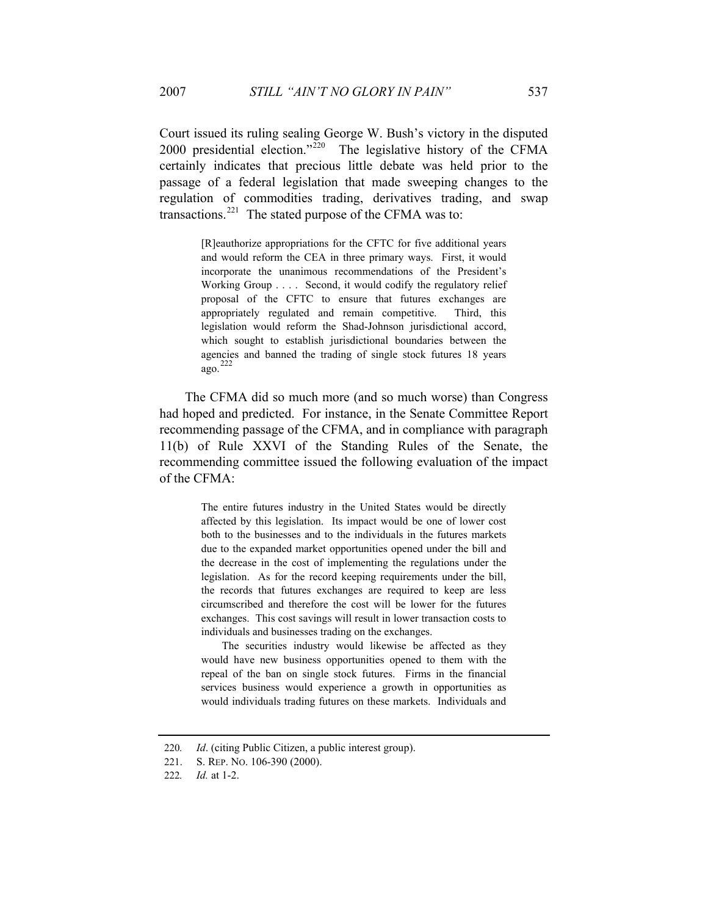Court issued its ruling sealing George W. Bush's victory in the disputed 2000 presidential election."<sup>220</sup> The legislative history of the CFMA certainly indicates that precious little debate was held prior to the passage of a federal legislation that made sweeping changes to the regulation of commodities trading, derivatives trading, and swap transactions.<sup>221</sup> The stated purpose of the CFMA was to:

> [R]eauthorize appropriations for the CFTC for five additional years and would reform the CEA in three primary ways. First, it would incorporate the unanimous recommendations of the President's Working Group . . . . Second, it would codify the regulatory relief proposal of the CFTC to ensure that futures exchanges are appropriately regulated and remain competitive. Third, this legislation would reform the Shad-Johnson jurisdictional accord, which sought to establish jurisdictional boundaries between the agencies and banned the trading of single stock futures 18 years ago. 222

The CFMA did so much more (and so much worse) than Congress had hoped and predicted. For instance, in the Senate Committee Report recommending passage of the CFMA, and in compliance with paragraph 11(b) of Rule XXVI of the Standing Rules of the Senate, the recommending committee issued the following evaluation of the impact of the CFMA:

> The entire futures industry in the United States would be directly affected by this legislation. Its impact would be one of lower cost both to the businesses and to the individuals in the futures markets due to the expanded market opportunities opened under the bill and the decrease in the cost of implementing the regulations under the legislation. As for the record keeping requirements under the bill, the records that futures exchanges are required to keep are less circumscribed and therefore the cost will be lower for the futures exchanges. This cost savings will result in lower transaction costs to individuals and businesses trading on the exchanges.

> The securities industry would likewise be affected as they would have new business opportunities opened to them with the repeal of the ban on single stock futures. Firms in the financial services business would experience a growth in opportunities as would individuals trading futures on these markets. Individuals and

<sup>220</sup>*. Id*. (citing Public Citizen, a public interest group).

<sup>221.</sup> S. REP. NO. 106-390 (2000).

<sup>222</sup>*. Id.* at 1-2.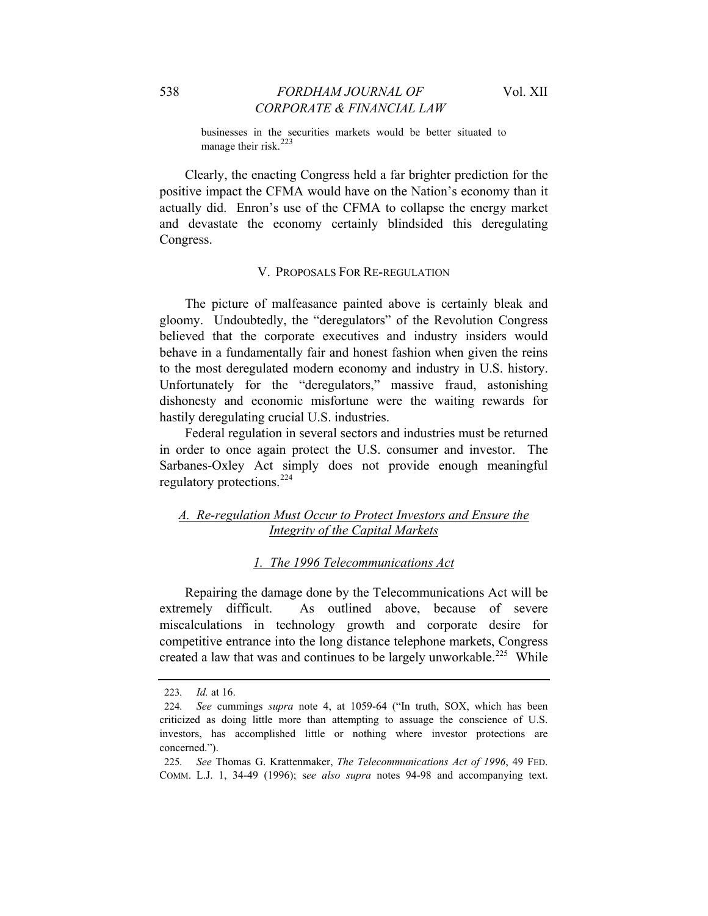businesses in the securities markets would be better situated to manage their risk.<sup>223</sup>

Clearly, the enacting Congress held a far brighter prediction for the positive impact the CFMA would have on the Nation's economy than it actually did. Enron's use of the CFMA to collapse the energy market and devastate the economy certainly blindsided this deregulating Congress.

#### V. PROPOSALS FOR RE-REGULATION

The picture of malfeasance painted above is certainly bleak and gloomy. Undoubtedly, the "deregulators" of the Revolution Congress believed that the corporate executives and industry insiders would behave in a fundamentally fair and honest fashion when given the reins to the most deregulated modern economy and industry in U.S. history. Unfortunately for the "deregulators," massive fraud, astonishing dishonesty and economic misfortune were the waiting rewards for hastily deregulating crucial U.S. industries.

Federal regulation in several sectors and industries must be returned in order to once again protect the U.S. consumer and investor. The Sarbanes-Oxley Act simply does not provide enough meaningful regulatory protections.<sup>224</sup>

# *A. Re-regulation Must Occur to Protect Investors and Ensure the Integrity of the Capital Markets*

# *1. The 1996 Telecommunications Act*

Repairing the damage done by the Telecommunications Act will be extremely difficult. As outlined above, because of severe miscalculations in technology growth and corporate desire for competitive entrance into the long distance telephone markets, Congress created a law that was and continues to be largely unworkable.<sup>225</sup> While

<sup>223</sup>*. Id.* at 16.

<sup>224</sup>*. See* cummings *supra* note 4, at 1059-64 ("In truth, SOX, which has been criticized as doing little more than attempting to assuage the conscience of U.S. investors, has accomplished little or nothing where investor protections are concerned.").

<sup>225</sup>*. See* Thomas G. Krattenmaker, *The Telecommunications Act of 1996*, 49 FED. COMM. L.J. 1, 34-49 (1996); s*ee also supra* notes 94-98 and accompanying text.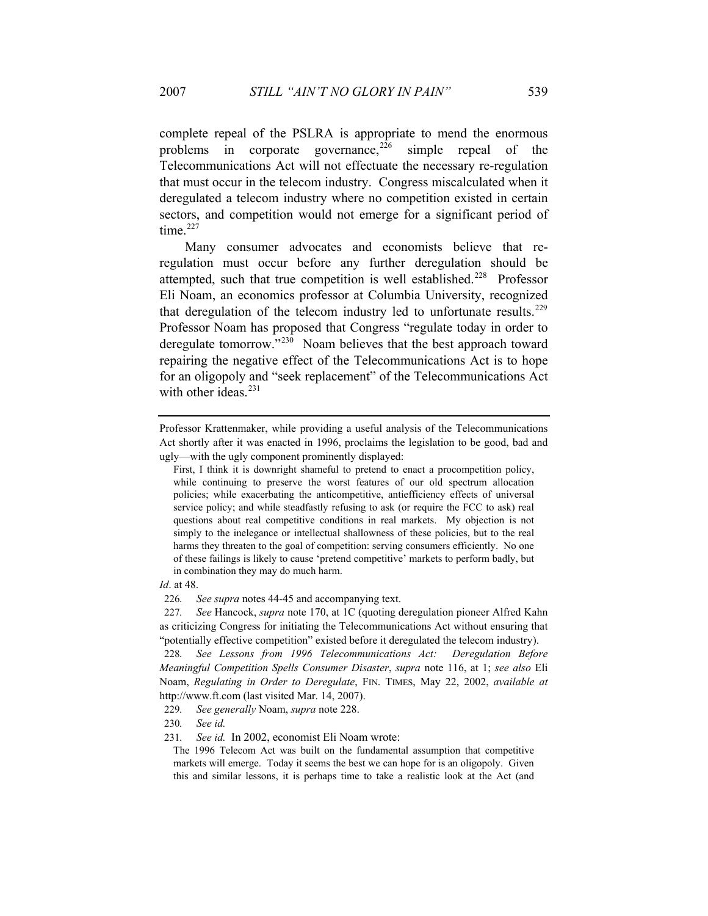complete repeal of the PSLRA is appropriate to mend the enormous problems in corporate governance,  $226$  simple repeal of the Telecommunications Act will not effectuate the necessary re-regulation that must occur in the telecom industry. Congress miscalculated when it deregulated a telecom industry where no competition existed in certain sectors, and competition would not emerge for a significant period of time. $227$ 

Many consumer advocates and economists believe that reregulation must occur before any further deregulation should be attempted, such that true competition is well established.<sup>228</sup> Professor Eli Noam, an economics professor at Columbia University, recognized that deregulation of the telecom industry led to unfortunate results.<sup>229</sup> Professor Noam has proposed that Congress "regulate today in order to deregulate tomorrow."<sup>230</sup> Noam believes that the best approach toward repairing the negative effect of the Telecommunications Act is to hope for an oligopoly and "seek replacement" of the Telecommunications Act with other ideas. $231$ 

Professor Krattenmaker, while providing a useful analysis of the Telecommunications Act shortly after it was enacted in 1996, proclaims the legislation to be good, bad and ugly—with the ugly component prominently displayed:

First, I think it is downright shameful to pretend to enact a procompetition policy, while continuing to preserve the worst features of our old spectrum allocation policies; while exacerbating the anticompetitive, antiefficiency effects of universal service policy; and while steadfastly refusing to ask (or require the FCC to ask) real questions about real competitive conditions in real markets. My objection is not simply to the inelegance or intellectual shallowness of these policies, but to the real harms they threaten to the goal of competition: serving consumers efficiently. No one of these failings is likely to cause 'pretend competitive' markets to perform badly, but in combination they may do much harm.

*Id*. at 48.

<sup>226</sup>*. See supra* notes 44-45 and accompanying text.

<sup>227</sup>*. See* Hancock, *supra* note 170, at 1C (quoting deregulation pioneer Alfred Kahn as criticizing Congress for initiating the Telecommunications Act without ensuring that "potentially effective competition" existed before it deregulated the telecom industry).

<sup>228</sup>*. See Lessons from 1996 Telecommunications Act: Deregulation Before Meaningful Competition Spells Consumer Disaster*, *supra* note 116, at 1; *see also* Eli Noam, *Regulating in Order to Deregulate*, FIN. TIMES, May 22, 2002, *available at* http://www.ft.com (last visited Mar. 14, 2007).

<sup>229</sup>*. See generally* Noam, *supra* note 228.

<sup>230</sup>*. See id.*

<sup>231</sup>*. See id.* In 2002, economist Eli Noam wrote:

The 1996 Telecom Act was built on the fundamental assumption that competitive markets will emerge. Today it seems the best we can hope for is an oligopoly. Given this and similar lessons, it is perhaps time to take a realistic look at the Act (and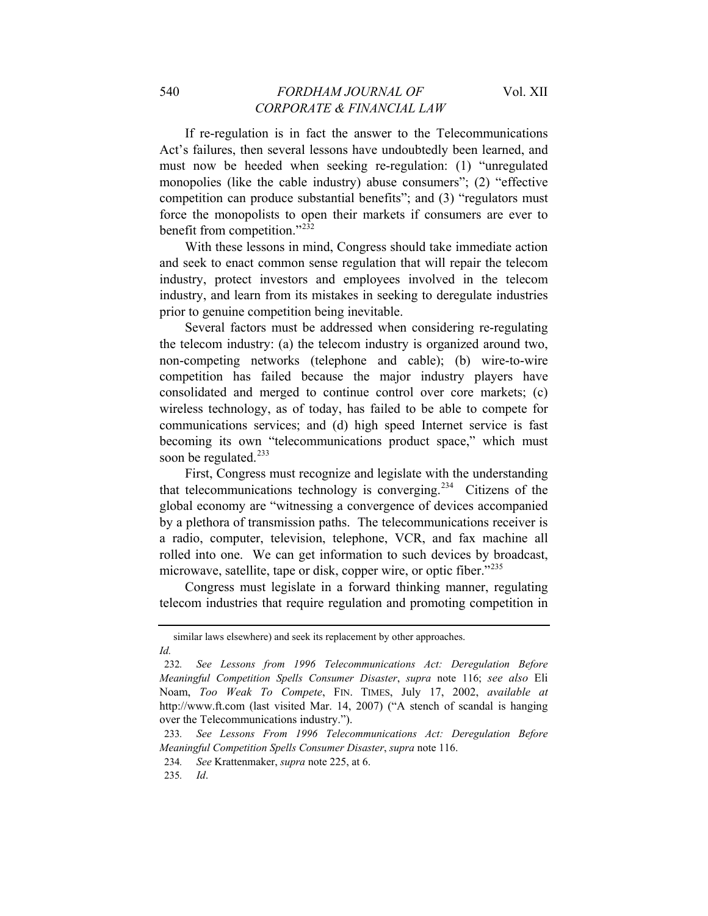If re-regulation is in fact the answer to the Telecommunications Act's failures, then several lessons have undoubtedly been learned, and must now be heeded when seeking re-regulation: (1) "unregulated monopolies (like the cable industry) abuse consumers"; (2) "effective competition can produce substantial benefits"; and (3) "regulators must force the monopolists to open their markets if consumers are ever to benefit from competition."<sup>232</sup>

With these lessons in mind, Congress should take immediate action and seek to enact common sense regulation that will repair the telecom industry, protect investors and employees involved in the telecom industry, and learn from its mistakes in seeking to deregulate industries prior to genuine competition being inevitable.

Several factors must be addressed when considering re-regulating the telecom industry: (a) the telecom industry is organized around two, non-competing networks (telephone and cable); (b) wire-to-wire competition has failed because the major industry players have consolidated and merged to continue control over core markets; (c) wireless technology, as of today, has failed to be able to compete for communications services; and (d) high speed Internet service is fast becoming its own "telecommunications product space," which must soon be regulated. $^{233}$ 

First, Congress must recognize and legislate with the understanding that telecommunications technology is converging.234 Citizens of the global economy are "witnessing a convergence of devices accompanied by a plethora of transmission paths. The telecommunications receiver is a radio, computer, television, telephone, VCR, and fax machine all rolled into one. We can get information to such devices by broadcast, microwave, satellite, tape or disk, copper wire, or optic fiber."<sup>235</sup>

Congress must legislate in a forward thinking manner, regulating telecom industries that require regulation and promoting competition in

similar laws elsewhere) and seek its replacement by other approaches. *Id.*

<sup>232</sup>*. See Lessons from 1996 Telecommunications Act: Deregulation Before Meaningful Competition Spells Consumer Disaster*, *supra* note 116; *see also* Eli Noam, *Too Weak To Compete*, FIN. TIMES, July 17, 2002, *available at* http://www.ft.com (last visited Mar. 14, 2007) ("A stench of scandal is hanging over the Telecommunications industry.").

<sup>233</sup>*. See Lessons From 1996 Telecommunications Act: Deregulation Before Meaningful Competition Spells Consumer Disaster*, *supra* note 116.

<sup>234</sup>*. See* Krattenmaker, *supra* note 225, at 6.

<sup>235</sup>*. Id*.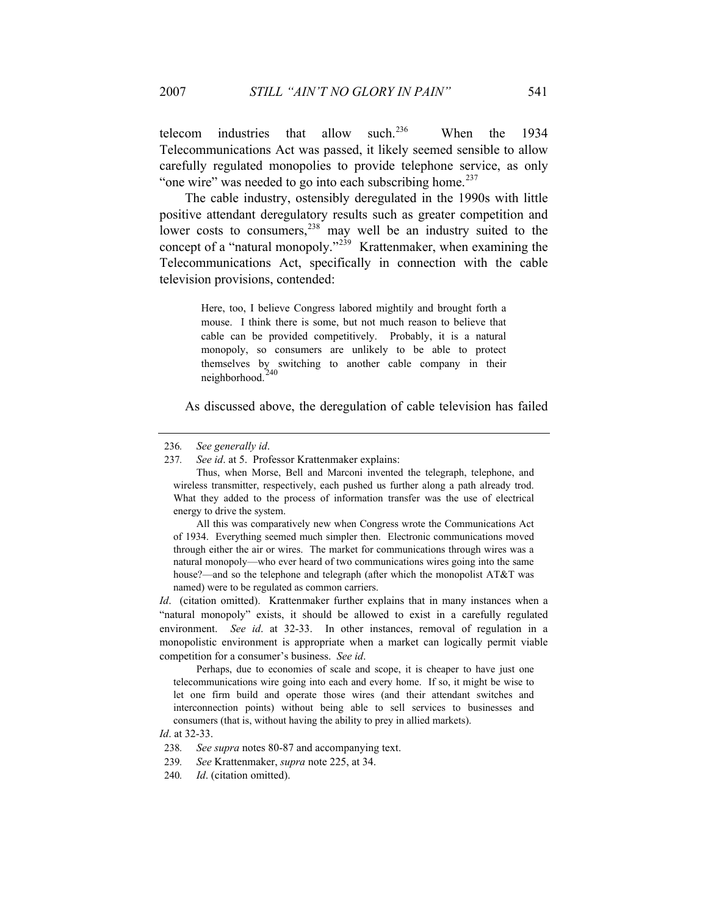telecom industries that allow such.<sup>236</sup> When the 1934 Telecommunications Act was passed, it likely seemed sensible to allow carefully regulated monopolies to provide telephone service, as only "one wire" was needed to go into each subscribing home. $237$ 

The cable industry, ostensibly deregulated in the 1990s with little positive attendant deregulatory results such as greater competition and lower costs to consumers, $238$  may well be an industry suited to the concept of a "natural monopoly."<sup>239</sup> Krattenmaker, when examining the Telecommunications Act, specifically in connection with the cable television provisions, contended:

> Here, too, I believe Congress labored mightily and brought forth a mouse. I think there is some, but not much reason to believe that cable can be provided competitively. Probably, it is a natural monopoly, so consumers are unlikely to be able to protect themselves by switching to another cable company in their neighborhood.<sup>240</sup>

As discussed above, the deregulation of cable television has failed

237*. See id*. at 5. Professor Krattenmaker explains:

 Thus, when Morse, Bell and Marconi invented the telegraph, telephone, and wireless transmitter, respectively, each pushed us further along a path already trod. What they added to the process of information transfer was the use of electrical energy to drive the system.

 All this was comparatively new when Congress wrote the Communications Act of 1934. Everything seemed much simpler then. Electronic communications moved through either the air or wires. The market for communications through wires was a natural monopoly—who ever heard of two communications wires going into the same house?—and so the telephone and telegraph (after which the monopolist AT&T was named) were to be regulated as common carriers.

*Id.* (citation omitted). Krattenmaker further explains that in many instances when a "natural monopoly" exists, it should be allowed to exist in a carefully regulated environment. *See id.* at 32-33. In other instances, removal of regulation in a monopolistic environment is appropriate when a market can logically permit viable competition for a consumer's business. *See id*.

 Perhaps, due to economies of scale and scope, it is cheaper to have just one telecommunications wire going into each and every home. If so, it might be wise to let one firm build and operate those wires (and their attendant switches and interconnection points) without being able to sell services to businesses and consumers (that is, without having the ability to prey in allied markets).

*Id*. at 32-33.

<sup>236</sup>*. See generally id*.

<sup>238</sup>*. See supra* notes 80-87 and accompanying text.

<sup>239</sup>*. See* Krattenmaker, *supra* note 225, at 34.

<sup>240</sup>*. Id*. (citation omitted).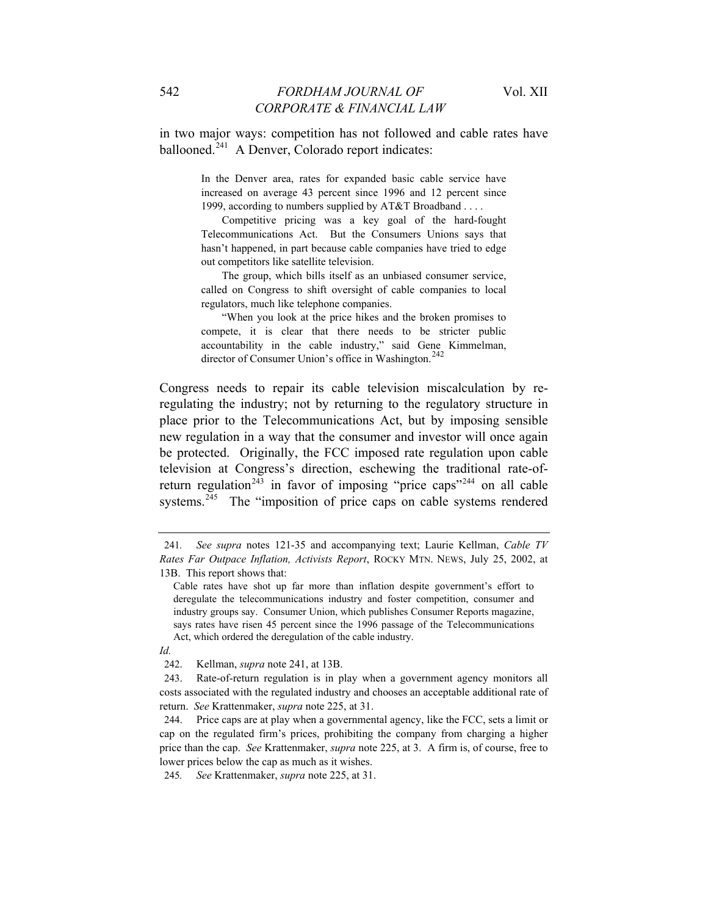in two major ways: competition has not followed and cable rates have ballooned.<sup>241</sup> A Denver, Colorado report indicates:

> In the Denver area, rates for expanded basic cable service have increased on average 43 percent since 1996 and 12 percent since 1999, according to numbers supplied by AT&T Broadband . . . .

> Competitive pricing was a key goal of the hard-fought Telecommunications Act. But the Consumers Unions says that hasn't happened, in part because cable companies have tried to edge out competitors like satellite television.

> The group, which bills itself as an unbiased consumer service, called on Congress to shift oversight of cable companies to local regulators, much like telephone companies.

> "When you look at the price hikes and the broken promises to compete, it is clear that there needs to be stricter public accountability in the cable industry," said Gene Kimmelman, director of Consumer Union's office in Washington.<sup>242</sup>

Congress needs to repair its cable television miscalculation by reregulating the industry; not by returning to the regulatory structure in place prior to the Telecommunications Act, but by imposing sensible new regulation in a way that the consumer and investor will once again be protected. Originally, the FCC imposed rate regulation upon cable television at Congress's direction, eschewing the traditional rate-ofreturn regulation<sup>243</sup> in favor of imposing "price caps"<sup>244</sup> on all cable systems.<sup>245</sup> The "imposition of price caps on cable systems rendered

*Id.*

<sup>241</sup>*. See supra* notes 121-35 and accompanying text; Laurie Kellman, *Cable TV Rates Far Outpace Inflation, Activists Report*, ROCKY MTN. NEWS, July 25, 2002, at 13B. This report shows that:

Cable rates have shot up far more than inflation despite government's effort to deregulate the telecommunications industry and foster competition, consumer and industry groups say. Consumer Union, which publishes Consumer Reports magazine, says rates have risen 45 percent since the 1996 passage of the Telecommunications Act, which ordered the deregulation of the cable industry.

<sup>242.</sup> Kellman, *supra* note 241, at 13B.

<sup>243.</sup> Rate-of-return regulation is in play when a government agency monitors all costs associated with the regulated industry and chooses an acceptable additional rate of return. *See* Krattenmaker, *supra* note 225, at 31.

<sup>244.</sup> Price caps are at play when a governmental agency, like the FCC, sets a limit or cap on the regulated firm's prices, prohibiting the company from charging a higher price than the cap. *See* Krattenmaker, *supra* note 225, at 3. A firm is, of course, free to lower prices below the cap as much as it wishes.

<sup>245</sup>*. See* Krattenmaker, *supra* note 225, at 31.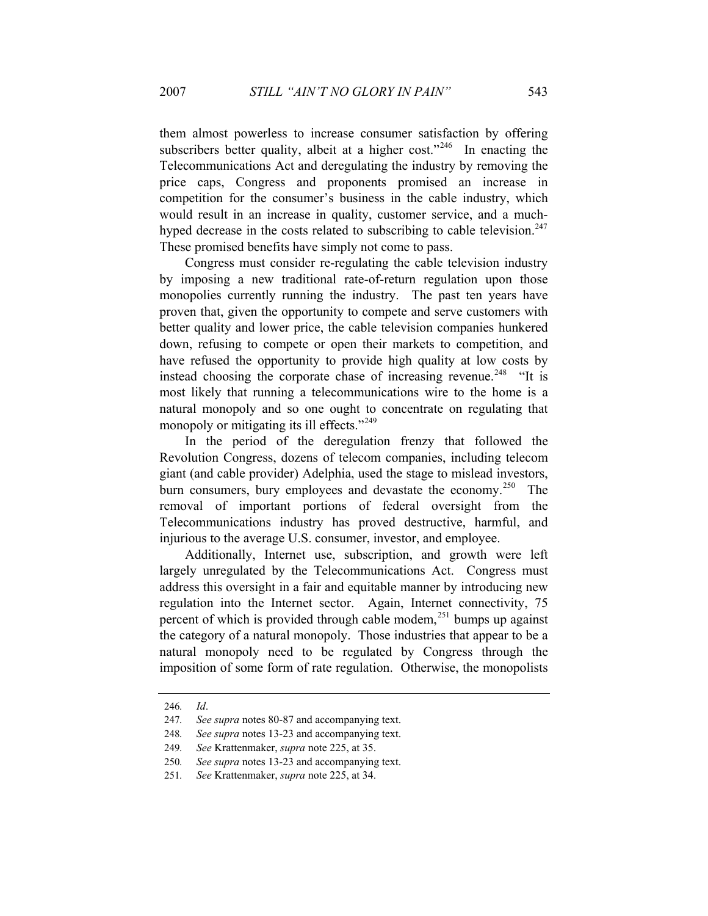them almost powerless to increase consumer satisfaction by offering subscribers better quality, albeit at a higher cost."<sup>246</sup> In enacting the Telecommunications Act and deregulating the industry by removing the price caps, Congress and proponents promised an increase in competition for the consumer's business in the cable industry, which would result in an increase in quality, customer service, and a muchhyped decrease in the costs related to subscribing to cable television.<sup>247</sup> These promised benefits have simply not come to pass.

Congress must consider re-regulating the cable television industry by imposing a new traditional rate-of-return regulation upon those monopolies currently running the industry. The past ten years have proven that, given the opportunity to compete and serve customers with better quality and lower price, the cable television companies hunkered down, refusing to compete or open their markets to competition, and have refused the opportunity to provide high quality at low costs by instead choosing the corporate chase of increasing revenue.<sup>248</sup> "It is most likely that running a telecommunications wire to the home is a natural monopoly and so one ought to concentrate on regulating that monopoly or mitigating its ill effects."<sup>249</sup>

In the period of the deregulation frenzy that followed the Revolution Congress, dozens of telecom companies, including telecom giant (and cable provider) Adelphia, used the stage to mislead investors, burn consumers, bury employees and devastate the economy.<sup>250</sup> The removal of important portions of federal oversight from the Telecommunications industry has proved destructive, harmful, and injurious to the average U.S. consumer, investor, and employee.

Additionally, Internet use, subscription, and growth were left largely unregulated by the Telecommunications Act. Congress must address this oversight in a fair and equitable manner by introducing new regulation into the Internet sector. Again, Internet connectivity, 75 percent of which is provided through cable modem, $^{251}$  bumps up against the category of a natural monopoly. Those industries that appear to be a natural monopoly need to be regulated by Congress through the imposition of some form of rate regulation. Otherwise, the monopolists

<sup>246</sup>*. Id*.

<sup>247</sup>*. See supra* notes 80-87 and accompanying text.

<sup>248</sup>*. See supra* notes 13-23 and accompanying text.

<sup>249</sup>*. See* Krattenmaker, *supra* note 225, at 35.

<sup>250</sup>*. See supra* notes 13-23 and accompanying text.

<sup>251</sup>*. See* Krattenmaker, *supra* note 225, at 34.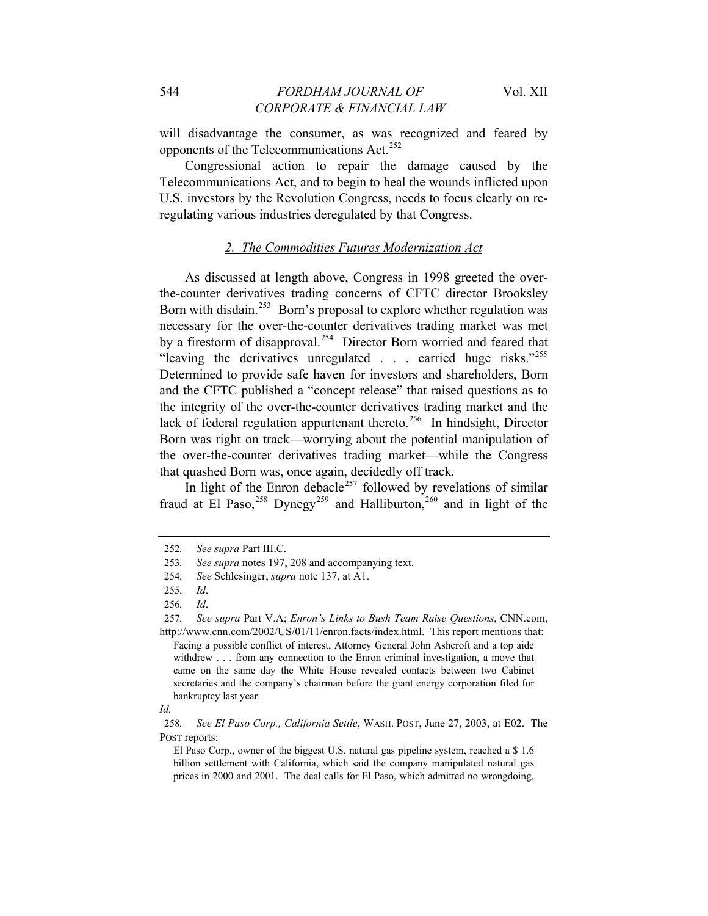will disadvantage the consumer, as was recognized and feared by opponents of the Telecommunications Act.<sup>252</sup>

Congressional action to repair the damage caused by the Telecommunications Act, and to begin to heal the wounds inflicted upon U.S. investors by the Revolution Congress, needs to focus clearly on reregulating various industries deregulated by that Congress.

# *2. The Commodities Futures Modernization Act*

As discussed at length above, Congress in 1998 greeted the overthe-counter derivatives trading concerns of CFTC director Brooksley Born with disdain.<sup>253</sup> Born's proposal to explore whether regulation was necessary for the over-the-counter derivatives trading market was met by a firestorm of disapproval.<sup>254</sup> Director Born worried and feared that "leaving the derivatives unregulated . . . carried huge risks."255 Determined to provide safe haven for investors and shareholders, Born and the CFTC published a "concept release" that raised questions as to the integrity of the over-the-counter derivatives trading market and the lack of federal regulation appurtenant thereto.<sup>256</sup> In hindsight, Director Born was right on track—worrying about the potential manipulation of the over-the-counter derivatives trading market—while the Congress that quashed Born was, once again, decidedly off track.

In light of the Enron debacle<sup>257</sup> followed by revelations of similar fraud at El Paso,<sup>258</sup> Dynegy<sup>259</sup> and Halliburton,<sup>260</sup> and in light of the

<sup>252</sup>*. See supra* Part III.C.

<sup>253</sup>*. See supra* notes 197, 208 and accompanying text.

<sup>254</sup>*. See* Schlesinger, *supra* note 137, at A1.

<sup>255</sup>*. Id*.

<sup>256</sup>*. Id*.

<sup>257</sup>*. See supra* Part V.A; *Enron's Links to Bush Team Raise Questions*, CNN.com, http://www.cnn.com/2002/US/01/11/enron.facts/index.html. This report mentions that:

Facing a possible conflict of interest, Attorney General John Ashcroft and a top aide withdrew . . . from any connection to the Enron criminal investigation, a move that came on the same day the White House revealed contacts between two Cabinet secretaries and the company's chairman before the giant energy corporation filed for bankruptcy last year.

*Id.*

<sup>258</sup>*. See El Paso Corp., California Settle*, WASH. POST, June 27, 2003, at E02. The POST reports:

El Paso Corp., owner of the biggest U.S. natural gas pipeline system, reached a \$ 1.6 billion settlement with California, which said the company manipulated natural gas prices in 2000 and 2001. The deal calls for El Paso, which admitted no wrongdoing,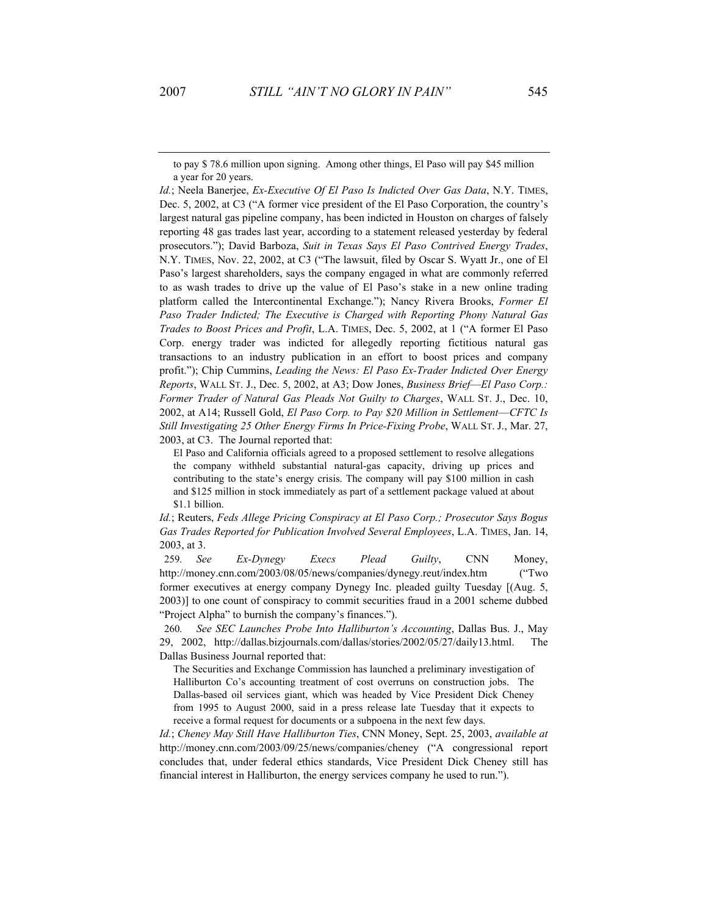to pay \$ 78.6 million upon signing. Among other things, El Paso will pay \$45 million a year for 20 years.

*Id.*; Neela Banerjee, *Ex-Executive Of El Paso Is Indicted Over Gas Data*, N.Y. TIMES, Dec. 5, 2002, at C3 ("A former vice president of the El Paso Corporation, the country's largest natural gas pipeline company, has been indicted in Houston on charges of falsely reporting 48 gas trades last year, according to a statement released yesterday by federal prosecutors."); David Barboza, *Suit in Texas Says El Paso Contrived Energy Trades*, N.Y. TIMES, Nov. 22, 2002, at C3 ("The lawsuit, filed by Oscar S. Wyatt Jr., one of El Paso's largest shareholders, says the company engaged in what are commonly referred to as wash trades to drive up the value of El Paso's stake in a new online trading platform called the Intercontinental Exchange."); Nancy Rivera Brooks, *Former El Paso Trader Indicted; The Executive is Charged with Reporting Phony Natural Gas Trades to Boost Prices and Profit*, L.A. TIMES, Dec. 5, 2002, at 1 ("A former El Paso Corp. energy trader was indicted for allegedly reporting fictitious natural gas transactions to an industry publication in an effort to boost prices and company profit."); Chip Cummins, *Leading the News: El Paso Ex-Trader Indicted Over Energy Reports*, WALL ST. J., Dec. 5, 2002, at A3; Dow Jones, *Business Brief*—*El Paso Corp.: Former Trader of Natural Gas Pleads Not Guilty to Charges*, WALL ST. J., Dec. 10, 2002, at A14; Russell Gold, *El Paso Corp. to Pay \$20 Million in Settlement*—*CFTC Is Still Investigating 25 Other Energy Firms In Price-Fixing Probe*, WALL ST. J., Mar. 27, 2003, at C3. The Journal reported that:

El Paso and California officials agreed to a proposed settlement to resolve allegations the company withheld substantial natural-gas capacity, driving up prices and contributing to the state's energy crisis. The company will pay \$100 million in cash and \$125 million in stock immediately as part of a settlement package valued at about \$1.1 billion.

*Id.*; Reuters, *Feds Allege Pricing Conspiracy at El Paso Corp.; Prosecutor Says Bogus Gas Trades Reported for Publication Involved Several Employees*, L.A. TIMES, Jan. 14, 2003, at 3.

259*. See Ex-Dynegy Execs Plead Guilty*, CNN Money, http://money.cnn.com/2003/08/05/news/companies/dynegy.reut/index.htm ("Two former executives at energy company Dynegy Inc. pleaded guilty Tuesday [(Aug. 5, 2003)] to one count of conspiracy to commit securities fraud in a 2001 scheme dubbed "Project Alpha" to burnish the company's finances.").

260*. See SEC Launches Probe Into Halliburton's Accounting*, Dallas Bus. J., May 29, 2002, http://dallas.bizjournals.com/dallas/stories/2002/05/27/daily13.html. The Dallas Business Journal reported that:

The Securities and Exchange Commission has launched a preliminary investigation of Halliburton Co's accounting treatment of cost overruns on construction jobs. The Dallas-based oil services giant, which was headed by Vice President Dick Cheney from 1995 to August 2000, said in a press release late Tuesday that it expects to receive a formal request for documents or a subpoena in the next few days.

*Id.*; *Cheney May Still Have Halliburton Ties*, CNN Money, Sept. 25, 2003, *available at*  http://money.cnn.com/2003/09/25/news/companies/cheney ("A congressional report concludes that, under federal ethics standards, Vice President Dick Cheney still has financial interest in Halliburton, the energy services company he used to run.").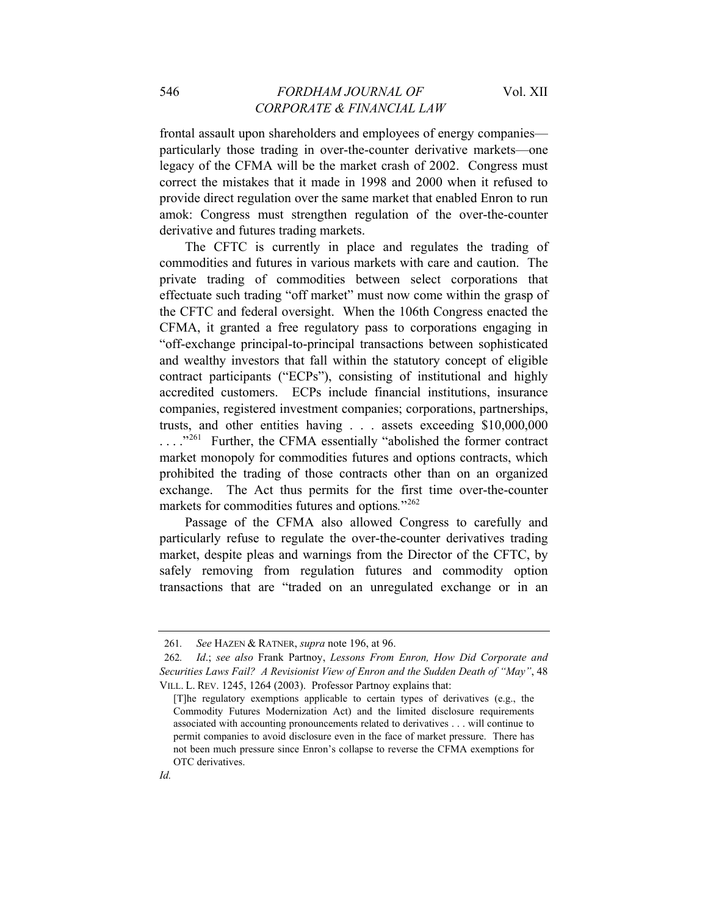frontal assault upon shareholders and employees of energy companies particularly those trading in over-the-counter derivative markets—one legacy of the CFMA will be the market crash of 2002. Congress must correct the mistakes that it made in 1998 and 2000 when it refused to provide direct regulation over the same market that enabled Enron to run amok: Congress must strengthen regulation of the over-the-counter derivative and futures trading markets.

The CFTC is currently in place and regulates the trading of commodities and futures in various markets with care and caution. The private trading of commodities between select corporations that effectuate such trading "off market" must now come within the grasp of the CFTC and federal oversight. When the 106th Congress enacted the CFMA, it granted a free regulatory pass to corporations engaging in "off-exchange principal-to-principal transactions between sophisticated and wealthy investors that fall within the statutory concept of eligible contract participants ("ECPs"), consisting of institutional and highly accredited customers. ECPs include financial institutions, insurance companies, registered investment companies; corporations, partnerships, trusts, and other entities having . . . assets exceeding \$10,000,000 ...."<sup>261</sup> Further, the CFMA essentially "abolished the former contract market monopoly for commodities futures and options contracts, which prohibited the trading of those contracts other than on an organized exchange. The Act thus permits for the first time over-the-counter markets for commodities futures and options."<sup>262</sup>

Passage of the CFMA also allowed Congress to carefully and particularly refuse to regulate the over-the-counter derivatives trading market, despite pleas and warnings from the Director of the CFTC, by safely removing from regulation futures and commodity option transactions that are "traded on an unregulated exchange or in an

<sup>261</sup>*. See* HAZEN & RATNER, *supra* note 196, at 96.

<sup>262</sup>*. Id*.; *see also* Frank Partnoy, *Lessons From Enron, How Did Corporate and Securities Laws Fail? A Revisionist View of Enron and the Sudden Death of "May"*, 48 VILL. L. REV. 1245, 1264 (2003). Professor Partnoy explains that:

<sup>[</sup>T]he regulatory exemptions applicable to certain types of derivatives (e.g., the Commodity Futures Modernization Act) and the limited disclosure requirements associated with accounting pronouncements related to derivatives . . . will continue to permit companies to avoid disclosure even in the face of market pressure. There has not been much pressure since Enron's collapse to reverse the CFMA exemptions for OTC derivatives.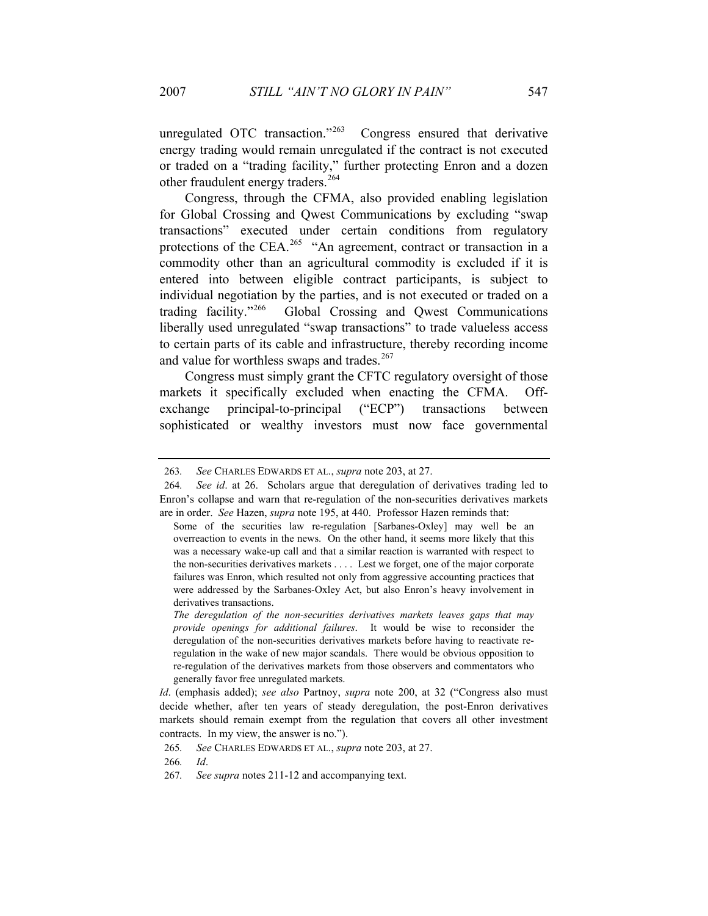unregulated OTC transaction."<sup>263</sup> Congress ensured that derivative energy trading would remain unregulated if the contract is not executed or traded on a "trading facility," further protecting Enron and a dozen other fraudulent energy traders.<sup>264</sup>

Congress, through the CFMA, also provided enabling legislation for Global Crossing and Qwest Communications by excluding "swap transactions" executed under certain conditions from regulatory protections of the CEA.<sup>265</sup> "An agreement, contract or transaction in a commodity other than an agricultural commodity is excluded if it is entered into between eligible contract participants, is subject to individual negotiation by the parties, and is not executed or traded on a trading facility."266 Global Crossing and Qwest Communications liberally used unregulated "swap transactions" to trade valueless access to certain parts of its cable and infrastructure, thereby recording income and value for worthless swaps and trades. $267$ 

Congress must simply grant the CFTC regulatory oversight of those markets it specifically excluded when enacting the CFMA. Offexchange principal-to-principal ("ECP") transactions between sophisticated or wealthy investors must now face governmental

<sup>263</sup>*. See* CHARLES EDWARDS ET AL., *supra* note 203, at 27.

<sup>264</sup>*. See id*. at 26. Scholars argue that deregulation of derivatives trading led to Enron's collapse and warn that re-regulation of the non-securities derivatives markets are in order. *See* Hazen, *supra* note 195, at 440. Professor Hazen reminds that:

Some of the securities law re-regulation [Sarbanes-Oxley] may well be an overreaction to events in the news. On the other hand, it seems more likely that this was a necessary wake-up call and that a similar reaction is warranted with respect to the non-securities derivatives markets . . . . Lest we forget, one of the major corporate failures was Enron, which resulted not only from aggressive accounting practices that were addressed by the Sarbanes-Oxley Act, but also Enron's heavy involvement in derivatives transactions.

*The deregulation of the non-securities derivatives markets leaves gaps that may provide openings for additional failures*. It would be wise to reconsider the deregulation of the non-securities derivatives markets before having to reactivate reregulation in the wake of new major scandals. There would be obvious opposition to re-regulation of the derivatives markets from those observers and commentators who generally favor free unregulated markets.

*Id*. (emphasis added); *see also* Partnoy, *supra* note 200, at 32 ("Congress also must decide whether, after ten years of steady deregulation, the post-Enron derivatives markets should remain exempt from the regulation that covers all other investment contracts. In my view, the answer is no.").

<sup>265</sup>*. See* CHARLES EDWARDS ET AL., *supra* note 203, at 27.

<sup>266</sup>*. Id*.

<sup>267</sup>*. See supra* notes 211-12 and accompanying text.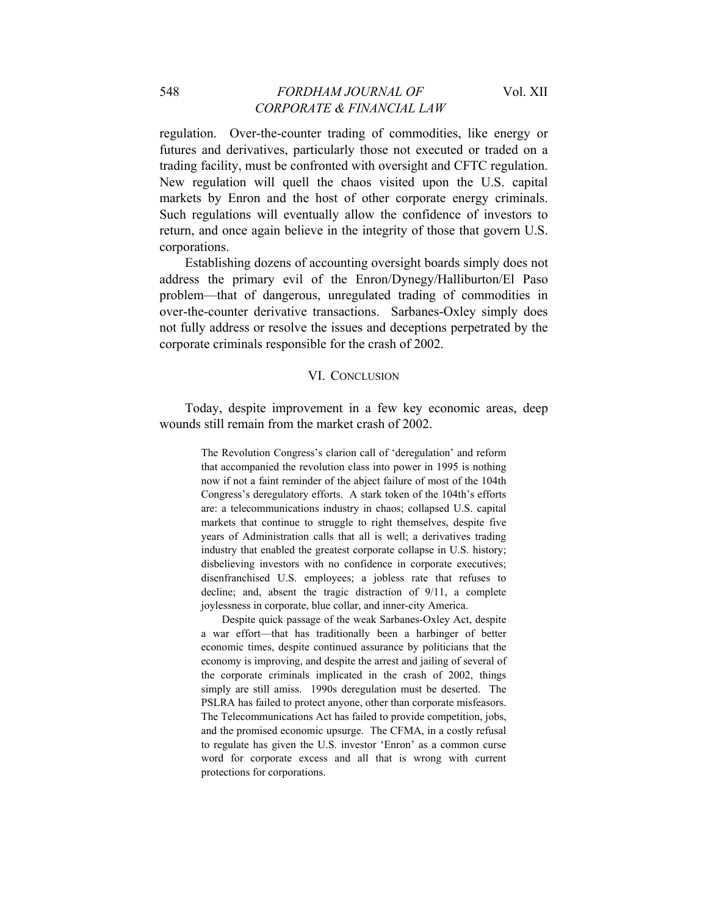regulation. Over-the-counter trading of commodities, like energy or futures and derivatives, particularly those not executed or traded on a trading facility, must be confronted with oversight and CFTC regulation. New regulation will quell the chaos visited upon the U.S. capital markets by Enron and the host of other corporate energy criminals. Such regulations will eventually allow the confidence of investors to return, and once again believe in the integrity of those that govern U.S. corporations.

Establishing dozens of accounting oversight boards simply does not address the primary evil of the Enron/Dynegy/Halliburton/El Paso problem—that of dangerous, unregulated trading of commodities in over-the-counter derivative transactions. Sarbanes-Oxley simply does not fully address or resolve the issues and deceptions perpetrated by the corporate criminals responsible for the crash of 2002.

#### VI. CONCLUSION

Today, despite improvement in a few key economic areas, deep wounds still remain from the market crash of 2002.

> The Revolution Congress's clarion call of 'deregulation' and reform that accompanied the revolution class into power in 1995 is nothing now if not a faint reminder of the abject failure of most of the 104th Congress's deregulatory efforts. A stark token of the 104th's efforts are: a telecommunications industry in chaos; collapsed U.S. capital markets that continue to struggle to right themselves, despite five years of Administration calls that all is well; a derivatives trading industry that enabled the greatest corporate collapse in U.S. history; disbelieving investors with no confidence in corporate executives; disenfranchised U.S. employees; a jobless rate that refuses to decline; and, absent the tragic distraction of 9/11, a complete joylessness in corporate, blue collar, and inner-city America.

> Despite quick passage of the weak Sarbanes-Oxley Act, despite a war effort—that has traditionally been a harbinger of better economic times, despite continued assurance by politicians that the economy is improving, and despite the arrest and jailing of several of the corporate criminals implicated in the crash of 2002, things simply are still amiss. 1990s deregulation must be deserted. The PSLRA has failed to protect anyone, other than corporate misfeasors. The Telecommunications Act has failed to provide competition, jobs, and the promised economic upsurge. The CFMA, in a costly refusal to regulate has given the U.S. investor 'Enron' as a common curse word for corporate excess and all that is wrong with current protections for corporations.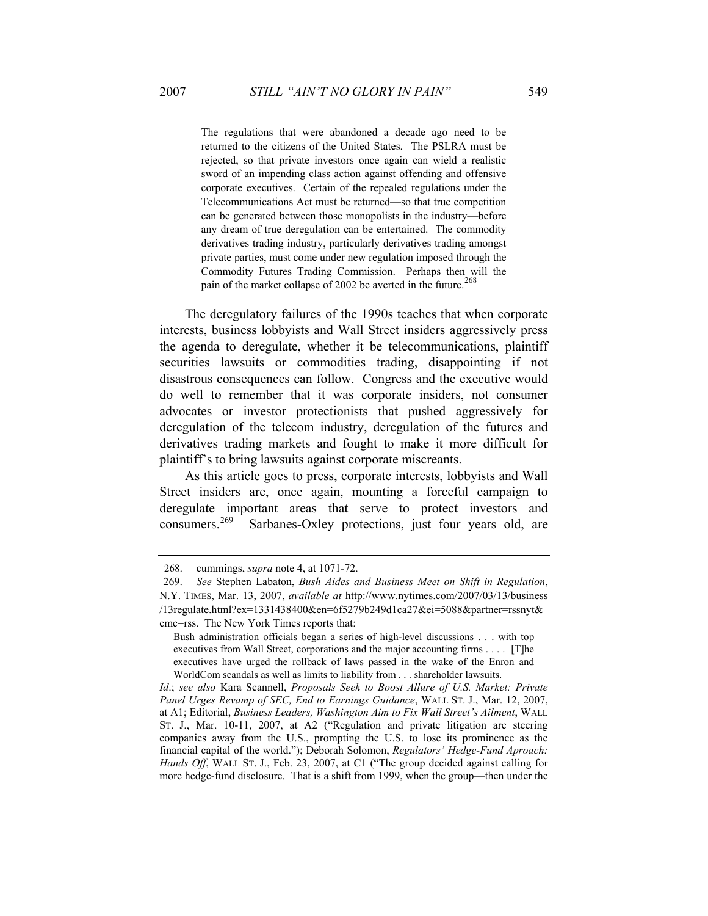The regulations that were abandoned a decade ago need to be returned to the citizens of the United States. The PSLRA must be rejected, so that private investors once again can wield a realistic sword of an impending class action against offending and offensive corporate executives. Certain of the repealed regulations under the Telecommunications Act must be returned—so that true competition can be generated between those monopolists in the industry—before any dream of true deregulation can be entertained. The commodity derivatives trading industry, particularly derivatives trading amongst private parties, must come under new regulation imposed through the Commodity Futures Trading Commission. Perhaps then will the pain of the market collapse of 2002 be averted in the future.<sup>268</sup>

The deregulatory failures of the 1990s teaches that when corporate interests, business lobbyists and Wall Street insiders aggressively press the agenda to deregulate, whether it be telecommunications, plaintiff securities lawsuits or commodities trading, disappointing if not disastrous consequences can follow. Congress and the executive would do well to remember that it was corporate insiders, not consumer advocates or investor protectionists that pushed aggressively for deregulation of the telecom industry, deregulation of the futures and derivatives trading markets and fought to make it more difficult for plaintiff's to bring lawsuits against corporate miscreants.

As this article goes to press, corporate interests, lobbyists and Wall Street insiders are, once again, mounting a forceful campaign to deregulate important areas that serve to protect investors and consumers.<sup>269</sup> Sarbanes-Oxley protections, just four years old, are

<sup>268.</sup> cummings, *supra* note 4, at 1071-72.

<sup>269.</sup> *See* Stephen Labaton, *Bush Aides and Business Meet on Shift in Regulation*, N.Y. TIMES, Mar. 13, 2007, *available at* http://www.nytimes.com/2007/03/13/business /13regulate.html?ex=1331438400&en=6f5279b249d1ca27&ei=5088&partner=rssnyt& emc=rss. The New York Times reports that:

Bush administration officials began a series of high-level discussions . . . with top executives from Wall Street, corporations and the major accounting firms . . . . [T]he executives have urged the rollback of laws passed in the wake of the Enron and WorldCom scandals as well as limits to liability from . . . shareholder lawsuits.

*Id*.; *see also* Kara Scannell, *Proposals Seek to Boost Allure of U.S. Market: Private Panel Urges Revamp of SEC, End to Earnings Guidance*, WALL ST. J., Mar. 12, 2007, at A1; Editorial, *Business Leaders, Washington Aim to Fix Wall Street's Ailment*, WALL ST. J., Mar. 10-11, 2007, at A2 ("Regulation and private litigation are steering companies away from the U.S., prompting the U.S. to lose its prominence as the financial capital of the world."); Deborah Solomon, *Regulators' Hedge-Fund Aproach: Hands Off*, WALL ST. J., Feb. 23, 2007, at C1 ("The group decided against calling for more hedge-fund disclosure. That is a shift from 1999, when the group—then under the